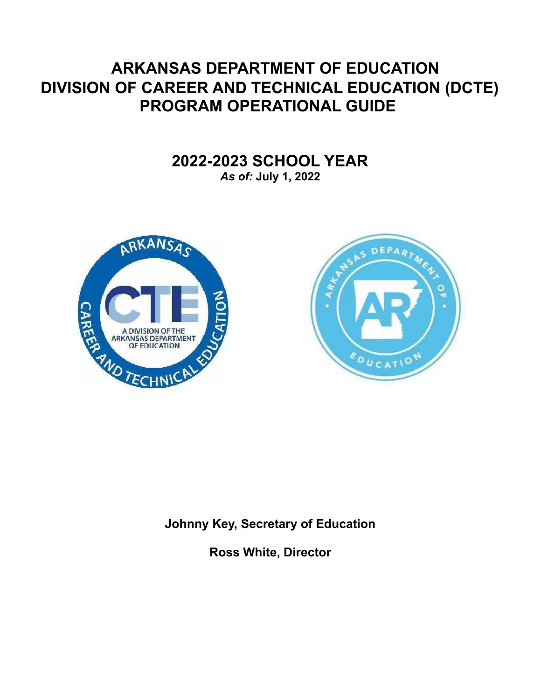# **ARKANSAS DEPARTMENT OF EDUCATION DIVISION OF CAREER AND TECHNICAL EDUCATION (DCTE) PROGRAM OPERATIONAL GUIDE**

**2022-2023 SCHOOL YEAR**

*As of:* **July 1, 2022**





**Johnny Key, Secretary of Education**

**Ross White, Director**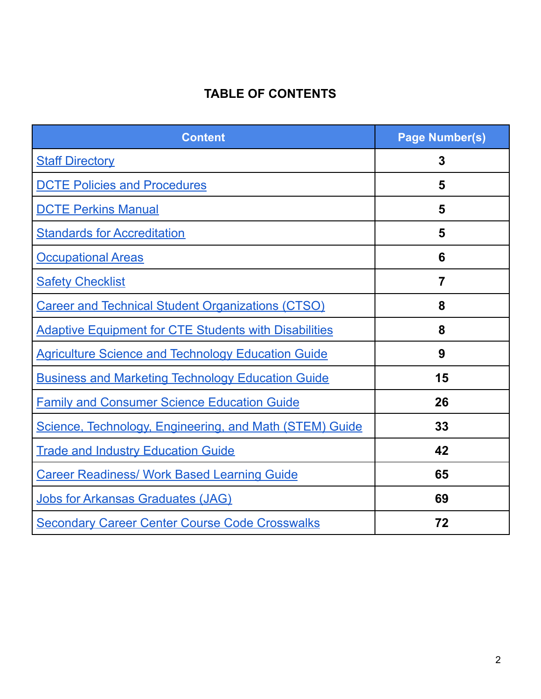# **TABLE OF CONTENTS**

<span id="page-1-0"></span>

| <b>Content</b>                                               | <b>Page Number(s)</b> |
|--------------------------------------------------------------|-----------------------|
| <b>Staff Directory</b>                                       | 3                     |
| <b>DCTE Policies and Procedures</b>                          | 5                     |
| <b>DCTE Perkins Manual</b>                                   | 5                     |
| <b>Standards for Accreditation</b>                           | 5                     |
| <b>Occupational Areas</b>                                    | 6                     |
| <b>Safety Checklist</b>                                      | $\overline{7}$        |
| <b>Career and Technical Student Organizations (CTSO)</b>     | 8                     |
| <b>Adaptive Equipment for CTE Students with Disabilities</b> | 8                     |
| <b>Agriculture Science and Technology Education Guide</b>    | 9                     |
| <b>Business and Marketing Technology Education Guide</b>     | 15                    |
| <b>Family and Consumer Science Education Guide</b>           | 26                    |
| Science, Technology, Engineering, and Math (STEM) Guide      | 33                    |
| <b>Trade and Industry Education Guide</b>                    | 42                    |
| <b>Career Readiness/ Work Based Learning Guide</b>           | 65                    |
| <b>Jobs for Arkansas Graduates (JAG)</b>                     | 69                    |
| <b>Secondary Career Center Course Code Crosswalks</b>        | 72                    |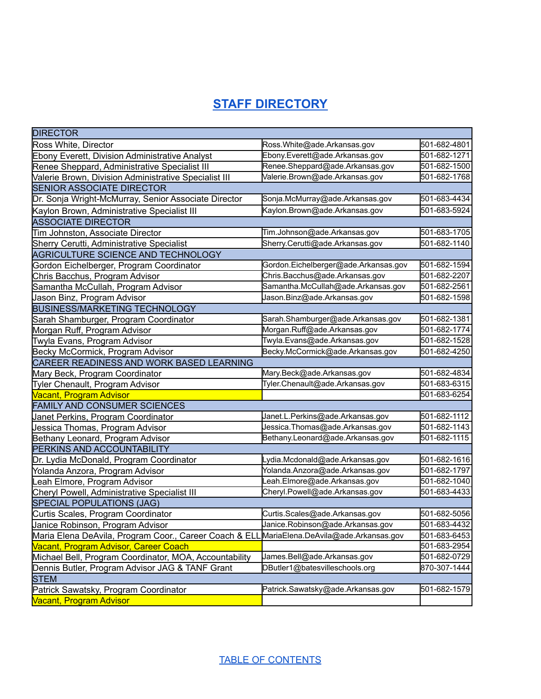# **STAFF [DIRECTORY](#page-2-0)**

<span id="page-2-0"></span>

| <b>DIRECTOR</b>                                        |                                      |              |
|--------------------------------------------------------|--------------------------------------|--------------|
| Ross White, Director                                   | Ross.White@ade.Arkansas.gov          | 501-682-4801 |
| Ebony Everett, Division Administrative Analyst         | Ebony.Everett@ade.Arkansas.gov       | 501-682-1271 |
| Renee Sheppard, Administrative Specialist III          | Renee.Sheppard@ade.Arkansas.gov      | 501-682-1500 |
| Valerie Brown, Division Administrative Specialist III  | Valerie.Brown@ade.Arkansas.gov       | 501-682-1768 |
| <b>SENIOR ASSOCIATE DIRECTOR</b>                       |                                      |              |
| Dr. Sonja Wright-McMurray, Senior Associate Director   | Sonja.McMurray@ade.Arkansas.gov      | 501-683-4434 |
| Kaylon Brown, Administrative Specialist III            | Kaylon.Brown@ade.Arkansas.gov        | 501-683-5924 |
| <b>ASSOCIATE DIRECTOR</b>                              |                                      |              |
| Tim Johnston, Associate Director                       | Tim.Johnson@ade.Arkansas.gov         | 501-683-1705 |
| Sherry Cerutti, Administrative Specialist              | Sherry.Cerutti@ade.Arkansas.gov      | 501-682-1140 |
| AGRICULTURE SCIENCE AND TECHNOLOGY                     |                                      |              |
| Gordon Eichelberger, Program Coordinator               | Gordon.Eichelberger@ade.Arkansas.gov | 501-682-1594 |
| Chris Bacchus, Program Advisor                         | Chris.Bacchus@ade.Arkansas.gov       | 501-682-2207 |
| Samantha McCullah, Program Advisor                     | Samantha.McCullah@ade.Arkansas.gov   | 501-682-2561 |
| Jason Binz, Program Advisor                            | Jason.Binz@ade.Arkansas.gov          | 501-682-1598 |
| <b>BUSINESS/MARKETING TECHNOLOGY</b>                   |                                      |              |
| Sarah Shamburger, Program Coordinator                  | Sarah.Shamburger@ade.Arkansas.gov    | 501-682-1381 |
| Morgan Ruff, Program Advisor                           | Morgan.Ruff@ade.Arkansas.gov         | 501-682-1774 |
| Twyla Evans, Program Advisor                           | Twyla.Evans@ade.Arkansas.gov         | 501-682-1528 |
| Becky McCormick, Program Advisor                       | Becky.McCormick@ade.Arkansas.gov     | 501-682-4250 |
| CAREER READINESS AND WORK BASED LEARNING               |                                      |              |
| Mary Beck, Program Coordinator                         | Mary.Beck@ade.Arkansas.gov           | 501-682-4834 |
| Tyler Chenault, Program Advisor                        | Tyler.Chenault@ade.Arkansas.gov      | 501-683-6315 |
| <b>Vacant, Program Advisor</b>                         |                                      | 501-683-6254 |
| <b>FAMILY AND CONSUMER SCIENCES</b>                    |                                      |              |
| Janet Perkins, Program Coordinator                     | Janet.L.Perkins@ade.Arkansas.gov     | 501-682-1112 |
| Jessica Thomas, Program Advisor                        | Jessica.Thomas@ade.Arkansas.gov      | 501-682-1143 |
| Bethany Leonard, Program Advisor                       | Bethany.Leonard@ade.Arkansas.gov     | 501-682-1115 |
| PERKINS AND ACCOUNTABILITY                             |                                      |              |
| Dr. Lydia McDonald, Program Coordinator                | Lydia.Mcdonald@ade.Arkansas.gov      | 501-682-1616 |
| Yolanda Anzora, Program Advisor                        | Yolanda.Anzora@ade.Arkansas.gov      | 501-682-1797 |
| Leah Elmore, Program Advisor                           | .eah.Elmore@ade.Arkansas.gov         | 501-682-1040 |
| Cheryl Powell, Administrative Specialist III           | Cheryl.Powell@ade.Arkansas.gov       | 501-683-4433 |
| <b>SPECIAL POPULATIONS (JAG)</b>                       |                                      |              |
| Curtis Scales, Program Coordinator                     | Curtis.Scales@ade.Arkansas.gov       | 501-682-5056 |
| Janice Robinson, Program Advisor                       | Janice.Robinson@ade.Arkansas.gov     | 501-683-4432 |
| Maria Elena DeAvila, Program Coor., Career Coach & EL  | MariaElena.DeAvila@ade.Arkansas.gov  | 501-683-6453 |
| Vacant, Program Advisor, Career Coach                  |                                      | 501-683-2954 |
| Michael Bell, Program Coordinator, MOA, Accountability | James.Bell@ade.Arkansas.gov          | 501-682-0729 |
| Dennis Butler, Program Advisor JAG & TANF Grant        | DButler1@batesvilleschools.org       | 870-307-1444 |
| <b>STEM</b>                                            |                                      |              |
| Patrick Sawatsky, Program Coordinator                  | Patrick.Sawatsky@ade.Arkansas.gov    | 501-682-1579 |
| <b>Vacant, Program Advisor</b>                         |                                      |              |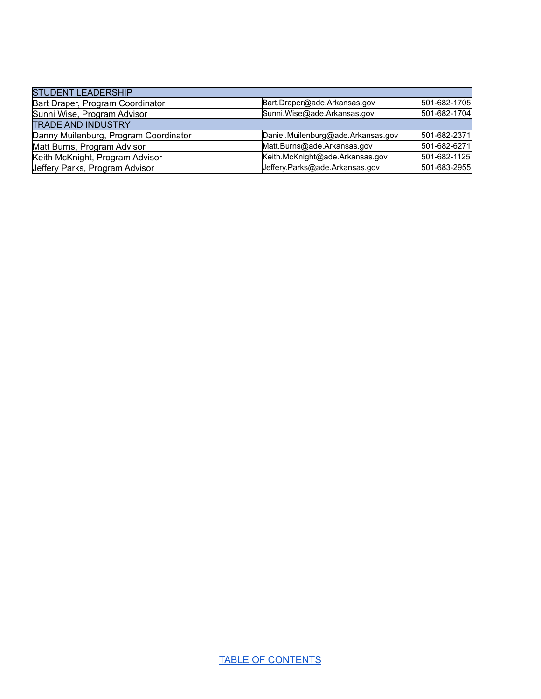| <b>STUDENT LEADERSHIP</b>             |                                    |              |
|---------------------------------------|------------------------------------|--------------|
| Bart Draper, Program Coordinator      | Bart.Draper@ade.Arkansas.gov       | 501-682-1705 |
| Sunni Wise, Program Advisor           | Sunni.Wise@ade.Arkansas.gov        | 501-682-1704 |
| <b>TRADE AND INDUSTRY</b>             |                                    |              |
| Danny Muilenburg, Program Coordinator | Daniel.Muilenburg@ade.Arkansas.gov | 501-682-2371 |
| Matt Burns, Program Advisor           | Matt.Burns@ade.Arkansas.gov        | 501-682-6271 |
| Keith McKnight, Program Advisor       | Keith.McKnight@ade.Arkansas.gov    | 501-682-1125 |
| Jeffery Parks, Program Advisor        | Jeffery.Parks@ade.Arkansas.gov     | 501-683-2955 |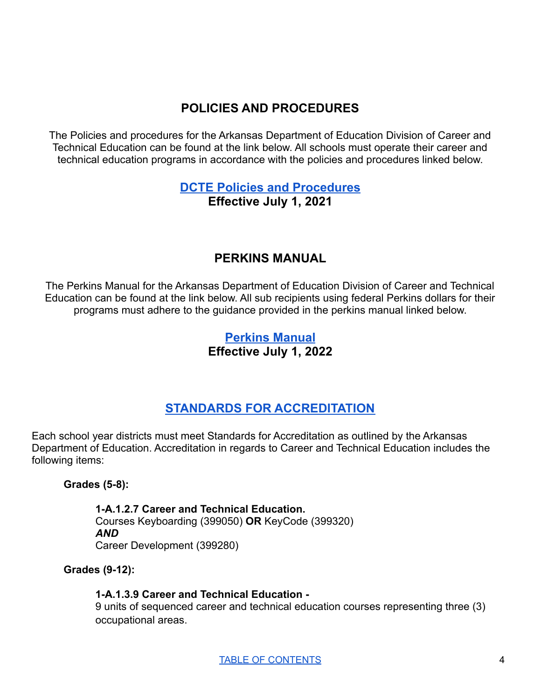# **POLICIES AND PROCEDURES**

<span id="page-4-0"></span>The Policies and procedures for the Arkansas Department of Education Division of Career and Technical Education can be found at the link below. All schools must operate their career and technical education programs in accordance with the policies and procedures linked below.

# **DCTE Policies and [Procedures](https://drive.google.com/file/d/1UAHofRIuZ2M0MhbcBK8OhCNu_2Em5G1n/view?usp=sharing) Effective July 1, 2021**

# **PERKINS MANUAL**

<span id="page-4-1"></span>The Perkins Manual for the Arkansas Department of Education Division of Career and Technical Education can be found at the link below. All sub recipients using federal Perkins dollars for their programs must adhere to the guidance provided in the perkins manual linked below.

# **[Perkins](https://drive.google.com/file/d/1oAjbWmhTnppl5TeUUqdlE1IPSb3fq410/view?usp=sharing) Manual Effective July 1, 2022**

# **STANDARDS FOR [ACCREDITATION](https://dese.ade.arkansas.gov/Files/20201102120517_FINAL_Standards1.pdf)**

<span id="page-4-2"></span>Each school year districts must meet Standards for Accreditation as outlined by the Arkansas Department of Education. Accreditation in regards to Career and Technical Education includes the following items:

**Grades (5-8):**

**1-A.1.2.7 Career and Technical Education.** Courses Keyboarding (399050) **OR** KeyCode (399320) *AND* Career Development (399280)

**Grades (9-12):**

# **1-A.1.3.9 Career and Technical Education -**

9 units of sequenced career and technical education courses representing three (3) occupational areas.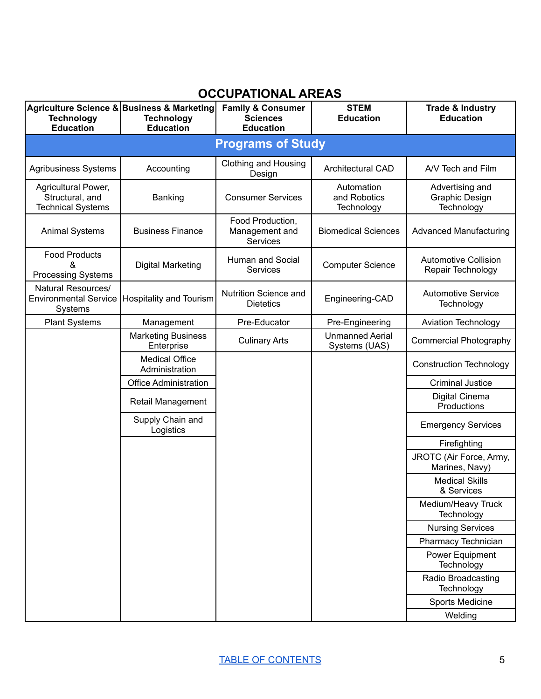# **OCCUPATIONAL AREAS**

<span id="page-5-0"></span>

| <b>Technology</b><br><b>Education</b>                              | Agriculture Science & Business & Marketing<br><b>Technology</b><br><b>Education</b> | <b>Family &amp; Consumer</b><br><b>Sciences</b><br><b>Education</b> | <b>STEM</b><br><b>Education</b>          | Trade & Industry<br><b>Education</b>             |  |
|--------------------------------------------------------------------|-------------------------------------------------------------------------------------|---------------------------------------------------------------------|------------------------------------------|--------------------------------------------------|--|
|                                                                    | <b>Programs of Study</b>                                                            |                                                                     |                                          |                                                  |  |
| <b>Agribusiness Systems</b>                                        | Accounting                                                                          | <b>Clothing and Housing</b><br>Design                               | <b>Architectural CAD</b>                 | A/V Tech and Film                                |  |
| Agricultural Power,<br>Structural, and<br><b>Technical Systems</b> | Banking                                                                             | <b>Consumer Services</b>                                            | Automation<br>and Robotics<br>Technology | Advertising and<br>Graphic Design<br>Technology  |  |
| <b>Animal Systems</b>                                              | <b>Business Finance</b>                                                             | Food Production,<br>Management and<br>Services                      | <b>Biomedical Sciences</b>               | <b>Advanced Manufacturing</b>                    |  |
| <b>Food Products</b><br>&<br><b>Processing Systems</b>             | <b>Digital Marketing</b>                                                            | Human and Social<br>Services                                        | <b>Computer Science</b>                  | <b>Automotive Collision</b><br>Repair Technology |  |
| Natural Resources/<br><b>Environmental Service</b><br>Systems      | <b>Hospitality and Tourism</b>                                                      | Nutrition Science and<br><b>Dietetics</b>                           | Engineering-CAD                          | <b>Automotive Service</b><br>Technology          |  |
| <b>Plant Systems</b>                                               | Management                                                                          | Pre-Educator                                                        | Pre-Engineering                          | <b>Aviation Technology</b>                       |  |
|                                                                    | <b>Marketing Business</b><br>Enterprise                                             | <b>Culinary Arts</b>                                                | <b>Unmanned Aerial</b><br>Systems (UAS)  | <b>Commercial Photography</b>                    |  |
|                                                                    | <b>Medical Office</b><br>Administration                                             |                                                                     |                                          | <b>Construction Technology</b>                   |  |
|                                                                    | <b>Office Administration</b>                                                        |                                                                     |                                          | <b>Criminal Justice</b>                          |  |
|                                                                    | Retail Management                                                                   |                                                                     |                                          | Digital Cinema<br>Productions                    |  |
|                                                                    | Supply Chain and<br>Logistics                                                       |                                                                     |                                          | <b>Emergency Services</b>                        |  |
|                                                                    |                                                                                     |                                                                     |                                          | Firefighting                                     |  |
|                                                                    |                                                                                     |                                                                     |                                          | JROTC (Air Force, Army,<br>Marines, Navy)        |  |
|                                                                    |                                                                                     |                                                                     |                                          | <b>Medical Skills</b><br>& Services              |  |
|                                                                    |                                                                                     |                                                                     |                                          | Medium/Heavy Truck<br>Technology                 |  |
|                                                                    |                                                                                     |                                                                     |                                          | <b>Nursing Services</b>                          |  |
|                                                                    |                                                                                     |                                                                     |                                          | Pharmacy Technician                              |  |
|                                                                    |                                                                                     |                                                                     |                                          | Power Equipment<br>Technology                    |  |
|                                                                    |                                                                                     |                                                                     |                                          | Radio Broadcasting<br>Technology                 |  |
|                                                                    |                                                                                     |                                                                     |                                          | Sports Medicine                                  |  |
|                                                                    |                                                                                     |                                                                     |                                          | Welding                                          |  |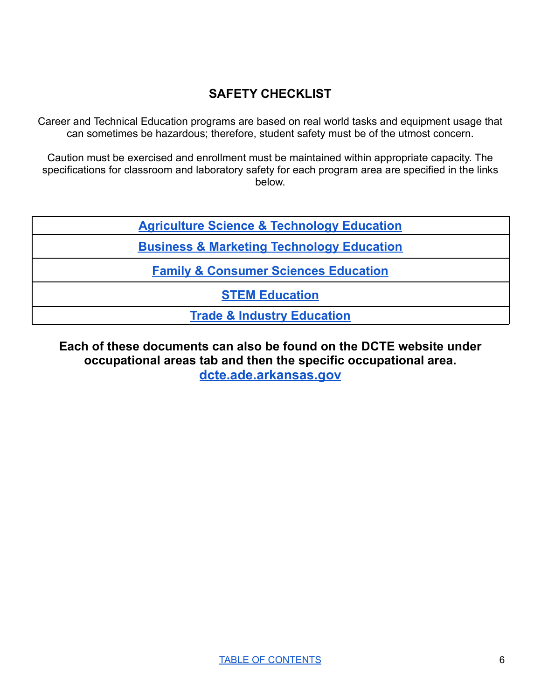# **SAFETY CHECKLIST**

<span id="page-6-0"></span>Career and Technical Education programs are based on real world tasks and equipment usage that can sometimes be hazardous; therefore, student safety must be of the utmost concern.

Caution must be exercised and enrollment must be maintained within appropriate capacity. The specifications for classroom and laboratory safety for each program area are specified in the links below.

**Agriculture Science & [Technology](https://docs.google.com/document/d/1HK116K1Oc67_iTaPJqNZkr7BbcgWKbpjMsYqUIkjaiI/edit?usp=sharing) Education**

**Business & Marketing [Technology](https://drive.google.com/file/d/1ZUXfSNqyV_yC1iwPpwGOI7SsR8NC8Mi8/view?usp=sharing) Education**

**Family & [Consumer](https://drive.google.com/file/d/19D3BtPou_kPloBNyX6gtthq_fGZ_RBr_/view?usp=sharing) Sciences Education**

**STEM [Education](https://drive.google.com/file/d/1OQaOsA02cQc5IegXIDCoXud1CE7_-vdf/view?usp=sharing)**

**Trade & Industry [Education](https://drive.google.com/file/d/1OFa-oBclCTL6QD8WA7zVCNKnYOKpXguP/view?usp=sharing)**

**Each of these documents can also be found on the DCTE website under occupational areas tab and then the specific occupational area. [dcte.ade.arkansas.gov](https://dcte.ade.arkansas.gov/)**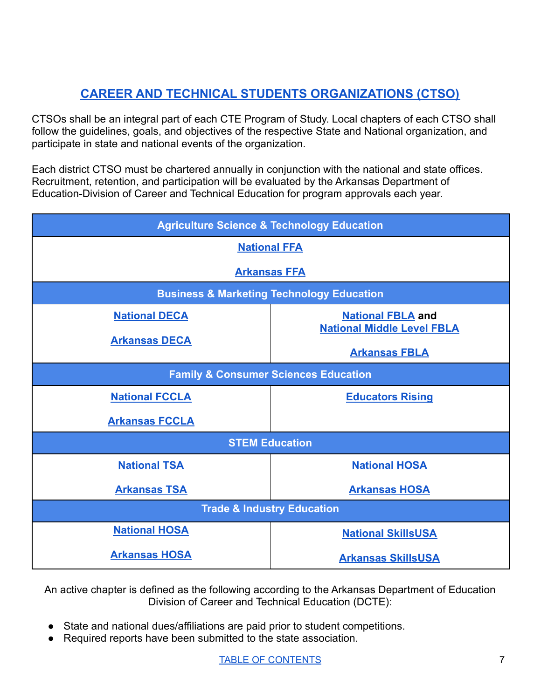# **CAREER AND TECHNICAL STUDENTS [ORGANIZATIONS](#page-7-0) (CTSO)**

<span id="page-7-0"></span>CTSOs shall be an integral part of each CTE Program of Study. Local chapters of each CTSO shall follow the guidelines, goals, and objectives of the respective State and National organization, and participate in state and national events of the organization.

Each district CTSO must be chartered annually in conjunction with the national and state offices. Recruitment, retention, and participation will be evaluated by the Arkansas Department of Education-Division of Career and Technical Education for program approvals each year.

| <b>Agriculture Science &amp; Technology Education</b> |                                                      |  |
|-------------------------------------------------------|------------------------------------------------------|--|
| <b>National FFA</b>                                   |                                                      |  |
|                                                       | <b>Arkansas FFA</b>                                  |  |
|                                                       | <b>Business &amp; Marketing Technology Education</b> |  |
| <b>National DECA</b>                                  | <b>National FBLA and</b>                             |  |
| <b>Arkansas DECA</b>                                  | <b>National Middle Level FBLA</b>                    |  |
|                                                       | <b>Arkansas FBLA</b>                                 |  |
| <b>Family &amp; Consumer Sciences Education</b>       |                                                      |  |
| <b>National FCCLA</b>                                 | <b>Educators Rising</b>                              |  |
| <b>Arkansas FCCLA</b>                                 |                                                      |  |
| <b>STEM Education</b>                                 |                                                      |  |
| <b>National TSA</b>                                   | <b>National HOSA</b>                                 |  |
| <b>Arkansas TSA</b>                                   | <b>Arkansas HOSA</b>                                 |  |
| <b>Trade &amp; Industry Education</b>                 |                                                      |  |
| <b>National HOSA</b>                                  | <b>National SkillsUSA</b>                            |  |
| <b>Arkansas HOSA</b>                                  | <b>Arkansas SkillsUSA</b>                            |  |

An active chapter is defined as the following according to the Arkansas Department of Education Division of Career and Technical Education (DCTE):

- State and national dues/affiliations are paid prior to student competitions.
- Required reports have been submitted to the state association.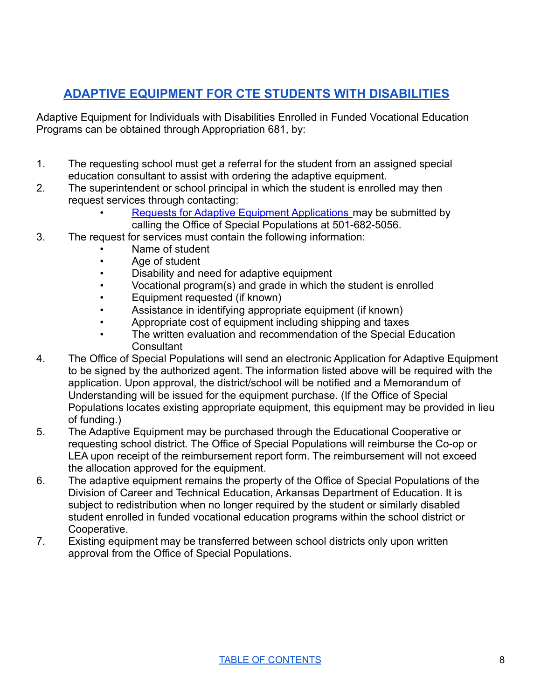# **ADAPTIVE EQUIPMENT FOR CTE STUDENTS WITH [DISABILITIES](#page-8-0)**

<span id="page-8-0"></span>Adaptive Equipment for Individuals with Disabilities Enrolled in Funded Vocational Education Programs can be obtained through Appropriation 681, by:

- 1. The requesting school must get a referral for the student from an assigned special education consultant to assist with ordering the adaptive equipment.
- 2. The superintendent or school principal in which the student is enrolled may then request services through contacting:
	- [Requests for Adaptive Equipment Applications](https://dcte.ade.arkansas.gov/docs/Resources/adaptive-equipment-funding-request---2020.pdf) may be submitted by calling the Office of Special Populations at 501-682-5056.
- 3. The request for services must contain the following information:
	- Name of student
	- Age of student
	- Disability and need for adaptive equipment
	- Vocational program(s) and grade in which the student is enrolled
	- Equipment requested (if known)
	- Assistance in identifying appropriate equipment (if known)
	- Appropriate cost of equipment including shipping and taxes
	- The written evaluation and recommendation of the Special Education **Consultant**
- 4. The Office of Special Populations will send an electronic Application for Adaptive Equipment to be signed by the authorized agent. The information listed above will be required with the application. Upon approval, the district/school will be notified and a Memorandum of Understanding will be issued for the equipment purchase. (If the Office of Special Populations locates existing appropriate equipment, this equipment may be provided in lieu of funding.)
- 5. The Adaptive Equipment may be purchased through the Educational Cooperative or requesting school district. The Office of Special Populations will reimburse the Co-op or LEA upon receipt of the reimbursement report form. The reimbursement will not exceed the allocation approved for the equipment.
- 6. The adaptive equipment remains the property of the Office of Special Populations of the Division of Career and Technical Education, Arkansas Department of Education. It is subject to redistribution when no longer required by the student or similarly disabled student enrolled in funded vocational education programs within the school district or Cooperative.
- 7. Existing equipment may be transferred between school districts only upon written approval from the Office of Special Populations.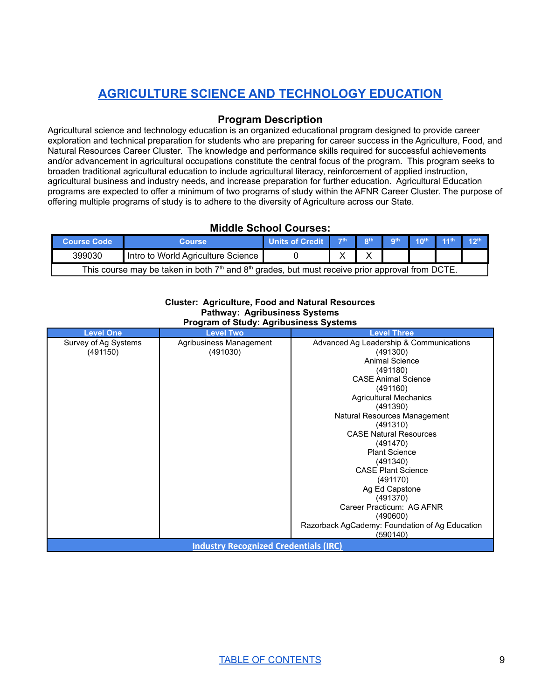# **[AGRICULTURE](#page-9-0) SCIENCE AND TECHNOLOGY EDUCATION**

# **Program Description**

<span id="page-9-0"></span>Agricultural science and technology education is an organized educational program designed to provide career exploration and technical preparation for students who are preparing for career success in the Agriculture, Food, and Natural Resources Career Cluster. The knowledge and performance skills required for successful achievements and/or advancement in agricultural occupations constitute the central focus of the program. This program seeks to broaden traditional agricultural education to include agricultural literacy, reinforcement of applied instruction, agricultural business and industry needs, and increase preparation for further education. Agricultural Education programs are expected to offer a minimum of two programs of study within the AFNR Career Cluster. The purpose of offering multiple programs of study is to adhere to the diversity of Agriculture across our State.

# **Middle School Courses:**

| <b>Course Code</b>                                                                                                      | Course                             | <b>Units of Credit</b> | $-7th$ | oth. | <b>ath</b> | $10th$ $11th$ |  |
|-------------------------------------------------------------------------------------------------------------------------|------------------------------------|------------------------|--------|------|------------|---------------|--|
| 399030                                                                                                                  | Intro to World Agriculture Science |                        |        |      |            |               |  |
| This course may be taken in both 7 <sup>th</sup> and 8 <sup>th</sup> grades, but must receive prior approval from DCTE. |                                    |                        |        |      |            |               |  |

#### **Cluster: Agriculture, Food and Natural Resources Pathway: Agribusiness Systems Program of Study: Agribusiness Systems**

| <b>Level One</b>                             | <b>Level Two</b>        | <b>Level Three</b>                             |  |
|----------------------------------------------|-------------------------|------------------------------------------------|--|
| Survey of Ag Systems                         | Agribusiness Management | Advanced Ag Leadership & Communications        |  |
| (491150)                                     | (491030)                | (491300)                                       |  |
|                                              |                         | Animal Science                                 |  |
|                                              |                         | (491180)                                       |  |
|                                              |                         | <b>CASE Animal Science</b>                     |  |
|                                              |                         | (491160)                                       |  |
|                                              |                         | <b>Agricultural Mechanics</b>                  |  |
|                                              |                         | (491390)                                       |  |
|                                              |                         | Natural Resources Management                   |  |
|                                              |                         | (491310)                                       |  |
|                                              |                         | <b>CASE Natural Resources</b>                  |  |
|                                              |                         | (491470)                                       |  |
|                                              |                         | <b>Plant Science</b>                           |  |
|                                              |                         | (491340)                                       |  |
|                                              |                         | <b>CASE Plant Science</b>                      |  |
|                                              |                         | (491170)                                       |  |
|                                              |                         | Ag Ed Capstone                                 |  |
|                                              |                         | (491370)                                       |  |
|                                              |                         | Career Practicum: AG AFNR                      |  |
|                                              |                         | (490600)                                       |  |
|                                              |                         | Razorback AgCademy: Foundation of Ag Education |  |
|                                              |                         | (590140)                                       |  |
| <b>Industry Recognized Credentials (IRC)</b> |                         |                                                |  |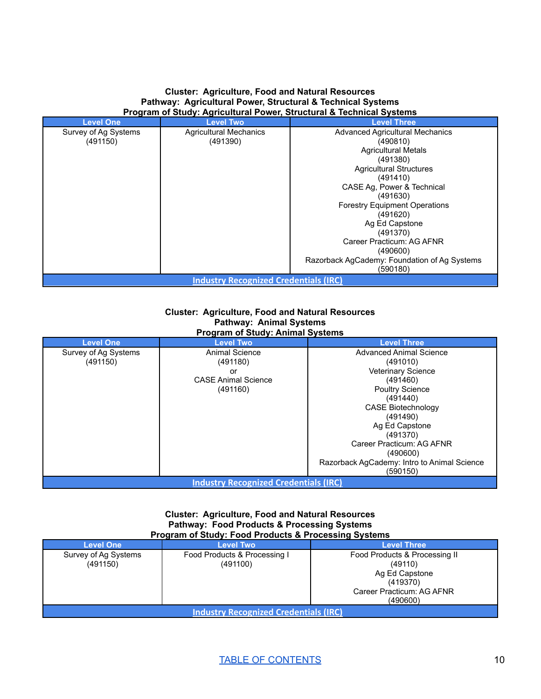#### **Cluster: Agriculture, Food and Natural Resources Pathway: Agricultural Power, Structural & Technical Systems Program of Study: Agricultural Power, Structural & Technical Systems**

| <b>Level One</b>                             | <b>Level Two</b>              | <b>Level Three</b>                           |  |  |
|----------------------------------------------|-------------------------------|----------------------------------------------|--|--|
| Survey of Ag Systems                         | <b>Agricultural Mechanics</b> | <b>Advanced Agricultural Mechanics</b>       |  |  |
| (491150)                                     | (491390)                      | (490810)                                     |  |  |
|                                              |                               | <b>Agricultural Metals</b>                   |  |  |
|                                              |                               | (491380)                                     |  |  |
|                                              |                               | <b>Agricultural Structures</b>               |  |  |
|                                              |                               | (491410)                                     |  |  |
|                                              |                               | CASE Ag, Power & Technical                   |  |  |
|                                              |                               | (491630)                                     |  |  |
|                                              |                               | <b>Forestry Equipment Operations</b>         |  |  |
|                                              |                               | (491620)                                     |  |  |
|                                              |                               | Ag Ed Capstone                               |  |  |
|                                              |                               | (491370)                                     |  |  |
|                                              |                               | Career Practicum: AG AFNR                    |  |  |
|                                              |                               | (490600)                                     |  |  |
|                                              |                               | Razorback AgCademy: Foundation of Ag Systems |  |  |
|                                              |                               | (590180)                                     |  |  |
| <b>Industry Recognized Credentials (IRC)</b> |                               |                                              |  |  |

#### **Cluster: Agriculture, Food and Natural Resources Pathway: Animal Systems Program of Study: Animal Systems**

| <b>Level One</b>                             | <b>Level Two</b>           | <b>Level Three</b>                          |  |
|----------------------------------------------|----------------------------|---------------------------------------------|--|
| Survey of Ag Systems                         | <b>Animal Science</b>      | <b>Advanced Animal Science</b>              |  |
| (491150)                                     | (491180)                   | (491010)                                    |  |
|                                              | or                         | <b>Veterinary Science</b>                   |  |
|                                              | <b>CASE Animal Science</b> | (491460)                                    |  |
|                                              | (491160)                   | <b>Poultry Science</b>                      |  |
|                                              |                            | (491440)                                    |  |
|                                              |                            | <b>CASE Biotechnology</b>                   |  |
|                                              |                            | (491490)                                    |  |
|                                              |                            | Ag Ed Capstone                              |  |
|                                              |                            | (491370)                                    |  |
|                                              |                            | Career Practicum: AG AFNR                   |  |
|                                              |                            | (490600)                                    |  |
|                                              |                            | Razorback AgCademy: Intro to Animal Science |  |
|                                              |                            | (590150)                                    |  |
| <b>Industry Recognized Credentials (IRC)</b> |                            |                                             |  |

#### **Cluster: Agriculture, Food and Natural Resources Pathway: Food Products & Processing Systems Program of Study: Food Products & Processing Systems**

| <b>Level One</b>                             | <b>Level Two</b>                         | Level Three                                                                                                     |  |
|----------------------------------------------|------------------------------------------|-----------------------------------------------------------------------------------------------------------------|--|
| Survey of Ag Systems<br>(491150)             | Food Products & Processing I<br>(491100) | Food Products & Processing II<br>(49110)<br>Ag Ed Capstone<br>(419370)<br>Career Practicum: AG AFNR<br>(490600) |  |
| <b>Industry Recognized Credentials (IRC)</b> |                                          |                                                                                                                 |  |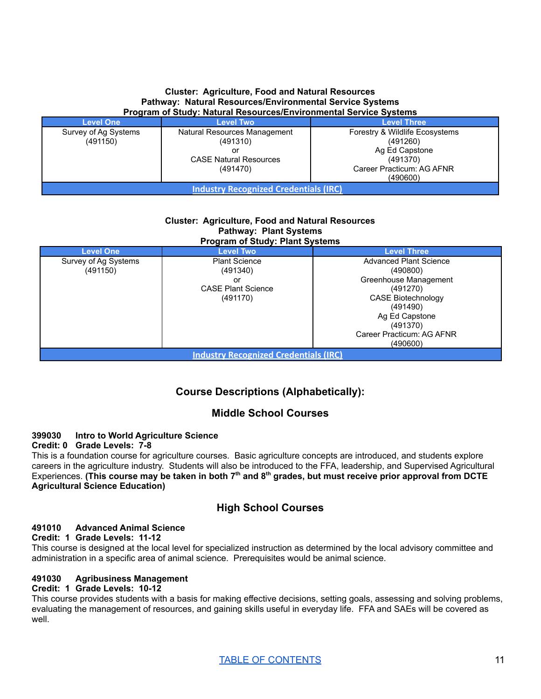#### **Cluster: Agriculture, Food and Natural Resources Pathway: Natural Resources/Environmental Service Systems Program of Study: Natural Resources/Environmental Service Systems**

| <b>Level One</b>                             | <b>Level Two</b>                          | <b>Level Three</b>                         |  |
|----------------------------------------------|-------------------------------------------|--------------------------------------------|--|
| Survey of Ag Systems<br>(491150)             | Natural Resources Management<br>(491310)  | Forestry & Wildlife Ecosystems<br>(491260) |  |
|                                              | or                                        | Ag Ed Capstone                             |  |
|                                              | <b>CASE Natural Resources</b><br>(491470) | (491370)<br>Career Practicum: AG AFNR      |  |
|                                              |                                           | (490600)                                   |  |
| <b>Industry Recognized Credentials (IRC)</b> |                                           |                                            |  |

#### **Cluster: Agriculture, Food and Natural Resources Pathway: Plant Systems Program of Study: Plant Systems**

| <b>Level One</b>                             | <b>Level Two</b>          | <b>Level Three</b>            |  |
|----------------------------------------------|---------------------------|-------------------------------|--|
| Survey of Ag Systems                         | <b>Plant Science</b>      | <b>Advanced Plant Science</b> |  |
| (491150)                                     | (491340)                  | (490800)                      |  |
|                                              | or                        | Greenhouse Management         |  |
|                                              | <b>CASE Plant Science</b> | (491270)                      |  |
|                                              | (491170)                  | <b>CASE Biotechnology</b>     |  |
|                                              |                           | (491490)                      |  |
|                                              |                           | Ag Ed Capstone                |  |
|                                              |                           | (491370)                      |  |
|                                              |                           | Career Practicum: AG AFNR     |  |
| (490600)                                     |                           |                               |  |
| <b>Industry Recognized Credentials (IRC)</b> |                           |                               |  |

# **Course Descriptions (Alphabetically):**

# **Middle School Courses**

# **399030 Intro to World Agriculture Science**

**Credit: 0 Grade Levels: 7-8**

This is a foundation course for agriculture courses. Basic agriculture concepts are introduced, and students explore careers in the agriculture industry. Students will also be introduced to the FFA, leadership, and Supervised Agricultural  $\mathsf E$ xperiences. (This course may be taken in both 7<sup>th</sup> and 8<sup>th</sup> grades, but must receive prior approval from DCTE **Agricultural Science Education)**

# **High School Courses**

# **491010 Advanced Animal Science**

#### **Credit: 1 Grade Levels: 11-12**

This course is designed at the local level for specialized instruction as determined by the local advisory committee and administration in a specific area of animal science. Prerequisites would be animal science.

# **491030 Agribusiness Management**

# **Credit: 1 Grade Levels: 10-12**

This course provides students with a basis for making effective decisions, setting goals, assessing and solving problems, evaluating the management of resources, and gaining skills useful in everyday life. FFA and SAEs will be covered as well.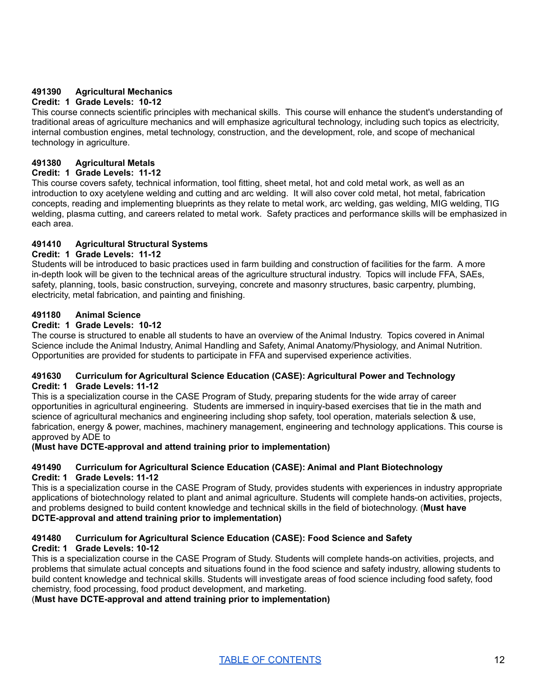# **491390 Agricultural Mechanics**

# **Credit: 1 Grade Levels: 10-12**

This course connects scientific principles with mechanical skills. This course will enhance the student's understanding of traditional areas of agriculture mechanics and will emphasize agricultural technology, including such topics as electricity, internal combustion engines, metal technology, construction, and the development, role, and scope of mechanical technology in agriculture.

# **491380 Agricultural Metals**

# **Credit: 1 Grade Levels: 11-12**

This course covers safety, technical information, tool fitting, sheet metal, hot and cold metal work, as well as an introduction to oxy acetylene welding and cutting and arc welding. It will also cover cold metal, hot metal, fabrication concepts, reading and implementing blueprints as they relate to metal work, arc welding, gas welding, MIG welding, TIG welding, plasma cutting, and careers related to metal work. Safety practices and performance skills will be emphasized in each area.

# **491410 Agricultural Structural Systems**

# **Credit: 1 Grade Levels: 11-12**

Students will be introduced to basic practices used in farm building and construction of facilities for the farm. A more in-depth look will be given to the technical areas of the agriculture structural industry. Topics will include FFA, SAEs, safety, planning, tools, basic construction, surveying, concrete and masonry structures, basic carpentry, plumbing, electricity, metal fabrication, and painting and finishing.

#### **491180 Animal Science**

# **Credit: 1 Grade Levels: 10-12**

The course is structured to enable all students to have an overview of the Animal Industry. Topics covered in Animal Science include the Animal Industry, Animal Handling and Safety, Animal Anatomy/Physiology, and Animal Nutrition. Opportunities are provided for students to participate in FFA and supervised experience activities.

#### **491630 Curriculum for Agricultural Science Education (CASE): Agricultural Power and Technology Credit: 1 Grade Levels: 11-12**

This is a specialization course in the CASE Program of Study, preparing students for the wide array of career opportunities in agricultural engineering. Students are immersed in inquiry-based exercises that tie in the math and science of agricultural mechanics and engineering including shop safety, tool operation, materials selection & use, fabrication, energy & power, machines, machinery management, engineering and technology applications. This course is approved by ADE to

# **(Must have DCTE-approval and attend training prior to implementation)**

#### **491490 Curriculum for Agricultural Science Education (CASE): Animal and Plant Biotechnology Credit: 1 Grade Levels: 11-12**

This is a specialization course in the CASE Program of Study, provides students with experiences in industry appropriate applications of biotechnology related to plant and animal agriculture. Students will complete hands-on activities, projects, and problems designed to build content knowledge and technical skills in the field of biotechnology. (**Must have DCTE-approval and attend training prior to implementation)**

#### **491480 Curriculum for Agricultural Science Education (CASE): Food Science and Safety Credit: 1 Grade Levels: 10-12**

This is a specialization course in the CASE Program of Study. Students will complete hands-on activities, projects, and problems that simulate actual concepts and situations found in the food science and safety industry, allowing students to build content knowledge and technical skills. Students will investigate areas of food science including food safety, food chemistry, food processing, food product development, and marketing.

# (**Must have DCTE-approval and attend training prior to implementation)**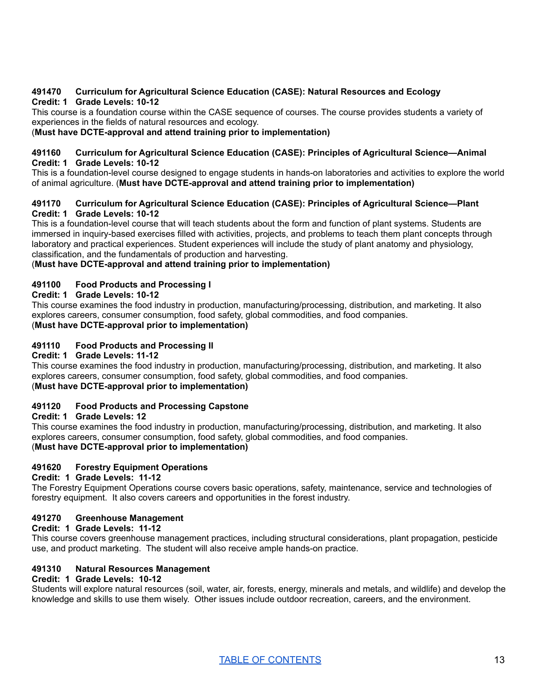#### **491470 Curriculum for Agricultural Science Education (CASE): Natural Resources and Ecology Credit: 1 Grade Levels: 10-12**

This course is a foundation course within the CASE sequence of courses. The course provides students a variety of experiences in the fields of natural resources and ecology.

## (**Must have DCTE-approval and attend training prior to implementation)**

#### **491160 Curriculum for Agricultural Science Education (CASE): Principles of Agricultural Science—Animal Credit: 1 Grade Levels: 10-12**

This is a foundation-level course designed to engage students in hands-on laboratories and activities to explore the world of animal agriculture. (**Must have DCTE-approval and attend training prior to implementation)**

#### **491170 Curriculum for Agricultural Science Education (CASE): Principles of Agricultural Science—Plant Credit: 1 Grade Levels: 10-12**

This is a foundation-level course that will teach students about the form and function of plant systems. Students are immersed in inquiry-based exercises filled with activities, projects, and problems to teach them plant concepts through laboratory and practical experiences. Student experiences will include the study of plant anatomy and physiology, classification, and the fundamentals of production and harvesting.

#### (**Must have DCTE-approval and attend training prior to implementation)**

#### **491100 Food Products and Processing I**

# **Credit: 1 Grade Levels: 10-12**

This course examines the food industry in production, manufacturing/processing, distribution, and marketing. It also explores careers, consumer consumption, food safety, global commodities, and food companies. (**Must have DCTE-approval prior to implementation)**

## **491110 Food Products and Processing II**

# **Credit: 1 Grade Levels: 11-12**

This course examines the food industry in production, manufacturing/processing, distribution, and marketing. It also explores careers, consumer consumption, food safety, global commodities, and food companies. (**Must have DCTE-approval prior to implementation)**

# **491120 Food Products and Processing Capstone**

#### **Credit: 1 Grade Levels: 12**

This course examines the food industry in production, manufacturing/processing, distribution, and marketing. It also explores careers, consumer consumption, food safety, global commodities, and food companies. (**Must have DCTE-approval prior to implementation)**

# **491620 Forestry Equipment Operations**

#### **Credit: 1 Grade Levels: 11-12**

The Forestry Equipment Operations course covers basic operations, safety, maintenance, service and technologies of forestry equipment. It also covers careers and opportunities in the forest industry.

#### **491270 Greenhouse Management**

#### **Credit: 1 Grade Levels: 11-12**

This course covers greenhouse management practices, including structural considerations, plant propagation, pesticide use, and product marketing. The student will also receive ample hands-on practice.

# **491310 Natural Resources Management**

#### **Credit: 1 Grade Levels: 10-12**

Students will explore natural resources (soil, water, air, forests, energy, minerals and metals, and wildlife) and develop the knowledge and skills to use them wisely. Other issues include outdoor recreation, careers, and the environment.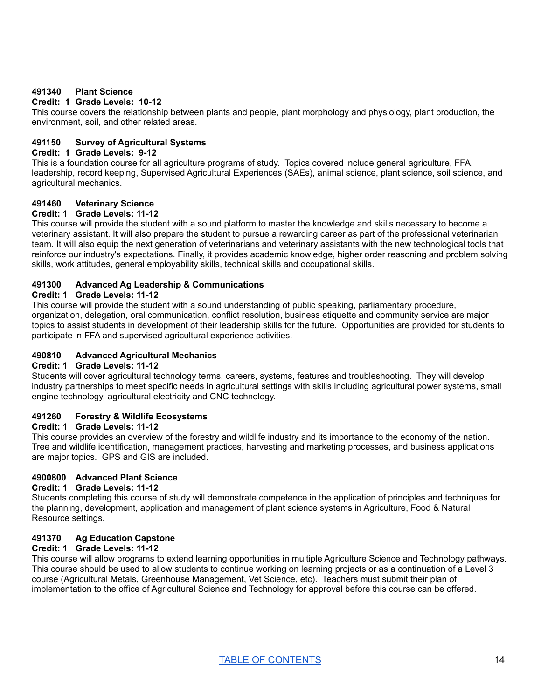## **491340 Plant Science**

# **Credit: 1 Grade Levels: 10-12**

This course covers the relationship between plants and people, plant morphology and physiology, plant production, the environment, soil, and other related areas.

#### **491150 Survey of Agricultural Systems**

#### **Credit: 1 Grade Levels: 9-12**

This is a foundation course for all agriculture programs of study. Topics covered include general agriculture, FFA, leadership, record keeping, Supervised Agricultural Experiences (SAEs), animal science, plant science, soil science, and agricultural mechanics.

# **491460 Veterinary Science**

# **Credit: 1 Grade Levels: 11-12**

This course will provide the student with a sound platform to master the knowledge and skills necessary to become a veterinary assistant. It will also prepare the student to pursue a rewarding career as part of the professional veterinarian team. It will also equip the next generation of veterinarians and veterinary assistants with the new technological tools that reinforce our industry's expectations. Finally, it provides academic knowledge, higher order reasoning and problem solving skills, work attitudes, general employability skills, technical skills and occupational skills.

#### **491300 Advanced Ag Leadership & Communications**

#### **Credit: 1 Grade Levels: 11-12**

This course will provide the student with a sound understanding of public speaking, parliamentary procedure, organization, delegation, oral communication, conflict resolution, business etiquette and community service are major topics to assist students in development of their leadership skills for the future. Opportunities are provided for students to participate in FFA and supervised agricultural experience activities.

#### **490810 Advanced Agricultural Mechanics**

#### **Credit: 1 Grade Levels: 11-12**

Students will cover agricultural technology terms, careers, systems, features and troubleshooting. They will develop industry partnerships to meet specific needs in agricultural settings with skills including agricultural power systems, small engine technology, agricultural electricity and CNC technology.

# **491260 Forestry & Wildlife Ecosystems**

#### **Credit: 1 Grade Levels: 11-12**

This course provides an overview of the forestry and wildlife industry and its importance to the economy of the nation. Tree and wildlife identification, management practices, harvesting and marketing processes, and business applications are major topics. GPS and GIS are included.

# **4900800 Advanced Plant Science**

#### **Credit: 1 Grade Levels: 11-12**

Students completing this course of study will demonstrate competence in the application of principles and techniques for the planning, development, application and management of plant science systems in Agriculture, Food & Natural Resource settings.

# **491370 Ag Education Capstone**

# **Credit: 1 Grade Levels: 11-12**

This course will allow programs to extend learning opportunities in multiple Agriculture Science and Technology pathways. This course should be used to allow students to continue working on learning projects or as a continuation of a Level 3 course (Agricultural Metals, Greenhouse Management, Vet Science, etc). Teachers must submit their plan of implementation to the office of Agricultural Science and Technology for approval before this course can be offered.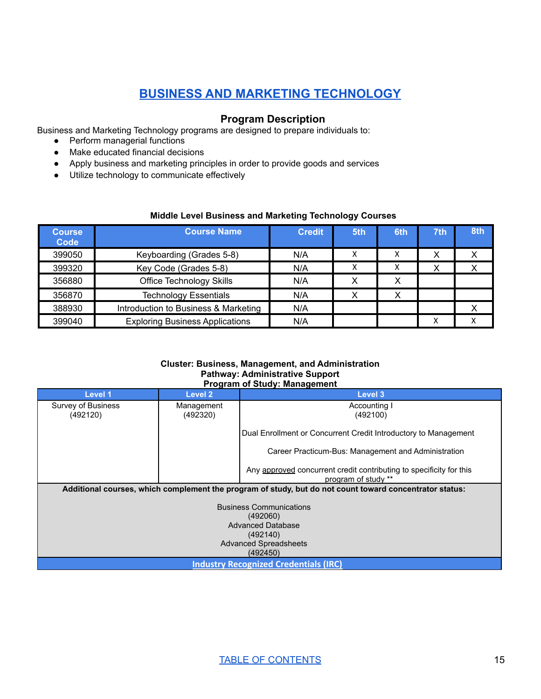# **BUSINESS AND MARKETING [TECHNOLOGY](#page-15-0)**

# **Program Description**

<span id="page-15-0"></span>Business and Marketing Technology programs are designed to prepare individuals to:

- Perform managerial functions
- Make educated financial decisions
- Apply business and marketing principles in order to provide goods and services
- Utilize technology to communicate effectively

# **Middle Level Business and Marketing Technology Courses**

| <b>Course</b><br>Code | <b>Course Name</b>                     | <b>Credit</b> | 5th | 6th | 7th | 8th |
|-----------------------|----------------------------------------|---------------|-----|-----|-----|-----|
| 399050                | Keyboarding (Grades 5-8)               | N/A           |     | x   | х   |     |
| 399320                | Key Code (Grades 5-8)                  | N/A           | x   | x   | Χ   |     |
| 356880                | <b>Office Technology Skills</b>        | N/A           | х   | Χ   |     |     |
| 356870                | <b>Technology Essentials</b>           | N/A           | х   | х   |     |     |
| 388930                | Introduction to Business & Marketing   | N/A           |     |     |     |     |
| 399040                | <b>Exploring Business Applications</b> | N/A           |     |     | х   |     |

#### **Cluster: Business, Management, and Administration Pathway: Administrative Support Program of Study: Management**

|                                                                                                         | r rogram or otauy. management |                                                                                            |  |  |  |
|---------------------------------------------------------------------------------------------------------|-------------------------------|--------------------------------------------------------------------------------------------|--|--|--|
| Level 1                                                                                                 | Level 2                       | Level 3                                                                                    |  |  |  |
| Survey of Business                                                                                      | Management                    | Accounting I                                                                               |  |  |  |
| (492120)                                                                                                | (492320)                      | (492100)                                                                                   |  |  |  |
|                                                                                                         |                               |                                                                                            |  |  |  |
|                                                                                                         |                               | Dual Enrollment or Concurrent Credit Introductory to Management                            |  |  |  |
|                                                                                                         |                               | Career Practicum-Bus: Management and Administration                                        |  |  |  |
|                                                                                                         |                               | Any approved concurrent credit contributing to specificity for this<br>program of study ** |  |  |  |
| Additional courses, which complement the program of study, but do not count toward concentrator status: |                               |                                                                                            |  |  |  |
|                                                                                                         |                               |                                                                                            |  |  |  |
| <b>Business Communications</b>                                                                          |                               |                                                                                            |  |  |  |
|                                                                                                         | (492060)                      |                                                                                            |  |  |  |
| <b>Advanced Database</b>                                                                                |                               |                                                                                            |  |  |  |
| (492140)                                                                                                |                               |                                                                                            |  |  |  |
| <b>Advanced Spreadsheets</b>                                                                            |                               |                                                                                            |  |  |  |
| (492450)                                                                                                |                               |                                                                                            |  |  |  |
| <b>Industry Recognized Credentials (IRC)</b>                                                            |                               |                                                                                            |  |  |  |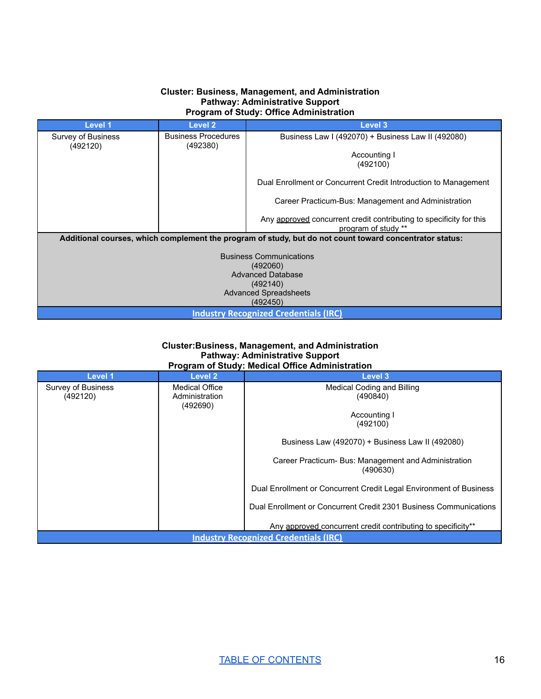#### **Cluster: Business, Management, and Administration Pathway: Administrative Support Program of Study: Office Administration**

| Level 1                                                                                                 | Level 2                                | <b>Level 3</b>                                                                             |  |  |  |  |
|---------------------------------------------------------------------------------------------------------|----------------------------------------|--------------------------------------------------------------------------------------------|--|--|--|--|
| Survey of Business<br>(492120)                                                                          | <b>Business Procedures</b><br>(492380) | Business Law I (492070) + Business Law II (492080)                                         |  |  |  |  |
|                                                                                                         |                                        | Accounting I<br>(492100)                                                                   |  |  |  |  |
|                                                                                                         |                                        | Dual Enrollment or Concurrent Credit Introduction to Management                            |  |  |  |  |
|                                                                                                         |                                        | Career Practicum-Bus: Management and Administration                                        |  |  |  |  |
|                                                                                                         |                                        | Any approved concurrent credit contributing to specificity for this<br>program of study ** |  |  |  |  |
| Additional courses, which complement the program of study, but do not count toward concentrator status: |                                        |                                                                                            |  |  |  |  |
| <b>Business Communications</b>                                                                          |                                        |                                                                                            |  |  |  |  |
|                                                                                                         | (492060)                               |                                                                                            |  |  |  |  |
| <b>Advanced Database</b>                                                                                |                                        |                                                                                            |  |  |  |  |
| (492140)                                                                                                |                                        |                                                                                            |  |  |  |  |
| <b>Advanced Spreadsheets</b>                                                                            |                                        |                                                                                            |  |  |  |  |
| (492450)                                                                                                |                                        |                                                                                            |  |  |  |  |
| <b>Industry Recognized Credentials (IRC)</b>                                                            |                                        |                                                                                            |  |  |  |  |

#### **Cluster:Business, Management, and Administration Pathway: Administrative Support Program of Study: Medical Office Administration**

| Level 1                                      | Level 2               | Level 3                                                            |  |
|----------------------------------------------|-----------------------|--------------------------------------------------------------------|--|
| Survey of Business                           | <b>Medical Office</b> | Medical Coding and Billing                                         |  |
| (492120)                                     | Administration        | (490840)                                                           |  |
|                                              | (492690)              |                                                                    |  |
|                                              |                       | Accounting I                                                       |  |
|                                              |                       | (492100)                                                           |  |
|                                              |                       | Business Law (492070) + Business Law II (492080)                   |  |
|                                              |                       | Career Practicum- Bus: Management and Administration<br>(490630)   |  |
|                                              |                       | Dual Enrollment or Concurrent Credit Legal Environment of Business |  |
|                                              |                       | Dual Enrollment or Concurrent Credit 2301 Business Communications  |  |
|                                              |                       | Any approved concurrent credit contributing to specificity**       |  |
| <b>Industry Recognized Credentials (IRC)</b> |                       |                                                                    |  |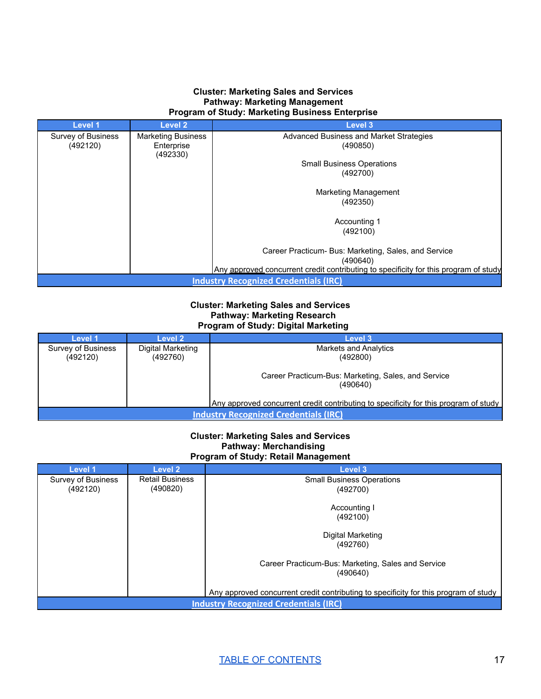#### **Cluster: Marketing Sales and Services Pathway: Marketing Management Program of Study: Marketing Business Enterprise**

| Level 1                                      | Level 2                   | Level 3                                                                              |  |
|----------------------------------------------|---------------------------|--------------------------------------------------------------------------------------|--|
| Survey of Business                           | <b>Marketing Business</b> | Advanced Business and Market Strategies                                              |  |
| (492120)                                     | Enterprise<br>(492330)    | (490850)                                                                             |  |
|                                              |                           | <b>Small Business Operations</b>                                                     |  |
|                                              |                           | (492700)                                                                             |  |
|                                              |                           | Marketing Management                                                                 |  |
|                                              |                           | (492350)                                                                             |  |
|                                              |                           | Accounting 1                                                                         |  |
|                                              |                           | (492100)                                                                             |  |
|                                              |                           | Career Practicum- Bus: Marketing, Sales, and Service                                 |  |
|                                              |                           | (490640)                                                                             |  |
|                                              |                           | Any approved concurrent credit contributing to specificity for this program of study |  |
| <b>Industry Recognized Credentials (IRC)</b> |                           |                                                                                      |  |

#### **Cluster: Marketing Sales and Services Pathway: Marketing Research Program of Study: Digital Marketing**

| Level 1                                                                              | Level 2                       | Level 3                                                         |  |  |
|--------------------------------------------------------------------------------------|-------------------------------|-----------------------------------------------------------------|--|--|
| Survey of Business<br>(492120)                                                       | Digital Marketing<br>(492760) | <b>Markets and Analytics</b><br>(492800)                        |  |  |
|                                                                                      |                               | Career Practicum-Bus: Marketing, Sales, and Service<br>(490640) |  |  |
| Any approved concurrent credit contributing to specificity for this program of study |                               |                                                                 |  |  |
| <b>Industry Recognized Credentials (IRC)</b>                                         |                               |                                                                 |  |  |

#### **Cluster: Marketing Sales and Services Pathway: Merchandising Program of Study: Retail Management**

| Level 1                                      | Level 2                | <b>Level 3</b>                                                                       |  |
|----------------------------------------------|------------------------|--------------------------------------------------------------------------------------|--|
| Survey of Business                           | <b>Retail Business</b> | <b>Small Business Operations</b>                                                     |  |
| (492120)                                     | (490820)               | (492700)                                                                             |  |
|                                              |                        |                                                                                      |  |
|                                              |                        | Accounting I                                                                         |  |
|                                              |                        | (492100)                                                                             |  |
|                                              |                        | Digital Marketing                                                                    |  |
|                                              |                        | (492760)                                                                             |  |
|                                              |                        |                                                                                      |  |
|                                              |                        | Career Practicum-Bus: Marketing, Sales and Service<br>(490640)                       |  |
|                                              |                        |                                                                                      |  |
|                                              |                        | Any approved concurrent credit contributing to specificity for this program of study |  |
| <b>Industry Recognized Credentials (IRC)</b> |                        |                                                                                      |  |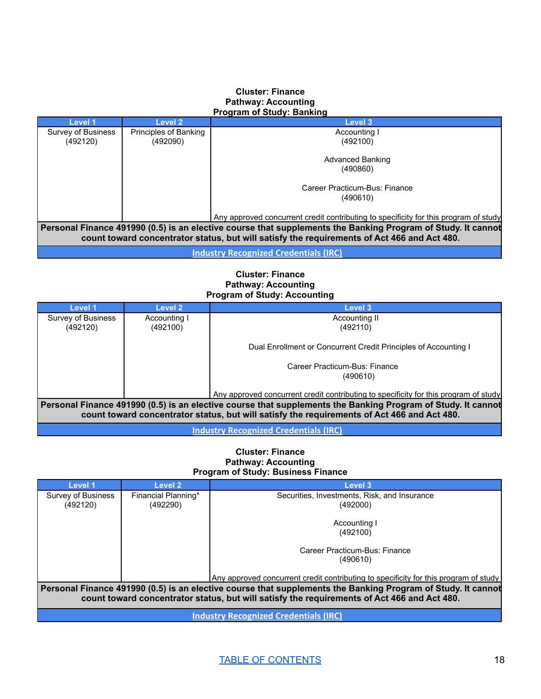#### **Cluster: Finance Pathway: Accounting Program of Study: Banking**

| Level 1                                                                                                                                                                                                     | Level 2               | Level 3                                                                              |  |
|-------------------------------------------------------------------------------------------------------------------------------------------------------------------------------------------------------------|-----------------------|--------------------------------------------------------------------------------------|--|
| Survey of Business                                                                                                                                                                                          | Principles of Banking | Accounting I                                                                         |  |
| (492120)                                                                                                                                                                                                    | (492090)              | (492100)                                                                             |  |
|                                                                                                                                                                                                             |                       | Advanced Banking                                                                     |  |
|                                                                                                                                                                                                             |                       | (490860)                                                                             |  |
|                                                                                                                                                                                                             |                       | Career Practicum-Bus: Finance                                                        |  |
|                                                                                                                                                                                                             |                       | (490610)                                                                             |  |
|                                                                                                                                                                                                             |                       | Any approved concurrent credit contributing to specificity for this program of study |  |
| Personal Finance 491990 (0.5) is an elective course that supplements the Banking Program of Study. It cannot<br>count toward concentrator status, but will satisfy the requirements of Act 466 and Act 480. |                       |                                                                                      |  |
|                                                                                                                                                                                                             |                       |                                                                                      |  |

**Industry [Recognized](https://dcte.ade.arkansas.gov/Page/CteStakeholders#IndustryCertifications) Credentials (IRC)**

# **Cluster: Finance Pathway: Accounting Program of Study: Accounting**

| Level 1                                                                                                      | Level 2      | Level 3                                                                              |  |  |
|--------------------------------------------------------------------------------------------------------------|--------------|--------------------------------------------------------------------------------------|--|--|
| Survey of Business                                                                                           | Accounting I | Accounting II                                                                        |  |  |
| (492120)                                                                                                     | (492100)     | (492110)                                                                             |  |  |
|                                                                                                              |              | Dual Enrollment or Concurrent Credit Principles of Accounting I                      |  |  |
|                                                                                                              |              | Career Practicum-Bus: Finance                                                        |  |  |
|                                                                                                              |              | (490610)                                                                             |  |  |
|                                                                                                              |              | Any approved concurrent credit contributing to specificity for this program of study |  |  |
| Personal Finance 491990 (0.5) is an elective course that supplements the Banking Program of Study. It cannot |              |                                                                                      |  |  |
| count toward concentrator status, but will satisfy the requirements of Act 466 and Act 480.                  |              |                                                                                      |  |  |
| <b>Industry Recognized Credentials (IRC)</b>                                                                 |              |                                                                                      |  |  |

#### **Cluster: Finance Pathway: Accounting Program of Study: Business Finance**

| <b>Level 1</b>                                                                                                                                                                                              | Level 2             | <b>Level 3</b>                                                                       |  |  |
|-------------------------------------------------------------------------------------------------------------------------------------------------------------------------------------------------------------|---------------------|--------------------------------------------------------------------------------------|--|--|
| Survey of Business                                                                                                                                                                                          | Financial Planning* | Securities, Investments, Risk, and Insurance                                         |  |  |
| (492120)                                                                                                                                                                                                    | (492290)            | (492000)                                                                             |  |  |
|                                                                                                                                                                                                             |                     |                                                                                      |  |  |
|                                                                                                                                                                                                             |                     | Accounting I                                                                         |  |  |
|                                                                                                                                                                                                             |                     | (492100)                                                                             |  |  |
|                                                                                                                                                                                                             |                     | Career Practicum-Bus: Finance                                                        |  |  |
|                                                                                                                                                                                                             |                     | (490610)                                                                             |  |  |
|                                                                                                                                                                                                             |                     | Any approved concurrent credit contributing to specificity for this program of study |  |  |
| Personal Finance 491990 (0.5) is an elective course that supplements the Banking Program of Study. It cannot<br>count toward concentrator status, but will satisfy the requirements of Act 466 and Act 480. |                     |                                                                                      |  |  |
|                                                                                                                                                                                                             |                     |                                                                                      |  |  |
| Inductry Pecognized Credentials (IDC)                                                                                                                                                                       |                     |                                                                                      |  |  |

**Industry [Recognized](https://dcte.ade.arkansas.gov/Page/CteStakeholders#IndustryCertificationshttps://dcte.ade.arkansas.gov/Page/CteAdministration) Credentials (IRC)**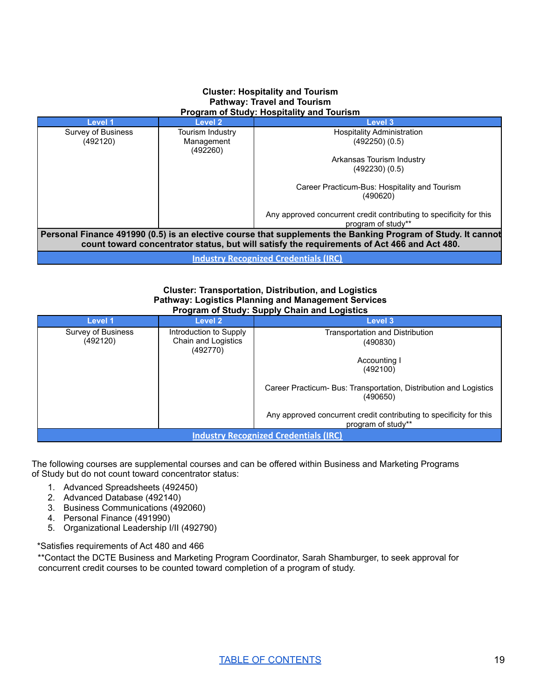#### **Cluster: Hospitality and Tourism Pathway: Travel and Tourism Program of Study: Hospitality and Tourism**

| <b>Level 1</b>                                                                                                                                                                                              | Level 2          | Level 3                                                                                   |  |  |
|-------------------------------------------------------------------------------------------------------------------------------------------------------------------------------------------------------------|------------------|-------------------------------------------------------------------------------------------|--|--|
| Survey of Business                                                                                                                                                                                          | Tourism Industry | <b>Hospitality Administration</b>                                                         |  |  |
| (492120)                                                                                                                                                                                                    | Management       | (492250)(0.5)                                                                             |  |  |
|                                                                                                                                                                                                             | (492260)         |                                                                                           |  |  |
|                                                                                                                                                                                                             |                  | Arkansas Tourism Industry                                                                 |  |  |
|                                                                                                                                                                                                             |                  | (492230)(0.5)                                                                             |  |  |
|                                                                                                                                                                                                             |                  | Career Practicum-Bus: Hospitality and Tourism<br>(490620)                                 |  |  |
|                                                                                                                                                                                                             |                  | Any approved concurrent credit contributing to specificity for this<br>program of study** |  |  |
| Personal Finance 491990 (0.5) is an elective course that supplements the Banking Program of Study. It cannot<br>count toward concentrator status, but will satisfy the requirements of Act 466 and Act 480. |                  |                                                                                           |  |  |
| <b>Industry Recognized Credentials (IRC)</b>                                                                                                                                                                |                  |                                                                                           |  |  |

#### **Cluster: Transportation, Distribution, and Logistics Pathway: Logistics Planning and Management Services Program of Study: Supply Chain and Logistics**

| Level 1                                      | Level 2                | <b>Level 3</b>                                                                            |  |
|----------------------------------------------|------------------------|-------------------------------------------------------------------------------------------|--|
|                                              |                        |                                                                                           |  |
| Survey of Business                           | Introduction to Supply | <b>Transportation and Distribution</b>                                                    |  |
| (492120)                                     | Chain and Logistics    | (490830)                                                                                  |  |
|                                              | (492770)               |                                                                                           |  |
|                                              |                        | Accounting I                                                                              |  |
|                                              |                        | (492100)                                                                                  |  |
|                                              |                        |                                                                                           |  |
|                                              |                        | Career Practicum- Bus: Transportation, Distribution and Logistics<br>(490650)             |  |
|                                              |                        | Any approved concurrent credit contributing to specificity for this<br>program of study** |  |
| <b>Industry Recognized Credentials (IRC)</b> |                        |                                                                                           |  |

The following courses are supplemental courses and can be offered within Business and Marketing Programs of Study but do not count toward concentrator status:

- 1. Advanced Spreadsheets (492450)
- 2. Advanced Database (492140)
- 3. Business Communications (492060)
- 4. Personal Finance (491990)
- 5. Organizational Leadership I/II (492790)

\*Satisfies requirements of Act 480 and 466

\*\*Contact the DCTE Business and Marketing Program Coordinator, Sarah Shamburger, to seek approval for concurrent credit courses to be counted toward completion of a program of study.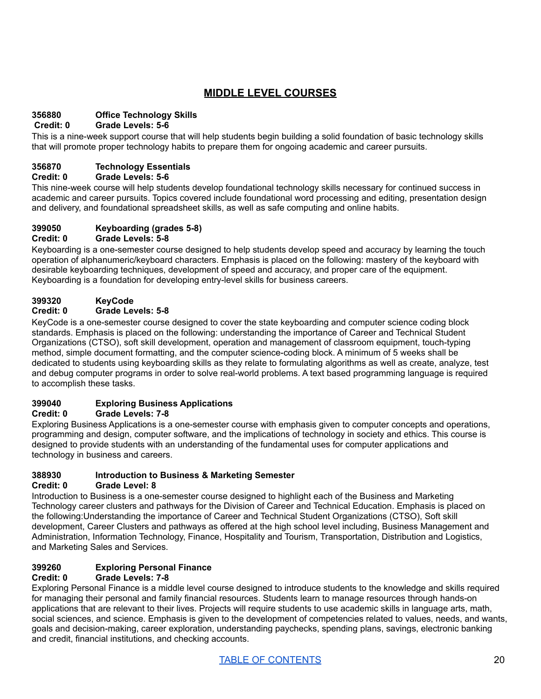# **MIDDLE LEVEL COURSES**

# **356880 Office Technology Skills**

# **Credit: 0 Grade Levels: 5-6**

This is a nine-week support course that will help students begin building a solid foundation of basic technology skills that will promote proper technology habits to prepare them for ongoing academic and career pursuits.

# **356870 Technology Essentials**

# **Credit: 0 Grade Levels: 5-6**

This nine-week course will help students develop foundational technology skills necessary for continued success in academic and career pursuits. Topics covered include foundational word processing and editing, presentation design and delivery, and foundational spreadsheet skills, as well as safe computing and online habits.

#### **399050 Keyboarding (grades 5-8) Credit: 0 Grade Levels: 5-8**

#### Keyboarding is a one-semester course designed to help students develop speed and accuracy by learning the touch operation of alphanumeric/keyboard characters. Emphasis is placed on the following: mastery of the keyboard with desirable keyboarding techniques, development of speed and accuracy, and proper care of the equipment. Keyboarding is a foundation for developing entry-level skills for business careers.

# **399320 KeyCode**

# **Credit: 0 Grade Levels: 5-8**

KeyCode is a one-semester course designed to cover the state keyboarding and computer science coding block standards. Emphasis is placed on the following: understanding the importance of Career and Technical Student Organizations (CTSO), soft skill development, operation and management of classroom equipment, touch-typing method, simple document formatting, and the computer science-coding block. A minimum of 5 weeks shall be dedicated to students using keyboarding skills as they relate to formulating algorithms as well as create, analyze, test and debug computer programs in order to solve real-world problems. A text based programming language is required to accomplish these tasks.

# **399040 Exploring Business Applications**

# **Credit: 0 Grade Levels: 7-8**

Exploring Business Applications is a one-semester course with emphasis given to computer concepts and operations, programming and design, computer software, and the implications of technology in society and ethics. This course is designed to provide students with an understanding of the fundamental uses for computer applications and technology in business and careers.

# **388930 Introduction to Business & Marketing Semester**

# **Credit: 0 Grade Level: 8**

Introduction to Business is a one-semester course designed to highlight each of the Business and Marketing Technology career clusters and pathways for the Division of Career and Technical Education. Emphasis is placed on the following:Understanding the importance of Career and Technical Student Organizations (CTSO), Soft skill development, Career Clusters and pathways as offered at the high school level including, Business Management and Administration, Information Technology, Finance, Hospitality and Tourism, Transportation, Distribution and Logistics, and Marketing Sales and Services.

# **399260 Exploring Personal Finance**

# **Credit: 0 Grade Levels: 7-8**

Exploring Personal Finance is a middle level course designed to introduce students to the knowledge and skills required for managing their personal and family financial resources. Students learn to manage resources through hands-on applications that are relevant to their lives. Projects will require students to use academic skills in language arts, math, social sciences, and science. Emphasis is given to the development of competencies related to values, needs, and wants, goals and decision-making, career exploration, understanding paychecks, spending plans, savings, electronic banking and credit, financial institutions, and checking accounts.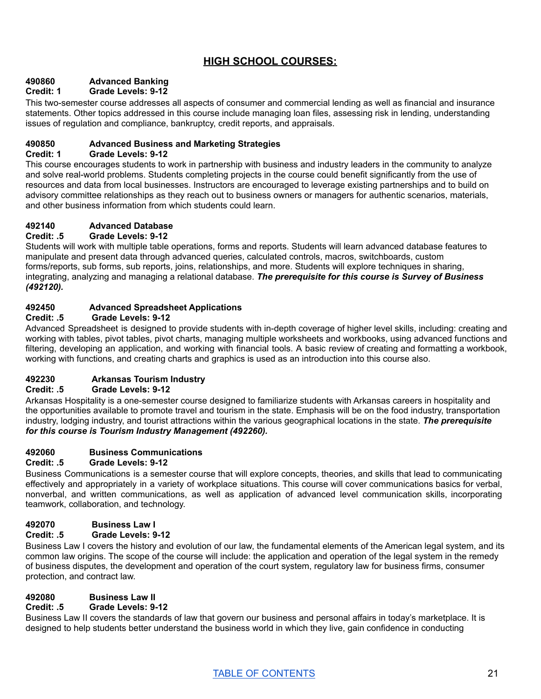# **HIGH SCHOOL COURSES:**

# **490860 Advanced Banking**

# **Credit: 1 Grade Levels: 9-12**

This two-semester course addresses all aspects of consumer and commercial lending as well as financial and insurance statements. Other topics addressed in this course include managing loan files, assessing risk in lending, understanding issues of regulation and compliance, bankruptcy, credit reports, and appraisals.

# **490850 Advanced Business and Marketing Strategies**

# **Credit: 1 Grade Levels: 9-12**

This course encourages students to work in partnership with business and industry leaders in the community to analyze and solve real-world problems. Students completing projects in the course could benefit significantly from the use of resources and data from local businesses. Instructors are encouraged to leverage existing partnerships and to build on advisory committee relationships as they reach out to business owners or managers for authentic scenarios, materials, and other business information from which students could learn.

# **492140 Advanced Database**

# **Credit: .5 Grade Levels: 9-12**

Students will work with multiple table operations, forms and reports. Students will learn advanced database features to manipulate and present data through advanced queries, calculated controls, macros, switchboards, custom forms/reports, sub forms, sub reports, joins, relationships, and more. Students will explore techniques in sharing, integrating, analyzing and managing a relational database. *The prerequisite for this course is Survey of Business (492120).*

# **492450 Advanced Spreadsheet Applications**

# **Credit: .5 Grade Levels: 9-12**

Advanced Spreadsheet is designed to provide students with in-depth coverage of higher level skills, including: creating and working with tables, pivot tables, pivot charts, managing multiple worksheets and workbooks, using advanced functions and filtering, developing an application, and working with financial tools. A basic review of creating and formatting a workbook, working with functions, and creating charts and graphics is used as an introduction into this course also.

# **492230 Arkansas Tourism Industry**

# **Credit: .5 Grade Levels: 9-12**

Arkansas Hospitality is a one-semester course designed to familiarize students with Arkansas careers in hospitality and the opportunities available to promote travel and tourism in the state. Emphasis will be on the food industry, transportation industry, lodging industry, and tourist attractions within the various geographical locations in the state. *The prerequisite for this course is Tourism Industry Management (492260).*

# **492060 Business Communications**

# **Credit: .5 Grade Levels: 9-12**

Business Communications is a semester course that will explore concepts, theories, and skills that lead to communicating effectively and appropriately in a variety of workplace situations. This course will cover communications basics for verbal, nonverbal, and written communications, as well as application of advanced level communication skills, incorporating teamwork, collaboration, and technology.

# **492070 Business Law I**

# **Credit: .5 Grade Levels: 9-12**

Business Law I covers the history and evolution of our law, the fundamental elements of the American legal system, and its common law origins. The scope of the course will include: the application and operation of the legal system in the remedy of business disputes, the development and operation of the court system, regulatory law for business firms, consumer protection, and contract law.

# **492080 Business Law II**

# **Credit: .5 Grade Levels: 9-12**

Business Law II covers the standards of law that govern our business and personal affairs in today's marketplace. It is designed to help students better understand the business world in which they live, gain confidence in conducting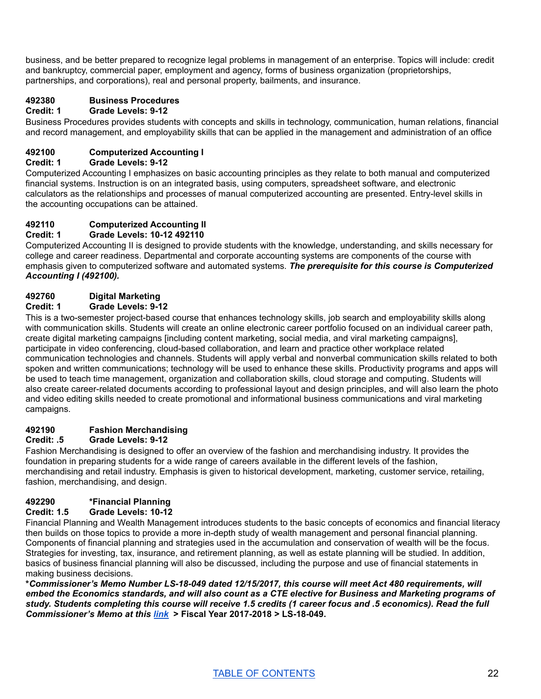business, and be better prepared to recognize legal problems in management of an enterprise. Topics will include: credit and bankruptcy, commercial paper, employment and agency, forms of business organization (proprietorships, partnerships, and corporations), real and personal property, bailments, and insurance.

# **492380 Business Procedures**

# **Credit: 1 Grade Levels: 9-12**

Business Procedures provides students with concepts and skills in technology, communication, human relations, financial and record management, and employability skills that can be applied in the management and administration of an office

# **492100 Computerized Accounting I**

# **Credit: 1 Grade Levels: 9-12**

Computerized Accounting I emphasizes on basic accounting principles as they relate to both manual and computerized financial systems. Instruction is on an integrated basis, using computers, spreadsheet software, and electronic calculators as the relationships and processes of manual computerized accounting are presented. Entry-level skills in the accounting occupations can be attained.

# **492110 Computerized Accounting II**

# **Credit: 1 Grade Levels: 10-12 492110**

Computerized Accounting II is designed to provide students with the knowledge, understanding, and skills necessary for college and career readiness. Departmental and corporate accounting systems are components of the course with emphasis given to computerized software and automated systems. *The prerequisite for this course is Computerized Accounting I (492100).*

# **492760 Digital Marketing**

# **Credit: 1 Grade Levels: 9-12**

This is a two-semester project-based course that enhances technology skills, job search and employability skills along with communication skills. Students will create an online electronic career portfolio focused on an individual career path, create digital marketing campaigns [including content marketing, social media, and viral marketing campaigns], participate in video conferencing, cloud-based collaboration, and learn and practice other workplace related communication technologies and channels. Students will apply verbal and nonverbal communication skills related to both spoken and written communications; technology will be used to enhance these skills. Productivity programs and apps will be used to teach time management, organization and collaboration skills, cloud storage and computing. Students will also create career-related documents according to professional layout and design principles, and will also learn the photo and video editing skills needed to create promotional and informational business communications and viral marketing campaigns.

# **492190 Fashion Merchandising**

# **Credit: .5 Grade Levels: 9-12**

Fashion Merchandising is designed to offer an overview of the fashion and merchandising industry. It provides the foundation in preparing students for a wide range of careers available in the different levels of the fashion, merchandising and retail industry. Emphasis is given to historical development, marketing, customer service, retailing, fashion, merchandising, and design.

# **492290 \*Financial Planning**

# **Credit: 1.5 Grade Levels: 10-12**

Financial Planning and Wealth Management introduces students to the basic concepts of economics and financial literacy then builds on those topics to provide a more in-depth study of wealth management and personal financial planning. Components of financial planning and strategies used in the accumulation and conservation of wealth will be the focus. Strategies for investing, tax, insurance, and retirement planning, as well as estate planning will be studied. In addition, basics of business financial planning will also be discussed, including the purpose and use of financial statements in making business decisions.

**\****Commissioner's Memo Number LS-18-049 dated 12/15/2017, this course will meet Act 480 requirements, will* embed the Economics standards, and will also count as a CTE elective for Business and Marketing programs of study. Students completing this course will receive 1.5 credits (1 career focus and .5 economics). Read the full *Commissioner's Memo at this [link](https://adecm.ade.arkansas.gov/Default.aspxaspxedMemo.aspx?Id=3458)* **> Fiscal Year 2017-2018 > LS-18-049.**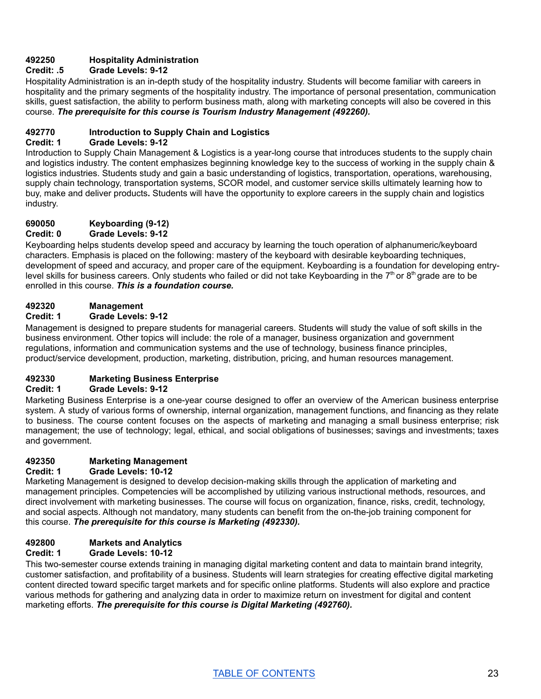# **492250 Hospitality Administration**

# **Credit: .5 Grade Levels: 9-12**

Hospitality Administration is an in-depth study of the hospitality industry. Students will become familiar with careers in hospitality and the primary segments of the hospitality industry. The importance of personal presentation, communication skills, guest satisfaction, the ability to perform business math, along with marketing concepts will also be covered in this course. *The prerequisite for this course is Tourism Industry Management (492260).*

# **492770 Introduction to Supply Chain and Logistics**

# **Credit: 1 Grade Levels: 9-12**

Introduction to Supply Chain Management & Logistics is a year-long course that introduces students to the supply chain and logistics industry. The content emphasizes beginning knowledge key to the success of working in the supply chain & logistics industries. Students study and gain a basic understanding of logistics, transportation, operations, warehousing, supply chain technology, transportation systems, SCOR model, and customer service skills ultimately learning how to buy, make and deliver products**.** Students will have the opportunity to explore careers in the supply chain and logistics industry.

# **690050 Keyboarding (9-12)**

# **Credit: 0 Grade Levels: 9-12**

Keyboarding helps students develop speed and accuracy by learning the touch operation of alphanumeric/keyboard characters. Emphasis is placed on the following: mastery of the keyboard with desirable keyboarding techniques, development of speed and accuracy, and proper care of the equipment. Keyboarding is a foundation for developing entrylevel skills for business careers. Only students who failed or did not take Keyboarding in the 7<sup>th</sup> or 8<sup>th</sup> grade are to be enrolled in this course. *This is a foundation course.*

# **492320 Management**

# **Credit: 1 Grade Levels: 9-12**

Management is designed to prepare students for managerial careers. Students will study the value of soft skills in the business environment. Other topics will include: the role of a manager, business organization and government regulations, information and communication systems and the use of technology, business finance principles, product/service development, production, marketing, distribution, pricing, and human resources management.

# **492330 Marketing Business Enterprise**

# **Credit: 1 Grade Levels: 9-12**

Marketing Business Enterprise is a one-year course designed to offer an overview of the American business enterprise system. A study of various forms of ownership, internal organization, management functions, and financing as they relate to business. The course content focuses on the aspects of marketing and managing a small business enterprise; risk management; the use of technology; legal, ethical, and social obligations of businesses; savings and investments; taxes and government.

# **492350 Marketing Management**

# **Credit: 1 Grade Levels: 10-12**

Marketing Management is designed to develop decision-making skills through the application of marketing and management principles. Competencies will be accomplished by utilizing various instructional methods, resources, and direct involvement with marketing businesses. The course will focus on organization, finance, risks, credit, technology, and social aspects. Although not mandatory, many students can benefit from the on-the-job training component for this course. *The prerequisite for this course is Marketing (492330).*

# **492800 Markets and Analytics**

# **Credit: 1 Grade Levels: 10-12**

This two-semester course extends training in managing digital marketing content and data to maintain brand integrity, customer satisfaction, and profitability of a business. Students will learn strategies for creating effective digital marketing content directed toward specific target markets and for specific online platforms. Students will also explore and practice various methods for gathering and analyzing data in order to maximize return on investment for digital and content marketing efforts. *The prerequisite for this course is Digital Marketing (492760).*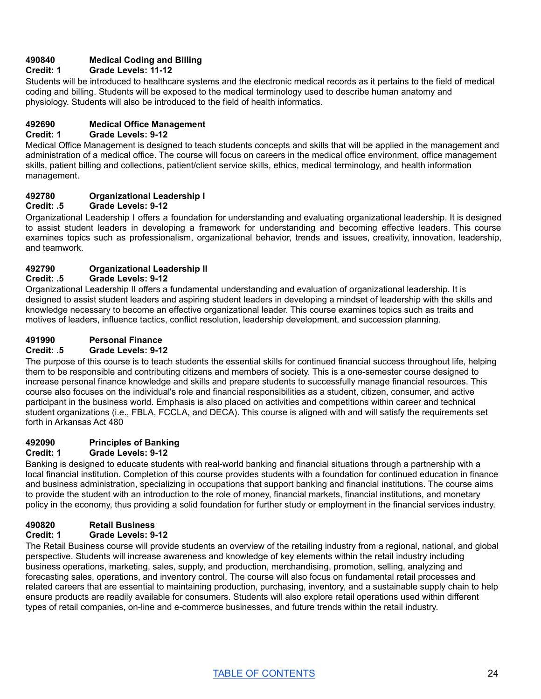# **490840 Medical Coding and Billing**

# **Credit: 1 Grade Levels: 11-12**

Students will be introduced to healthcare systems and the electronic medical records as it pertains to the field of medical coding and billing. Students will be exposed to the medical terminology used to describe human anatomy and physiology. Students will also be introduced to the field of health informatics.

# **492690 Medical Office Management**

## **Credit: 1 Grade Levels: 9-12**

Medical Office Management is designed to teach students concepts and skills that will be applied in the management and administration of a medical office. The course will focus on careers in the medical office environment, office management skills, patient billing and collections, patient/client service skills, ethics, medical terminology, and health information management.

# **492780 Organizational Leadership I**

#### **Credit: .5 Grade Levels: 9-12**

Organizational Leadership I offers a foundation for understanding and evaluating organizational leadership. It is designed to assist student leaders in developing a framework for understanding and becoming effective leaders. This course examines topics such as professionalism, organizational behavior, trends and issues, creativity, innovation, leadership, and teamwork.

# **492790 Organizational Leadership II**

# **Credit: .5 Grade Levels: 9-12**

Organizational Leadership II offers a fundamental understanding and evaluation of organizational leadership. It is designed to assist student leaders and aspiring student leaders in developing a mindset of leadership with the skills and knowledge necessary to become an effective organizational leader. This course examines topics such as traits and motives of leaders, influence tactics, conflict resolution, leadership development, and succession planning.

#### **491990 Personal Finance**

## **Credit: .5 Grade Levels: 9-12**

The purpose of this course is to teach students the essential skills for continued financial success throughout life, helping them to be responsible and contributing citizens and members of society. This is a one-semester course designed to increase personal finance knowledge and skills and prepare students to successfully manage financial resources. This course also focuses on the individual's role and financial responsibilities as a student, citizen, consumer, and active participant in the business world. Emphasis is also placed on activities and competitions within career and technical student organizations (i.e., FBLA, FCCLA, and DECA). This course is aligned with and will satisfy the requirements set forth in Arkansas Act 480

# **492090 Principles of Banking**

# **Credit: 1 Grade Levels: 9-12**

Banking is designed to educate students with real-world banking and financial situations through a partnership with a local financial institution. Completion of this course provides students with a foundation for continued education in finance and business administration, specializing in occupations that support banking and financial institutions. The course aims to provide the student with an introduction to the role of money, financial markets, financial institutions, and monetary policy in the economy, thus providing a solid foundation for further study or employment in the financial services industry.

# **490820 Retail Business**

# **Credit: 1 Grade Levels: 9-12**

The Retail Business course will provide students an overview of the retailing industry from a regional, national, and global perspective. Students will increase awareness and knowledge of key elements within the retail industry including business operations, marketing, sales, supply, and production, merchandising, promotion, selling, analyzing and forecasting sales, operations, and inventory control. The course will also focus on fundamental retail processes and related careers that are essential to maintaining production, purchasing, inventory, and a sustainable supply chain to help ensure products are readily available for consumers. Students will also explore retail operations used within different types of retail companies, on-line and e-commerce businesses, and future trends within the retail industry.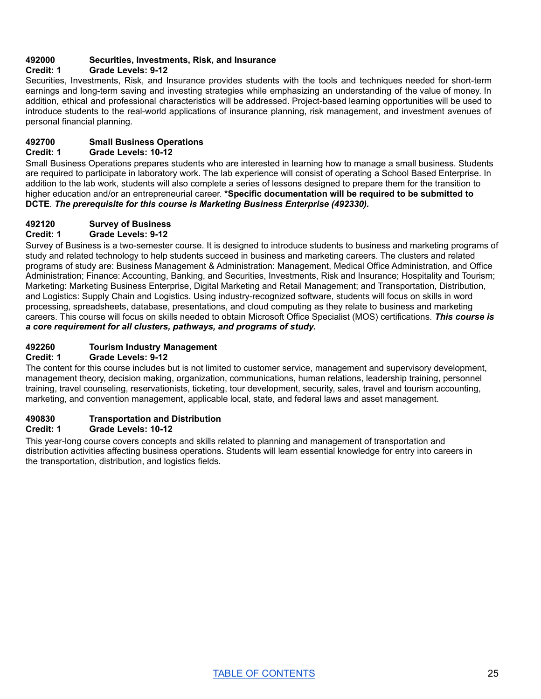# **492000 Securities, Investments, Risk, and Insurance**

## **Credit: 1 Grade Levels: 9-12**

Securities, Investments, Risk, and Insurance provides students with the tools and techniques needed for short-term earnings and long-term saving and investing strategies while emphasizing an understanding of the value of money. In addition, ethical and professional characteristics will be addressed. Project-based learning opportunities will be used to introduce students to the real-world applications of insurance planning, risk management, and investment avenues of personal financial planning.

# **492700 Small Business Operations**

## **Credit: 1 Grade Levels: 10-12**

Small Business Operations prepares students who are interested in learning how to manage a small business. Students are required to participate in laboratory work. The lab experience will consist of operating a School Based Enterprise. In addition to the lab work, students will also complete a series of lessons designed to prepare them for the transition to higher education and/or an entrepreneurial career. **\*Specific documentation will be required to be submitted to DCTE**. *The prerequisite for this course is Marketing Business Enterprise (492330).*

#### **492120 Survey of Business**

# **Credit: 1 Grade Levels: 9-12**

Survey of Business is a two-semester course. It is designed to introduce students to business and marketing programs of study and related technology to help students succeed in business and marketing careers. The clusters and related programs of study are: Business Management & Administration: Management, Medical Office Administration, and Office Administration; Finance: Accounting, Banking, and Securities, Investments, Risk and Insurance; Hospitality and Tourism; Marketing: Marketing Business Enterprise, Digital Marketing and Retail Management; and Transportation, Distribution, and Logistics: Supply Chain and Logistics. Using industry-recognized software, students will focus on skills in word processing, spreadsheets, database, presentations, and cloud computing as they relate to business and marketing careers. This course will focus on skills needed to obtain Microsoft Office Specialist (MOS) certifications. *This course is a core requirement for all clusters, pathways, and programs of study.*

## **492260 Tourism Industry Management**

#### **Credit: 1 Grade Levels: 9-12**

The content for this course includes but is not limited to customer service, management and supervisory development, management theory, decision making, organization, communications, human relations, leadership training, personnel training, travel counseling, reservationists, ticketing, tour development, security, sales, travel and tourism accounting, marketing, and convention management, applicable local, state, and federal laws and asset management.

# **490830 Transportation and Distribution**

#### **Credit: 1 Grade Levels: 10-12**

This year-long course covers concepts and skills related to planning and management of transportation and distribution activities affecting business operations. Students will learn essential knowledge for entry into careers in the transportation, distribution, and logistics fields.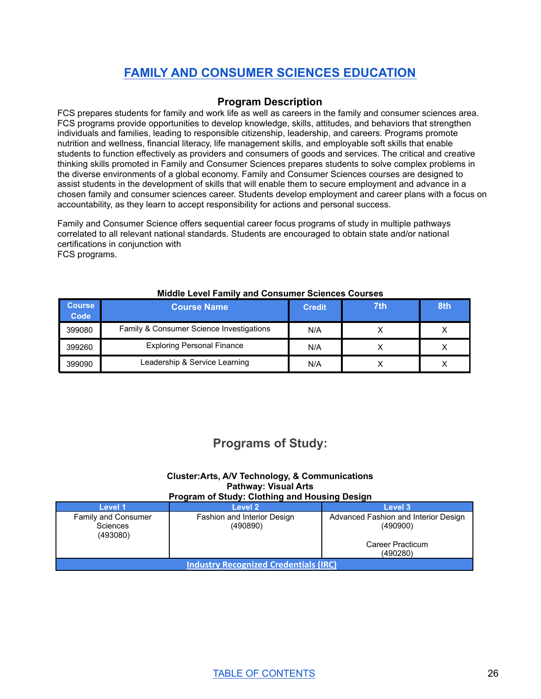# **FAMILY AND CONSUMER SCIENCES [EDUCATION](#page-26-0)**

# **Program Description**

<span id="page-26-0"></span>FCS prepares students for family and work life as well as careers in the family and consumer sciences area. FCS programs provide opportunities to develop knowledge, skills, attitudes, and behaviors that strengthen individuals and families, leading to responsible citizenship, leadership, and careers. Programs promote nutrition and wellness, financial literacy, life management skills, and employable soft skills that enable students to function effectively as providers and consumers of goods and services. The critical and creative thinking skills promoted in Family and Consumer Sciences prepares students to solve complex problems in the diverse environments of a global economy. Family and Consumer Sciences courses are designed to assist students in the development of skills that will enable them to secure employment and advance in a chosen family and consumer sciences career. Students develop employment and career plans with a focus on accountability, as they learn to accept responsibility for actions and personal success.

Family and Consumer Science offers sequential career focus programs of study in multiple pathways correlated to all relevant national standards. Students are encouraged to obtain state and/or national certifications in [c](http://fcclainc.org/)onjunction with

FCS programs.

| <b>Course</b><br>Code | <b>Course Name</b>                       | <b>Credit</b> | 7th | 8th |
|-----------------------|------------------------------------------|---------------|-----|-----|
| 399080                | Family & Consumer Science Investigations | N/A           |     |     |
| 399260                | <b>Exploring Personal Finance</b>        | N/A           |     |     |
| 399090                | Leadership & Service Learning            | N/A           |     |     |

#### **Middle Level Family and Consumer Sciences Courses**

# **Programs of Study:**

# **Cluster:Arts, A/V Technology, & Communications Pathway: Visual Arts**

#### **Program of Study: Clothing and Housing Design**

| Level 1                                      | Level 2                                 | Level 3                                          |  |
|----------------------------------------------|-----------------------------------------|--------------------------------------------------|--|
| Family and Consumer<br>Sciences<br>(493080)  | Fashion and Interior Design<br>(490890) | Advanced Fashion and Interior Design<br>(490900) |  |
|                                              |                                         | Career Practicum<br>(490280)                     |  |
| <b>Industry Recognized Credentials (IRC)</b> |                                         |                                                  |  |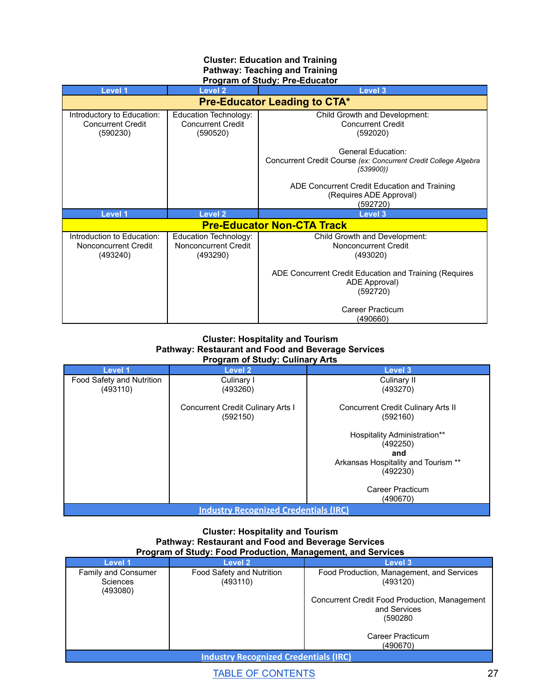#### **Cluster: Education and Training Pathway: Teaching and Training Program of Study: Pre-Educator**

| <b>Level 2</b>                                                | Level 3                                                                                                                                                                             |  |  |  |
|---------------------------------------------------------------|-------------------------------------------------------------------------------------------------------------------------------------------------------------------------------------|--|--|--|
| <b>Pre-Educator Leading to CTA*</b>                           |                                                                                                                                                                                     |  |  |  |
| Education Technology:<br><b>Concurrent Credit</b><br>(590520) | Child Growth and Development:<br><b>Concurrent Credit</b><br>(592020)                                                                                                               |  |  |  |
|                                                               | General Education:<br>Concurrent Credit Course (ex: Concurrent Credit College Algebra<br>(539900)<br>ADE Concurrent Credit Education and Training<br>(Requires ADE Approval)        |  |  |  |
|                                                               | (592720)<br>Level 3                                                                                                                                                                 |  |  |  |
|                                                               | <b>Pre-Educator Non-CTA Track</b>                                                                                                                                                   |  |  |  |
| Education Technology:<br>Nonconcurrent Credit<br>(493290)     | Child Growth and Development:<br>Nonconcurrent Credit<br>(493020)<br>ADE Concurrent Credit Education and Training (Requires<br>ADE Approval)<br>(592720)<br><b>Career Practicum</b> |  |  |  |
|                                                               | Level <sub>2</sub>                                                                                                                                                                  |  |  |  |

#### **Cluster: Hospitality and Tourism Pathway: Restaurant and Food and Beverage Services Program of Study: Culinary Arts**

| Level 1                                      | Level 2                                              | Level 3                                        |  |
|----------------------------------------------|------------------------------------------------------|------------------------------------------------|--|
| Food Safety and Nutrition                    | Culinary I                                           | Culinary II                                    |  |
| (493110)                                     | (493260)                                             | (493270)                                       |  |
|                                              | <b>Concurrent Credit Culinary Arts I</b><br>(592150) | Concurrent Credit Culinary Arts II<br>(592160) |  |
|                                              |                                                      | <b>Hospitality Administration**</b>            |  |
|                                              |                                                      | (492250)                                       |  |
|                                              |                                                      | and                                            |  |
|                                              |                                                      | Arkansas Hospitality and Tourism **            |  |
|                                              |                                                      | (492230)                                       |  |
|                                              |                                                      | Career Practicum                               |  |
|                                              |                                                      | (490670)                                       |  |
| <b>Industry Recognized Credentials (IRC)</b> |                                                      |                                                |  |

#### **Cluster: Hospitality and Tourism Pathway: Restaurant and Food and Beverage Services Program of Study: Food Production, Management, and Services**

| Level 1                                      | Level 2                   | Level 3                                                       |  |
|----------------------------------------------|---------------------------|---------------------------------------------------------------|--|
| Family and Consumer                          | Food Safety and Nutrition | Food Production, Management, and Services                     |  |
| Sciences<br>(493080)                         | (493110)                  | (493120)                                                      |  |
|                                              |                           | Concurrent Credit Food Production, Management<br>and Services |  |
|                                              |                           | (590280                                                       |  |
|                                              |                           | Career Practicum                                              |  |
|                                              |                           | (490670)                                                      |  |
| <b>Industry Recognized Credentials (IRC)</b> |                           |                                                               |  |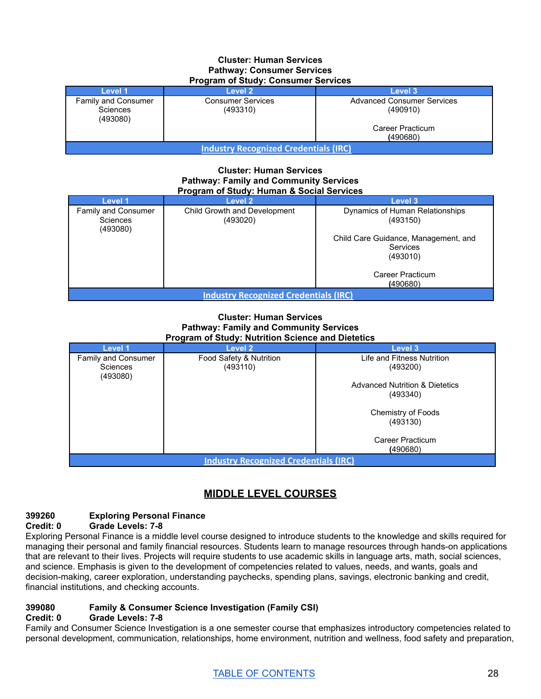#### **Cluster: Human Services Pathway: Consumer Services Program of Study: Consumer Services**

| <b>1 TOGFAILL OF OLDUBY.</b> OUTBUTTEL OCTVICES |                                      |                                               |  |  |
|-------------------------------------------------|--------------------------------------|-----------------------------------------------|--|--|
| Level 1                                         | Level 2                              | Level 3                                       |  |  |
| Family and Consumer<br>Sciences<br>(493080)     | <b>Consumer Services</b><br>(493310) | <b>Advanced Consumer Services</b><br>(490910) |  |  |
| Career Practicum<br>(490680)                    |                                      |                                               |  |  |
| <b>Industry Recognized Credentials (IRC)</b>    |                                      |                                               |  |  |

#### **Cluster: Human Services Pathway: Family and Community Services Program of Study: Human & Social Services**

| Level 1                                      | Level 2                      | Level 3                              |  |  |  |
|----------------------------------------------|------------------------------|--------------------------------------|--|--|--|
| Family and Consumer                          | Child Growth and Development | Dynamics of Human Relationships      |  |  |  |
| <b>Sciences</b><br>(493080)                  | (493020)                     | (493150)                             |  |  |  |
|                                              |                              | Child Care Guidance, Management, and |  |  |  |
|                                              |                              | Services                             |  |  |  |
|                                              |                              | (493010)                             |  |  |  |
|                                              |                              | Career Practicum                     |  |  |  |
| (490680)                                     |                              |                                      |  |  |  |
| <b>Industry Recognized Credentials (IRC)</b> |                              |                                      |  |  |  |

#### **Cluster: Human Services Pathway: Family and Community Services Program of Study: Nutrition Science and Dietetics**

| .<br>________________                        |                         |                                           |  |  |
|----------------------------------------------|-------------------------|-------------------------------------------|--|--|
| Level 1                                      | Level 2                 | Level 3                                   |  |  |
| Family and Consumer                          | Food Safety & Nutrition | Life and Fitness Nutrition                |  |  |
| <b>Sciences</b><br>(493080)                  | (493110)                | (493200)                                  |  |  |
|                                              |                         | <b>Advanced Nutrition &amp; Dietetics</b> |  |  |
|                                              |                         | (493340)                                  |  |  |
|                                              |                         | Chemistry of Foods                        |  |  |
|                                              |                         | (493130)                                  |  |  |
|                                              |                         | Career Practicum                          |  |  |
|                                              |                         | (490680)                                  |  |  |
| <b>Industry Recognized Credentials (IRC)</b> |                         |                                           |  |  |

# **MIDDLE LEVEL COURSES**

#### **399260 Exploring Personal Finance Credit: 0 Grade Levels: 7-8**

Exploring Personal Finance is a middle level course designed to introduce students to the knowledge and skills required for managing their personal and family financial resources. Students learn to manage resources through hands-on applications that are relevant to their lives. Projects will require students to use academic skills in language arts, math, social sciences, and science. Emphasis is given to the development of competencies related to values, needs, and wants, goals and decision-making, career exploration, understanding paychecks, spending plans, savings, electronic banking and credit, financial institutions, and checking accounts.

# **399080 Family & Consumer Science Investigation (Family CSI)**

# **Credit: 0 Grade Levels: 7-8**

Family and Consumer Science Investigation is a one semester course that emphasizes introductory competencies related to personal development, communication, relationships, home environment, nutrition and wellness, food safety and preparation,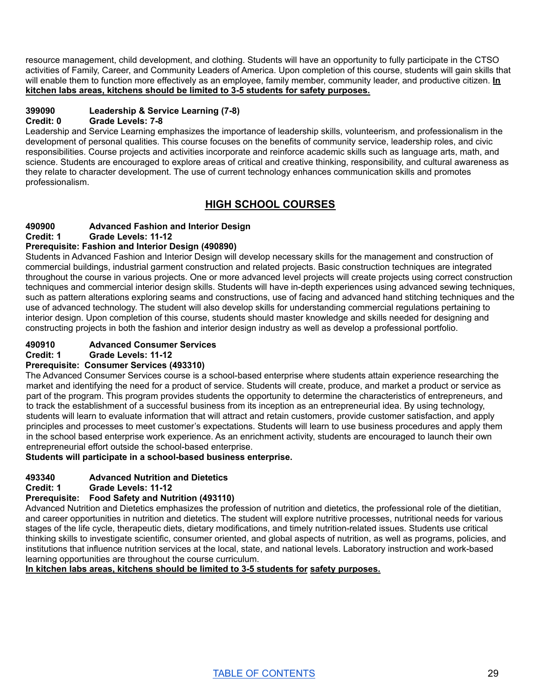resource management, child development, and clothing. Students will have an opportunity to fully participate in the CTSO activities of Family, Career, and Community Leaders of America. Upon completion of this course, students will gain skills that will enable them to function more effectively as an employee, family member, community leader, and productive citizen. **In kitchen labs areas, kitchens should be limited to 3-5 students for safety purposes.**

# **399090 Leadership & Service Learning (7-8)**

# **Credit: 0 Grade Levels: 7-8**

Leadership and Service Learning emphasizes the importance of leadership skills, volunteerism, and professionalism in the development of personal qualities. This course focuses on the benefits of community service, leadership roles, and civic responsibilities. Course projects and activities incorporate and reinforce academic skills such as language arts, math, and science. Students are encouraged to explore areas of critical and creative thinking, responsibility, and cultural awareness as they relate to character development. The use of current technology enhances communication skills and promotes professionalism.

# **HIGH SCHOOL COURSES**

# **490900 Advanced Fashion and Interior Design**

**Credit: 1 Grade Levels: 11-12**

# **Prerequisite: Fashion and Interior Design (490890)**

Students in Advanced Fashion and Interior Design will develop necessary skills for the management and construction of commercial buildings, industrial garment construction and related projects. Basic construction techniques are integrated throughout the course in various projects. One or more advanced level projects will create projects using correct construction techniques and commercial interior design skills. Students will have in-depth experiences using advanced sewing techniques, such as pattern alterations exploring seams and constructions, use of facing and advanced hand stitching techniques and the use of advanced technology. The student will also develop skills for understanding commercial regulations pertaining to interior design. Upon completion of this course, students should master knowledge and skills needed for designing and constructing projects in both the fashion and interior design industry as well as develop a professional portfolio.

# **490910 Advanced Consumer Services**

**Credit: 1 Grade Levels: 11-12**

# **Prerequisite: Consumer Services (493310)**

The Advanced Consumer Services course is a school-based enterprise where students attain experience researching the market and identifying the need for a product of service. Students will create, produce, and market a product or service as part of the program. This program provides students the opportunity to determine the characteristics of entrepreneurs, and to track the establishment of a successful business from its inception as an entrepreneurial idea. By using technology, students will learn to evaluate information that will attract and retain customers, provide customer satisfaction, and apply principles and processes to meet customer's expectations. Students will learn to use business procedures and apply them in the school based enterprise work experience. As an enrichment activity, students are encouraged to launch their own entrepreneurial effort outside the school-based enterprise.

# **Students will participate in a school-based business enterprise.**

# **493340 Advanced Nutrition and Dietetics**

# **Credit: 1 Grade Levels: 11-12**

# **Prerequisite: Food Safety and Nutrition (493110)**

Advanced Nutrition and Dietetics emphasizes the profession of nutrition and dietetics, the professional role of the dietitian, and career opportunities in nutrition and dietetics. The student will explore nutritive processes, nutritional needs for various stages of the life cycle, therapeutic diets, dietary modifications, and timely nutrition-related issues. Students use critical thinking skills to investigate scientific, consumer oriented, and global aspects of nutrition, as well as programs, policies, and institutions that influence nutrition services at the local, state, and national levels. Laboratory instruction and work-based learning opportunities are throughout the course curriculum.

**In kitchen labs areas, kitchens should be limited to 3-5 students for safety purposes.**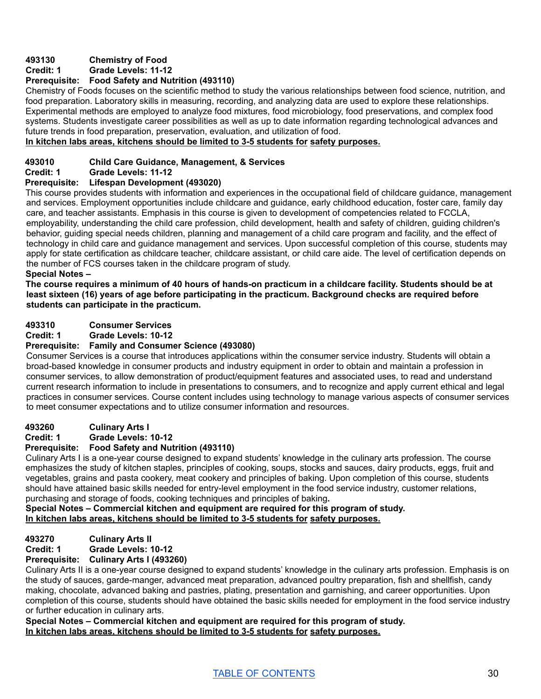# **493130 Chemistry of Food**

# **Credit: 1 Grade Levels: 11-12**

# **Prerequisite: Food Safety and Nutrition (493110)**

Chemistry of Foods focuses on the scientific method to study the various relationships between food science, nutrition, and food preparation. Laboratory skills in measuring, recording, and analyzing data are used to explore these relationships. Experimental methods are employed to analyze food mixtures, food microbiology, food preservations, and complex food systems. Students investigate career possibilities as well as up to date information regarding technological advances and future trends in food preparation, preservation, evaluation, and utilization of food.

# **In kitchen labs areas, kitchens should be limited to 3-5 students for safety purposes.**

## **493010 Child Care Guidance, Management, & Services**

**Credit: 1 Grade Levels: 11-12**

# **Prerequisite: Lifespan Development (493020)**

This course provides students with information and experiences in the occupational field of childcare guidance, management and services. Employment opportunities include childcare and guidance, early childhood education, foster care, family day care, and teacher assistants. Emphasis in this course is given to development of competencies related to FCCLA, employability, understanding the child care profession, child development, health and safety of children, guiding children's behavior, guiding special needs children, planning and management of a child care program and facility, and the effect of technology in child care and guidance management and services. Upon successful completion of this course, students may apply for state certification as childcare teacher, childcare assistant, or child care aide. The level of certification depends on the number of FCS courses taken in the childcare program of study.

#### **Special Notes –**

The course requires a minimum of 40 hours of hands-on practicum in a childcare facility. Students should be at **least sixteen (16) years of age before participating in the practicum. Background checks are required before students can participate in the practicum.**

# **493310 Consumer Services**

**Credit: 1 Grade Levels: 10-12**

## **Prerequisite: Family and Consumer Science (493080)**

Consumer Services is a course that introduces applications within the consumer service industry. Students will obtain a broad-based knowledge in consumer products and industry equipment in order to obtain and maintain a profession in consumer services, to allow demonstration of product/equipment features and associated uses, to read and understand current research information to include in presentations to consumers, and to recognize and apply current ethical and legal practices in consumer services. Course content includes using technology to manage various aspects of consumer services to meet consumer expectations and to utilize consumer information and resources.

#### **493260 Culinary Arts I**

**Credit: 1 Grade Levels: 10-12**

## **Prerequisite: Food Safety and Nutrition (493110)**

Culinary Arts I is a one-year course designed to expand students' knowledge in the culinary arts profession. The course emphasizes the study of kitchen staples, principles of cooking, soups, stocks and sauces, dairy products, eggs, fruit and vegetables, grains and pasta cookery, meat cookery and principles of baking. Upon completion of this course, students should have attained basic skills needed for entry-level employment in the food service industry, customer relations, purchasing and storage of foods, cooking techniques and principles of baking**.**

**Special Notes – Commercial kitchen and equipment are required for this program of study. In kitchen labs areas, kitchens should be limited to 3-5 students for safety purposes.**

# **493270 Culinary Arts II**

**Credit: 1 Grade Levels: 10-12**

# **Prerequisite: Culinary Arts I (493260)**

Culinary Arts II is a one-year course designed to expand students' knowledge in the culinary arts profession. Emphasis is on the study of sauces, garde-manger, advanced meat preparation, advanced poultry preparation, fish and shellfish, candy making, chocolate, advanced baking and pastries, plating, presentation and garnishing, and career opportunities. Upon completion of this course, students should have obtained the basic skills needed for employment in the food service industry or further education in culinary arts.

**Special Notes – Commercial kitchen and equipment are required for this program of study. In kitchen labs areas, kitchens should be limited to 3-5 students for safety purposes.**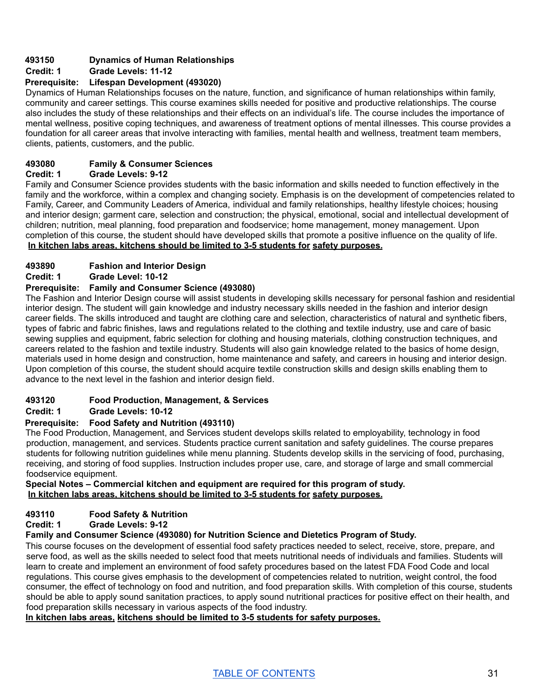# **493150 Dynamics of Human Relationships**

# **Credit: 1 Grade Levels: 11-12**

# **Prerequisite: Lifespan Development (493020)**

Dynamics of Human Relationships focuses on the nature, function, and significance of human relationships within family, community and career settings. This course examines skills needed for positive and productive relationships. The course also includes the study of these relationships and their effects on an individual's life. The course includes the importance of mental wellness, positive coping techniques, and awareness of treatment options of mental illnesses. This course provides a foundation for all career areas that involve interacting with families, mental health and wellness, treatment team members, clients, patients, customers, and the public.

# **493080 Family & Consumer Sciences**

# **Credit: 1 Grade Levels: 9-12**

Family and Consumer Science provides students with the basic information and skills needed to function effectively in the family and the workforce, within a complex and changing society. Emphasis is on the development of competencies related to Family, Career, and Community Leaders of America, individual and family relationships, healthy lifestyle choices; housing and interior design; garment care, selection and construction; the physical, emotional, social and intellectual development of children; nutrition, meal planning, food preparation and foodservice; home management, money management. Upon completion of this course, the student should have developed skills that promote a positive influence on the quality of life. **In kitchen labs areas, kitchens should be limited to 3-5 students for safety purposes.**

# **493890 Fashion and Interior Design**

# **Credit: 1 Grade Level: 10-12**

# **Prerequisite: Family and Consumer Science (493080)**

The Fashion and Interior Design course will assist students in developing skills necessary for personal fashion and residential interior design. The student will gain knowledge and industry necessary skills needed in the fashion and interior design career fields. The skills introduced and taught are clothing care and selection, characteristics of natural and synthetic fibers, types of fabric and fabric finishes, laws and regulations related to the clothing and textile industry, use and care of basic sewing supplies and equipment, fabric selection for clothing and housing materials, clothing construction techniques, and careers related to the fashion and textile industry. Students will also gain knowledge related to the basics of home design, materials used in home design and construction, home maintenance and safety, and careers in housing and interior design. Upon completion of this course, the student should acquire textile construction skills and design skills enabling them to advance to the next level in the fashion and interior design field.

# **493120 Food Production, Management, & Services**

# **Credit: 1 Grade Levels: 10-12**

# **Prerequisite: Food Safety and Nutrition (493110)**

The Food Production, Management, and Services student develops skills related to employability, technology in food production, management, and services. Students practice current sanitation and safety guidelines. The course prepares students for following nutrition guidelines while menu planning. Students develop skills in the servicing of food, purchasing, receiving, and storing of food supplies. Instruction includes proper use, care, and storage of large and small commercial foodservice equipment.

# **Special Notes – Commercial kitchen and equipment are required for this program of study. In kitchen labs areas, kitchens should be limited to 3-5 students for safety purposes.**

# **493110 Food Safety & Nutrition**

# **Credit: 1 Grade Levels: 9-12**

# **Family and Consumer Science (493080) for Nutrition Science and Dietetics Program of Study.**

This course focuses on the development of essential food safety practices needed to select, receive, store, prepare, and serve food, as well as the skills needed to select food that meets nutritional needs of individuals and families. Students will learn to create and implement an environment of food safety procedures based on the latest FDA Food Code and local regulations. This course gives emphasis to the development of competencies related to nutrition, weight control, the food consumer, the effect of technology on food and nutrition, and food preparation skills. With completion of this course, students should be able to apply sound sanitation practices, to apply sound nutritional practices for positive effect on their health, and food preparation skills necessary in various aspects of the food industry.

# **In kitchen labs areas, kitchens should be limited to 3-5 students for safety purposes.**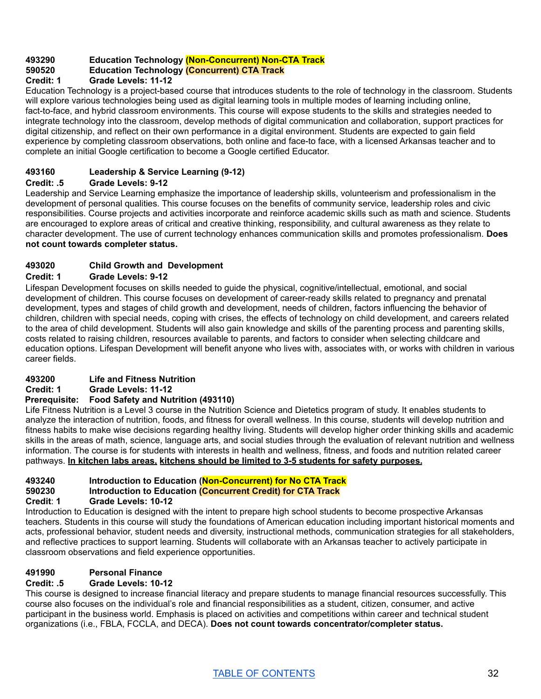# **493290 Education Technology (Non-Concurrent) Non-CTA Track**

# **590520 Education Technology (Concurrent) CTA Track**

# **Credit: 1 Grade Levels: 11-12**

Education Technology is a project-based course that introduces students to the role of technology in the classroom. Students will explore various technologies being used as digital learning tools in multiple modes of learning including online, fact-to-face, and hybrid classroom environments. This course will expose students to the skills and strategies needed to integrate technology into the classroom, develop methods of digital communication and collaboration, support practices for digital citizenship, and reflect on their own performance in a digital environment. Students are expected to gain field experience by completing classroom observations, both online and face-to face, with a licensed Arkansas teacher and to complete an initial Google certification to become a Google certified Educator.

# **493160 Leadership & Service Learning (9-12)**

# **Credit: .5 Grade Levels: 9-12**

Leadership and Service Learning emphasize the importance of leadership skills, volunteerism and professionalism in the development of personal qualities. This course focuses on the benefits of community service, leadership roles and civic responsibilities. Course projects and activities incorporate and reinforce academic skills such as math and science. Students are encouraged to explore areas of critical and creative thinking, responsibility, and cultural awareness as they relate to character development. The use of current technology enhances communication skills and promotes professionalism. **Does not count towards completer status.**

# **493020 Child Growth and Development**

# **Credit: 1 Grade Levels: 9-12**

Lifespan Development focuses on skills needed to guide the physical, cognitive/intellectual, emotional, and social development of children. This course focuses on development of career-ready skills related to pregnancy and prenatal development, types and stages of child growth and development, needs of children, factors influencing the behavior of children, children with special needs, coping with crises, the effects of technology on child development, and careers related to the area of child development. Students will also gain knowledge and skills of the parenting process and parenting skills, costs related to raising children, resources available to parents, and factors to consider when selecting childcare and education options. Lifespan Development will benefit anyone who lives with, associates with, or works with children in various career fields.

# **493200 Life and Fitness Nutrition**

**Credit: 1 Grade Levels: 11-12**

# **Prerequisite: Food Safety and Nutrition (493110)**

Life Fitness Nutrition is a Level 3 course in the Nutrition Science and Dietetics program of study. It enables students to analyze the interaction of nutrition, foods, and fitness for overall wellness. In this course, students will develop nutrition and fitness habits to make wise decisions regarding healthy living. Students will develop higher order thinking skills and academic skills in the areas of math, science, language arts, and social studies through the evaluation of relevant nutrition and wellness information. The course is for students with interests in health and wellness, fitness, and foods and nutrition related career pathways. **In kitchen labs areas, kitchens should be limited to 3-5 students for safety purposes.**

# **493240 Introduction to Education (Non-Concurrent) for No CTA Track**

# **590230 Introduction to Education (Concurrent Credit) for CTA Track**

# **Credit**: **1 Grade Levels: 10-12**

Introduction to Education is designed with the intent to prepare high school students to become prospective Arkansas teachers. Students in this course will study the foundations of American education including important historical moments and acts, professional behavior, student needs and diversity, instructional methods, communication strategies for all stakeholders, and reflective practices to support learning. Students will collaborate with an Arkansas teacher to actively participate in classroom observations and field experience opportunities.

# **491990 Personal Finance**

# **Credit: .5 Grade Levels: 10-12**

This course is designed to increase financial literacy and prepare students to manage financial resources successfully. This course also focuses on the individual's role and financial responsibilities as a student, citizen, consumer, and active participant in the business world. Emphasis is placed on activities and competitions within career and technical student organizations (i.e., FBLA, FCCLA, and DECA). **Does not count towards concentrator/completer status.**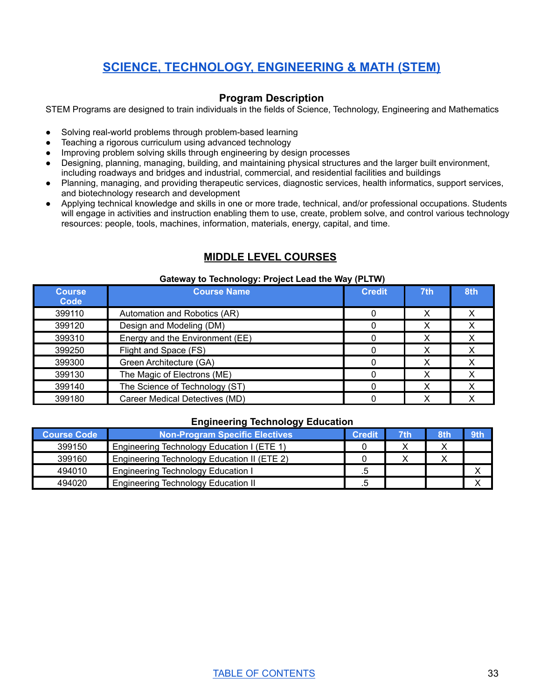# **SCIENCE, [TECHNOLOGY,](#page-33-0) ENGINEERING & MATH (STEM)**

# **Program Description**

<span id="page-33-0"></span>STEM Programs are designed to train individuals in the fields of Science, Technology, Engineering and Mathematics

- Solving real-world problems through problem-based learning
- Teaching a rigorous curriculum using advanced technology
- Improving problem solving skills through engineering by design processes
- Designing, planning, managing, building, and maintaining physical structures and the larger built environment, including roadways and bridges and industrial, commercial, and residential facilities and buildings
- Planning, managing, and providing therapeutic services, diagnostic services, health informatics, support services, and biotechnology research and development
- Applying technical knowledge and skills in one or more trade, technical, and/or professional occupations. Students will engage in activities and instruction enabling them to use, create, problem solve, and control various technology resources: people, tools, machines, information, materials, energy, capital, and time.

# **MIDDLE LEVEL COURSES**

#### **Gateway to Technology: Project Lead the Way (PLTW)**

| <b>Course</b><br>Code                 | <b>Course Name</b>              | <b>Credit</b> | 7th | 8th |
|---------------------------------------|---------------------------------|---------------|-----|-----|
| 399110                                | Automation and Robotics (AR)    |               | х   | ∧   |
| 399120                                | Design and Modeling (DM)        |               | х   |     |
| 399310                                | Energy and the Environment (EE) |               | х   |     |
| 399250                                | Flight and Space (FS)           |               | X   | х   |
| 399300                                | Green Architecture (GA)         |               | х   | х   |
| The Magic of Electrons (ME)<br>399130 |                                 |               | х   |     |
| 399140                                | The Science of Technology (ST)  |               | х   |     |
| 399180                                | Career Medical Detectives (MD)  |               |     |     |

# **Engineering Technology Education**

| <b>Course Code</b> | Non-Program Specific Electives              | <b>Credit</b> | 7th | 8th | 9th |
|--------------------|---------------------------------------------|---------------|-----|-----|-----|
| 399150             | Engineering Technology Education I (ETE 1)  |               |     |     |     |
| 399160             | Engineering Technology Education II (ETE 2) |               |     |     |     |
| 494010             | <b>Engineering Technology Education I</b>   | .5            |     |     |     |
| 494020             | <b>Engineering Technology Education II</b>  | .5            |     |     |     |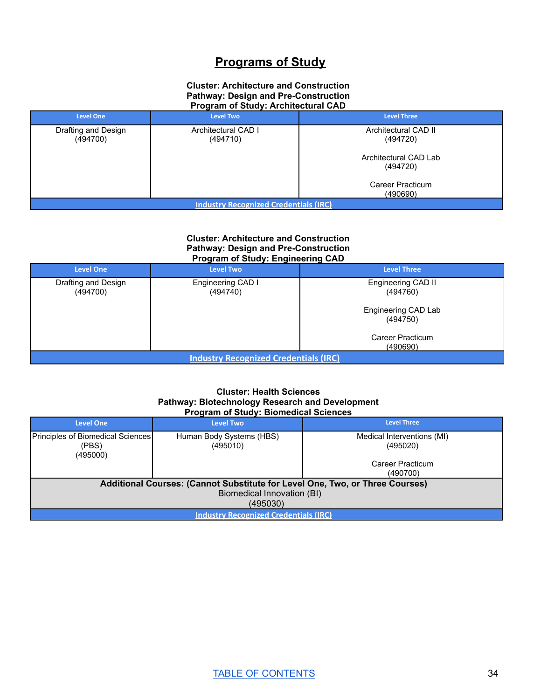# **Programs of Study**

#### **Cluster: Architecture and Construction Pathway: Design and Pre-Construction Program of Study: Architectural CAD**

| <b>Level One</b>                             | <b>Level Two</b>                | <b>Level Three</b>                |  |  |  |  |
|----------------------------------------------|---------------------------------|-----------------------------------|--|--|--|--|
| Drafting and Design<br>(494700)              | Architectural CAD I<br>(494710) | Architectural CAD II<br>(494720)  |  |  |  |  |
|                                              |                                 | Architectural CAD Lab<br>(494720) |  |  |  |  |
| Career Practicum<br>(490690)                 |                                 |                                   |  |  |  |  |
| <b>Industry Recognized Credentials (IRC)</b> |                                 |                                   |  |  |  |  |

#### **Cluster: Architecture and Construction Pathway: Design and Pre-Construction Program of Study: Engineering CAD**

| <b>Level One</b>                             | <b>Level Two</b>              | <b>Level Three</b>              |  |  |  |  |
|----------------------------------------------|-------------------------------|---------------------------------|--|--|--|--|
| Drafting and Design<br>(494700)              | Engineering CAD I<br>(494740) | Engineering CAD II<br>(494760)  |  |  |  |  |
|                                              |                               | Engineering CAD Lab<br>(494750) |  |  |  |  |
| Career Practicum<br>(490690)                 |                               |                                 |  |  |  |  |
| <b>Industry Recognized Credentials (IRC)</b> |                               |                                 |  |  |  |  |

#### **Cluster: Health Sciences Pathway: Biotechnology Research and Development Program of Study: Biomedical Sciences**

| <b>Level One</b>                                                             | <b>Level Two</b>                     | <b>Level Three</b>                     |  |  |
|------------------------------------------------------------------------------|--------------------------------------|----------------------------------------|--|--|
| Principles of Biomedical Sciences<br>(PBS)<br>(495000)                       | Human Body Systems (HBS)<br>(495010) | Medical Interventions (MI)<br>(495020) |  |  |
|                                                                              |                                      | Career Practicum                       |  |  |
|                                                                              |                                      | (490700)                               |  |  |
| Additional Courses: (Cannot Substitute for Level One, Two, or Three Courses) |                                      |                                        |  |  |
| Biomedical Innovation (BI)                                                   |                                      |                                        |  |  |
| (495030)                                                                     |                                      |                                        |  |  |
| <b>Industry Recognized Credentials (IRC)</b>                                 |                                      |                                        |  |  |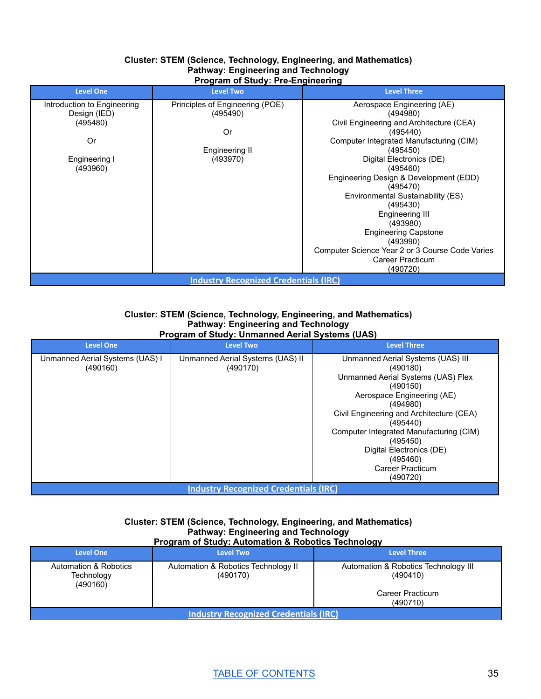#### **Cluster: STEM (Science, Technology, Engineering, and Mathematics) Pathway: Engineering and Technology Program of Study: Pre-Engineering**

| <b>Level One</b>                             | <b>Level Two</b>                | <b>Level Three</b>                              |  |  |
|----------------------------------------------|---------------------------------|-------------------------------------------------|--|--|
| Introduction to Engineering                  | Principles of Engineering (POE) | Aerospace Engineering (AE)                      |  |  |
| Design (IED)                                 | (495490)                        | (494980)                                        |  |  |
| (495480)                                     |                                 | Civil Engineering and Architecture (CEA)        |  |  |
|                                              | Or                              | (495440)                                        |  |  |
| Or                                           |                                 | Computer Integrated Manufacturing (CIM)         |  |  |
|                                              | Engineering II                  | (495450)                                        |  |  |
| Engineering I                                | (493970)                        | Digital Electronics (DE)                        |  |  |
| (493960)                                     |                                 | (495460)                                        |  |  |
|                                              |                                 | Engineering Design & Development (EDD)          |  |  |
|                                              |                                 | (495470)                                        |  |  |
|                                              |                                 | Environmental Sustainability (ES)               |  |  |
|                                              |                                 | (495430)                                        |  |  |
|                                              |                                 | Engineering III                                 |  |  |
|                                              |                                 | (493980)                                        |  |  |
|                                              |                                 | <b>Engineering Capstone</b>                     |  |  |
|                                              |                                 | (493990)                                        |  |  |
|                                              |                                 | Computer Science Year 2 or 3 Course Code Varies |  |  |
|                                              |                                 | Career Practicum                                |  |  |
|                                              |                                 | (490720)                                        |  |  |
| <b>Industry Recognized Credentials (IRC)</b> |                                 |                                                 |  |  |

#### **Cluster: STEM (Science, Technology, Engineering, and Mathematics) Pathway: Engineering and Technology Program of Study: Unmanned Aerial Systems (UAS)**

| Program of Study. Onlingfilled Aerial Systems (OAS) |                                              |                                                                                                                                                                                                                                                                                                                                  |  |  |
|-----------------------------------------------------|----------------------------------------------|----------------------------------------------------------------------------------------------------------------------------------------------------------------------------------------------------------------------------------------------------------------------------------------------------------------------------------|--|--|
| <b>Level One</b>                                    | <b>Level Two</b>                             | <b>Level Three</b>                                                                                                                                                                                                                                                                                                               |  |  |
| Unmanned Aerial Systems (UAS) I<br>(490160)         | Unmanned Aerial Systems (UAS) II<br>(490170) | Unmanned Aerial Systems (UAS) III<br>(490180)<br>Unmanned Aerial Systems (UAS) Flex<br>(490150)<br>Aerospace Engineering (AE)<br>(494980)<br>Civil Engineering and Architecture (CEA)<br>(495440)<br>Computer Integrated Manufacturing (CIM)<br>(495450)<br>Digital Electronics (DE)<br>(495460)<br>Career Practicum<br>(490720) |  |  |
| <b>Industry Recognized Credentials (IRC)</b>        |                                              |                                                                                                                                                                                                                                                                                                                                  |  |  |

#### **Cluster: STEM (Science, Technology, Engineering, and Mathematics) Pathway: Engineering and Technology Program of Study: Automation & Robotics Technology**

| <b>Level One</b>                                | <b>Level Two</b>                                | <b>Level Three</b>                                                               |  |  |
|-------------------------------------------------|-------------------------------------------------|----------------------------------------------------------------------------------|--|--|
| Automation & Robotics<br>Technology<br>(490160) | Automation & Robotics Technology II<br>(490170) | Automation & Robotics Technology III<br>(490410)<br>Career Practicum<br>(490710) |  |  |
| <b>Industry Recognized Credentials (IRC)</b>    |                                                 |                                                                                  |  |  |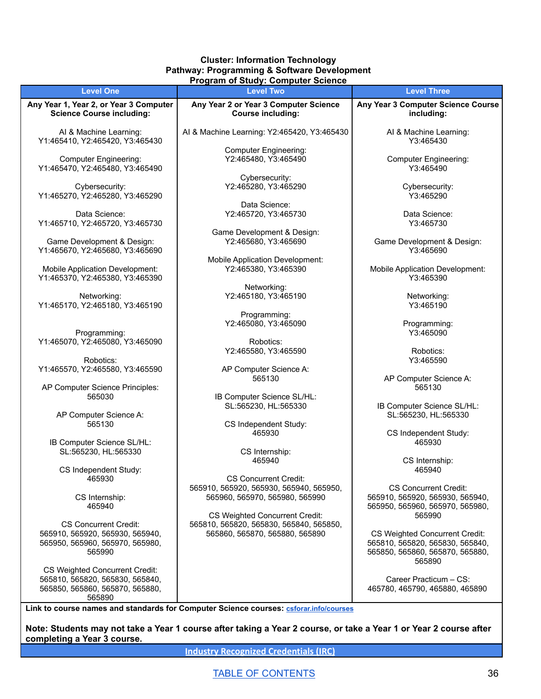#### **Cluster: Information Technology Pathway: Programming & Software Development Program of Study: Computer Science**

|                                                                                                                       | <u>i rogram or otauy. Computer ocience</u>                                                                  |                                                                                                                |
|-----------------------------------------------------------------------------------------------------------------------|-------------------------------------------------------------------------------------------------------------|----------------------------------------------------------------------------------------------------------------|
| <b>Level One</b>                                                                                                      | <b>Level Two</b>                                                                                            | <b>Level Three</b>                                                                                             |
| Any Year 1, Year 2, or Year 3 Computer                                                                                | Any Year 2 or Year 3 Computer Science                                                                       | Any Year 3 Computer Science Course                                                                             |
| <b>Science Course including:</b>                                                                                      | <b>Course including:</b>                                                                                    | including:                                                                                                     |
| Al & Machine Learning:<br>Y1:465410, Y2:465420, Y3:465430                                                             | Al & Machine Learning: Y2:465420, Y3:465430                                                                 | Al & Machine Learning:<br>Y3:465430                                                                            |
| <b>Computer Engineering:</b>                                                                                          | <b>Computer Engineering:</b>                                                                                | <b>Computer Engineering:</b>                                                                                   |
| Y1:465470, Y2:465480, Y3:465490                                                                                       | Y2:465480, Y3:465490                                                                                        | Y3:465490                                                                                                      |
| Cybersecurity:                                                                                                        | Cybersecurity:                                                                                              | Cybersecurity:                                                                                                 |
| Y1:465270, Y2:465280, Y3:465290                                                                                       | Y2:465280, Y3:465290                                                                                        | Y3:465290                                                                                                      |
| Data Science:                                                                                                         | Data Science:                                                                                               | Data Science:                                                                                                  |
| Y1:465710, Y2:465720, Y3:465730                                                                                       | Y2:465720, Y3:465730                                                                                        | Y3:465730                                                                                                      |
| Game Development & Design:                                                                                            | Game Development & Design:                                                                                  | Game Development & Design:                                                                                     |
| Y1:465670, Y2:465680, Y3:465690                                                                                       | Y2:465680, Y3:465690                                                                                        | Y3:465690                                                                                                      |
| <b>Mobile Application Development:</b>                                                                                | Mobile Application Development:                                                                             | <b>Mobile Application Development:</b>                                                                         |
| Y1:465370, Y2:465380, Y3:465390                                                                                       | Y2:465380, Y3:465390                                                                                        | Y3:465390                                                                                                      |
| Networking:                                                                                                           | Networking:                                                                                                 | Networking:                                                                                                    |
| Y1:465170, Y2:465180, Y3:465190                                                                                       | Y2:465180, Y3:465190                                                                                        | Y3:465190                                                                                                      |
| Programming:<br>Y1:465070, Y2:465080, Y3:465090                                                                       | Programming:<br>Y2:465080, Y3:465090<br>Robotics:                                                           | Programming:<br>Y3:465090                                                                                      |
| Robotics:                                                                                                             | Y2:465580, Y3:465590                                                                                        | Robotics:<br>Y3:465590                                                                                         |
| Y1:465570, Y2:465580, Y3:465590                                                                                       | AP Computer Science A:                                                                                      | AP Computer Science A:                                                                                         |
| AP Computer Science Principles:                                                                                       | 565130                                                                                                      | 565130                                                                                                         |
| 565030                                                                                                                | IB Computer Science SL/HL:<br>SL:565230, HL:565330                                                          | IB Computer Science SL/HL:                                                                                     |
| AP Computer Science A:                                                                                                | CS Independent Study:                                                                                       | SL:565230, HL:565330                                                                                           |
| 565130                                                                                                                | 465930                                                                                                      | CS Independent Study:                                                                                          |
| IB Computer Science SL/HL:                                                                                            | CS Internship:                                                                                              | 465930                                                                                                         |
| SL:565230, HL:565330                                                                                                  | 465940                                                                                                      | CS Internship:                                                                                                 |
| CS Independent Study:<br>465930                                                                                       | <b>CS Concurrent Credit:</b>                                                                                | 465940                                                                                                         |
| CS Internship:<br>465940                                                                                              | 565910, 565920, 565930, 565940, 565950,<br>565960, 565970, 565980, 565990<br>CS Weighted Concurrent Credit: | <b>CS Concurrent Credit:</b><br>565910, 565920, 565930, 565940,<br>565950, 565960, 565970, 565980,<br>565990   |
| <b>CS Concurrent Credit:</b><br>565910, 565920, 565930, 565940,<br>565950, 565960, 565970, 565980,<br>565990          | 565810, 565820, 565830, 565840, 565850,<br>565860, 565870, 565880, 565890                                   | CS Weighted Concurrent Credit:<br>565810, 565820, 565830, 565840,<br>565850, 565860, 565870, 565880,<br>565890 |
| <b>CS Weighted Concurrent Credit:</b><br>565810, 565820, 565830, 565840,<br>565850, 565860, 565870, 565880,<br>565890 |                                                                                                             | Career Practicum - CS:<br>465780, 465790, 465880, 465890                                                       |

**Link to course names and standards for Computer Science courses: [csforar.info/courses](https://ardoe-my.sharepoint.com/personal/adam_musto_ade_arkansas_gov/Documents/Desktop/csforar.info/courses)**

Note: Students may not take a Year 1 course after taking a Year 2 course, or take a Year 1 or Year 2 course after **completing a Year 3 course.**

**Industry [Recognized](https://dcte.ade.arkansas.gov/Page/CteStakeholders#IndustryCertificationshttps://dcte.ade.arkansas.gov/Page/CteAdministration) Credentials (IRC)**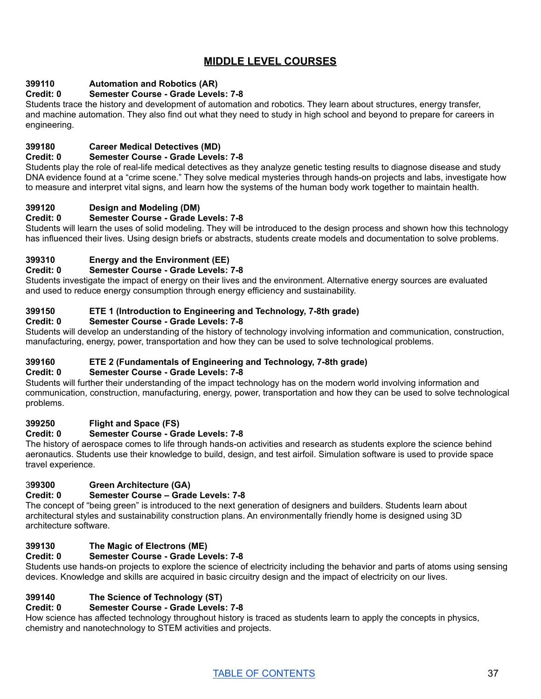# **MIDDLE LEVEL COURSES**

## **399110 Automation and Robotics (AR)**

## **Credit: 0 Semester Course - Grade Levels: 7-8**

Students trace the history and development of automation and robotics. They learn about structures, energy transfer, and machine automation. They also find out what they need to study in high school and beyond to prepare for careers in engineering.

## **399180 Career Medical Detectives (MD)**

#### **Credit: 0 Semester Course - Grade Levels: 7-8**

Students play the role of real-life medical detectives as they analyze genetic testing results to diagnose disease and study DNA evidence found at a "crime scene." They solve medical mysteries through hands-on projects and labs, investigate how to measure and interpret vital signs, and learn how the systems of the human body work together to maintain health.

# **399120 Design and Modeling (DM)**

## **Credit: 0 Semester Course - Grade Levels: 7-8**

Students will learn the uses of solid modeling. They will be introduced to the design process and shown how this technology has influenced their lives. Using design briefs or abstracts, students create models and documentation to solve problems.

## **399310 Energy and the Environment (EE)**

## **Credit: 0 Semester Course - Grade Levels: 7-8**

Students investigate the impact of energy on their lives and the environment. Alternative energy sources are evaluated and used to reduce energy consumption through energy efficiency and sustainability.

## **399150 ETE 1 (Introduction to Engineering and Technology, 7-8th grade)**

## **Credit: 0 Semester Course - Grade Levels: 7-8**

Students will develop an understanding of the history of technology involving information and communication, construction, manufacturing, energy, power, transportation and how they can be used to solve technological problems.

## **399160 ETE 2 (Fundamentals of Engineering and Technology, 7-8th grade)**

## **Credit: 0 Semester Course - Grade Levels: 7-8**

Students will further their understanding of the impact technology has on the modern world involving information and communication, construction, manufacturing, energy, power, transportation and how they can be used to solve technological problems.

## **399250 Flight and Space (FS)**

## **Credit: 0 Semester Course - Grade Levels: 7-8**

The history of aerospace comes to life through hands-on activities and research as students explore the science behind aeronautics. Students use their knowledge to build, design, and test airfoil. Simulation software is used to provide space travel experience.

## 3**99300 Green Architecture (GA)**

## **Credit: 0 Semester Course – Grade Levels: 7-8**

The concept of "being green" is introduced to the next generation of designers and builders. Students learn about architectural styles and sustainability construction plans. An environmentally friendly home is designed using 3D architecture software.

## **399130 The Magic of Electrons (ME)**

## **Credit: 0 Semester Course - Grade Levels: 7-8**

Students use hands-on projects to explore the science of electricity including the behavior and parts of atoms using sensing devices. Knowledge and skills are acquired in basic circuitry design and the impact of electricity on our lives.

## **399140 The Science of Technology (ST)**

## **Credit: 0 Semester Course - Grade Levels: 7-8**

How science has affected technology throughout history is traced as students learn to apply the concepts in physics, chemistry and nanotechnology to STEM activities and projects.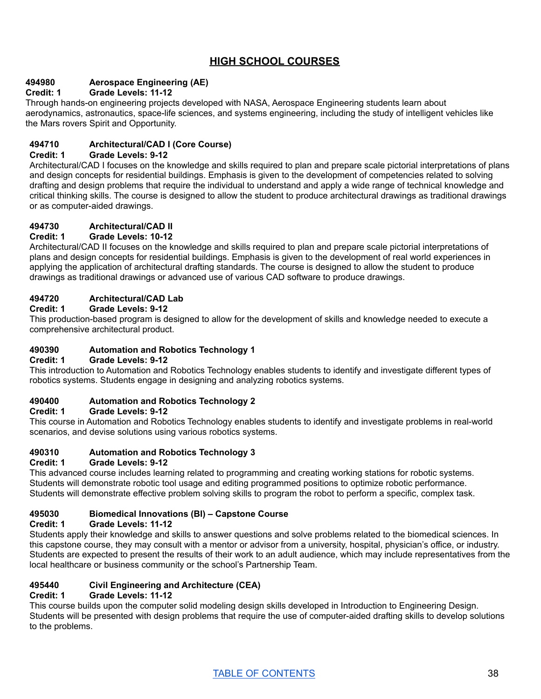# **HIGH SCHOOL COURSES**

## **494980 Aerospace Engineering (AE)**

## **Credit: 1 Grade Levels: 11-12**

Through hands-on engineering projects developed with NASA, Aerospace Engineering students learn about aerodynamics, astronautics, space-life sciences, and systems engineering, including the study of intelligent vehicles like the Mars rovers Spirit and Opportunity.

## **494710 Architectural/CAD I (Core Course)**

## **Credit: 1 Grade Levels: 9-12**

Architectural/CAD I focuses on the knowledge and skills required to plan and prepare scale pictorial interpretations of plans and design concepts for residential buildings. Emphasis is given to the development of competencies related to solving drafting and design problems that require the individual to understand and apply a wide range of technical knowledge and critical thinking skills. The course is designed to allow the student to produce architectural drawings as traditional drawings or as computer-aided drawings.

#### **494730 Architectural/CAD II**

## **Credit: 1 Grade Levels: 10-12**

Architectural/CAD II focuses on the knowledge and skills required to plan and prepare scale pictorial interpretations of plans and design concepts for residential buildings. Emphasis is given to the development of real world experiences in applying the application of architectural drafting standards. The course is designed to allow the student to produce drawings as traditional drawings or advanced use of various CAD software to produce drawings.

## **494720 Architectural/CAD Lab**

#### **Credit: 1 Grade Levels: 9-12**

This production-based program is designed to allow for the development of skills and knowledge needed to execute a comprehensive architectural product.

## **490390 Automation and Robotics Technology 1**

#### **Credit: 1 Grade Levels: 9-12**

This introduction to Automation and Robotics Technology enables students to identify and investigate different types of robotics systems. Students engage in designing and analyzing robotics systems.

## **490400 Automation and Robotics Technology 2**

## **Credit: 1 Grade Levels: 9-12**

This course in Automation and Robotics Technology enables students to identify and investigate problems in real-world scenarios, and devise solutions using various robotics systems.

## **490310 Automation and Robotics Technology 3**

#### **Credit: 1 Grade Levels: 9-12**

This advanced course includes learning related to programming and creating working stations for robotic systems. Students will demonstrate robotic tool usage and editing programmed positions to optimize robotic performance. Students will demonstrate effective problem solving skills to program the robot to perform a specific, complex task.

## **495030 Biomedical Innovations (BI) – Capstone Course**

#### **Credit: 1 Grade Levels: 11-12**

Students apply their knowledge and skills to answer questions and solve problems related to the biomedical sciences. In this capstone course, they may consult with a mentor or advisor from a university, hospital, physician's office, or industry. Students are expected to present the results of their work to an adult audience, which may include representatives from the local healthcare or business community or the school's Partnership Team.

## **495440 Civil Engineering and Architecture (CEA)**

## **Credit: 1 Grade Levels: 11-12**

This course builds upon the computer solid modeling design skills developed in Introduction to Engineering Design. Students will be presented with design problems that require the use of computer-aided drafting skills to develop solutions to the problems.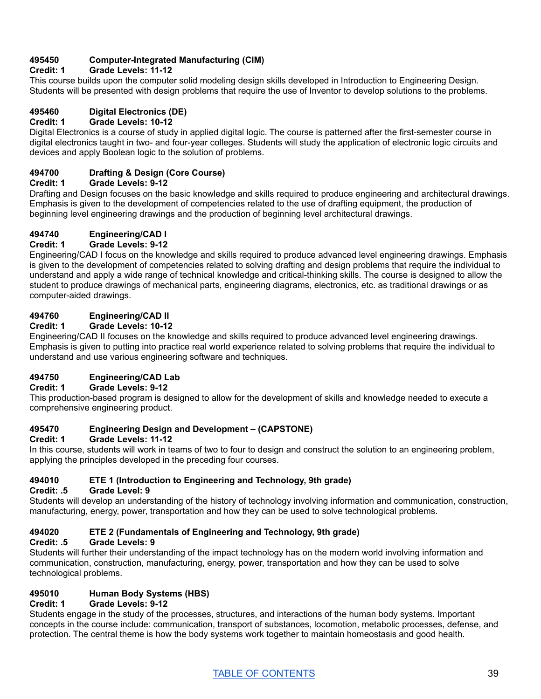## **495450 Computer-Integrated Manufacturing (CIM)**

## **Credit: 1 Grade Levels: 11-12**

This course builds upon the computer solid modeling design skills developed in Introduction to Engineering Design. Students will be presented with design problems that require the use of Inventor to develop solutions to the problems.

## **495460 Digital Electronics (DE)**

#### **Credit: 1 Grade Levels: 10-12**

Digital Electronics is a course of study in applied digital logic. The course is patterned after the first-semester course in digital electronics taught in two- and four-year colleges. Students will study the application of electronic logic circuits and devices and apply Boolean logic to the solution of problems.

## **494700 Drafting & Design (Core Course)**

#### **Credit: 1 Grade Levels: 9-12**

Drafting and Design focuses on the basic knowledge and skills required to produce engineering and architectural drawings. Emphasis is given to the development of competencies related to the use of drafting equipment, the production of beginning level engineering drawings and the production of beginning level architectural drawings.

## **494740 Engineering/CAD I**

#### **Credit: 1 Grade Levels: 9-12**

Engineering/CAD I focus on the knowledge and skills required to produce advanced level engineering drawings. Emphasis is given to the development of competencies related to solving drafting and design problems that require the individual to understand and apply a wide range of technical knowledge and critical-thinking skills. The course is designed to allow the student to produce drawings of mechanical parts, engineering diagrams, electronics, etc. as traditional drawings or as computer-aided drawings.

## **494760 Engineering/CAD II**

#### **Credit: 1 Grade Levels: 10-12**

Engineering/CAD II focuses on the knowledge and skills required to produce advanced level engineering drawings. Emphasis is given to putting into practice real world experience related to solving problems that require the individual to understand and use various engineering software and techniques.

## **494750 Engineering/CAD Lab**

#### **Credit: 1 Grade Levels: 9-12**

This production-based program is designed to allow for the development of skills and knowledge needed to execute a comprehensive engineering product.

#### **495470 Engineering Design and Development – (CAPSTONE)**

## **Credit: 1 Grade Levels: 11-12**

In this course, students will work in teams of two to four to design and construct the solution to an engineering problem, applying the principles developed in the preceding four courses.

## **494010 ETE 1 (Introduction to Engineering and Technology, 9th grade)**

#### **Credit: .5 Grade Level: 9**

Students will develop an understanding of the history of technology involving information and communication, construction, manufacturing, energy, power, transportation and how they can be used to solve technological problems.

## **494020 ETE 2 (Fundamentals of Engineering and Technology, 9th grade)**

#### **Credit: .5 Grade Levels: 9**

Students will further their understanding of the impact technology has on the modern world involving information and communication, construction, manufacturing, energy, power, transportation and how they can be used to solve technological problems.

## **495010 Human Body Systems (HBS)**

#### **Credit: 1 Grade Levels: 9-12**

Students engage in the study of the processes, structures, and interactions of the human body systems. Important concepts in the course include: communication, transport of substances, locomotion, metabolic processes, defense, and protection. The central theme is how the body systems work together to maintain homeostasis and good health.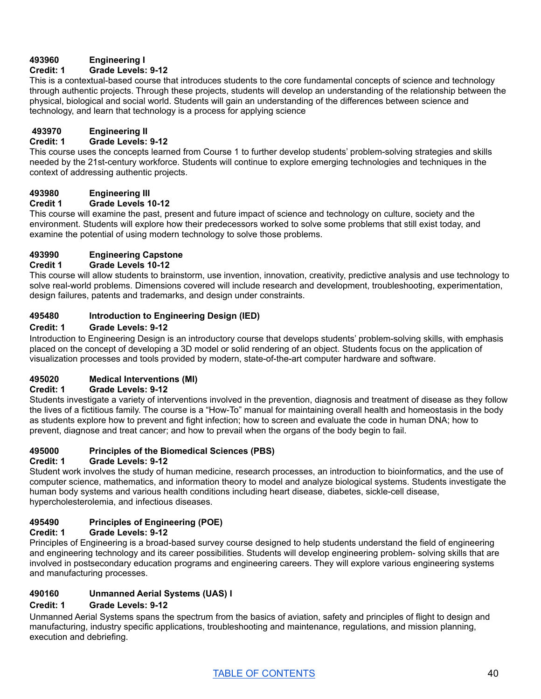## **493960 Engineering I**

## **Credit: 1 Grade Levels: 9-12**

This is a contextual-based course that introduces students to the core fundamental concepts of science and technology through authentic projects. Through these projects, students will develop an understanding of the relationship between the physical, biological and social world. Students will gain an understanding of the differences between science and technology, and learn that technology is a process for applying science

## **493970 Engineering II**

## **Credit: 1 Grade Levels: 9-12**

This course uses the concepts learned from Course 1 to further develop students' problem-solving strategies and skills needed by the 21st-century workforce. Students will continue to explore emerging technologies and techniques in the context of addressing authentic projects.

## **493980 Engineering III**

## **Credit 1 Grade Levels 10-12**

This course will examine the past, present and future impact of science and technology on culture, society and the environment. Students will explore how their predecessors worked to solve some problems that still exist today, and examine the potential of using modern technology to solve those problems.

## **493990 Engineering Capstone**

## **Credit 1 Grade Levels 10-12**

This course will allow students to brainstorm, use invention, innovation, creativity, predictive analysis and use technology to solve real-world problems. Dimensions covered will include research and development, troubleshooting, experimentation, design failures, patents and trademarks, and design under constraints.

## **495480 Introduction to Engineering Design (IED)**

## **Credit: 1 Grade Levels: 9-12**

Introduction to Engineering Design is an introductory course that develops students' problem-solving skills, with emphasis placed on the concept of developing a 3D model or solid rendering of an object. Students focus on the application of visualization processes and tools provided by modern, state-of-the-art computer hardware and software.

## **495020 Medical Interventions (MI)**

## **Credit: 1 Grade Levels: 9-12**

Students investigate a variety of interventions involved in the prevention, diagnosis and treatment of disease as they follow the lives of a fictitious family. The course is a "How-To" manual for maintaining overall health and homeostasis in the body as students explore how to prevent and fight infection; how to screen and evaluate the code in human DNA; how to prevent, diagnose and treat cancer; and how to prevail when the organs of the body begin to fail.

## **495000 Principles of the Biomedical Sciences (PBS)**

## **Credit: 1 Grade Levels: 9-12**

Student work involves the study of human medicine, research processes, an introduction to bioinformatics, and the use of computer science, mathematics, and information theory to model and analyze biological systems. Students investigate the human body systems and various health conditions including heart disease, diabetes, sickle-cell disease, hypercholesterolemia, and infectious diseases.

## **495490 Principles of Engineering (POE)**

## **Credit: 1 Grade Levels: 9-12**

Principles of Engineering is a broad-based survey course designed to help students understand the field of engineering and engineering technology and its career possibilities. Students will develop engineering problem- solving skills that are involved in postsecondary education programs and engineering careers. They will explore various engineering systems and manufacturing processes.

## **490160 Unmanned Aerial Systems (UAS) I**

## **Credit: 1 Grade Levels: 9-12**

Unmanned Aerial Systems spans the spectrum from the basics of aviation, safety and principles of flight to design and manufacturing, industry specific applications, troubleshooting and maintenance, regulations, and mission planning, execution and debriefing.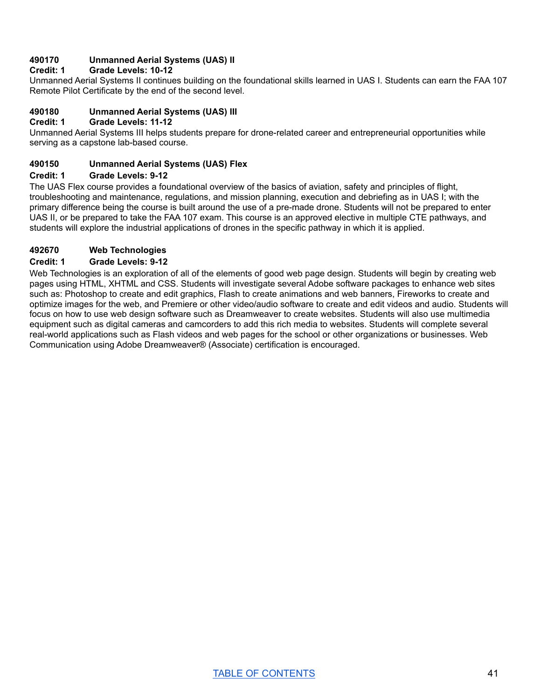## **490170 Unmanned Aerial Systems (UAS) II**

#### **Credit: 1 Grade Levels: 10-12**

Unmanned Aerial Systems II continues building on the foundational skills learned in UAS I. Students can earn the FAA 107 Remote Pilot Certificate by the end of the second level.

# **490180 Unmanned Aerial Systems (UAS) III**

## **Credit: 1 Grade Levels: 11-12**

Unmanned Aerial Systems III helps students prepare for drone-related career and entrepreneurial opportunities while serving as a capstone lab-based course.

#### **490150 Unmanned Aerial Systems (UAS) Flex**

#### **Credit: 1 Grade Levels: 9-12**

The UAS Flex course provides a foundational overview of the basics of aviation, safety and principles of flight, troubleshooting and maintenance, regulations, and mission planning, execution and debriefing as in UAS I; with the primary difference being the course is built around the use of a pre-made drone. Students will not be prepared to enter UAS II, or be prepared to take the FAA 107 exam. This course is an approved elective in multiple CTE pathways, and students will explore the industrial applications of drones in the specific pathway in which it is applied.

## **492670 Web Technologies**

#### **Credit: 1 Grade Levels: 9-12**

Web Technologies is an exploration of all of the elements of good web page design. Students will begin by creating web pages using HTML, XHTML and CSS. Students will investigate several Adobe software packages to enhance web sites such as: Photoshop to create and edit graphics, Flash to create animations and web banners, Fireworks to create and optimize images for the web, and Premiere or other video/audio software to create and edit videos and audio. Students will focus on how to use web design software such as Dreamweaver to create websites. Students will also use multimedia equipment such as digital cameras and camcorders to add this rich media to websites. Students will complete several real-world applications such as Flash videos and web pages for the school or other organizations or businesses. Web Communication using Adobe Dreamweaver® (Associate) certification is encouraged.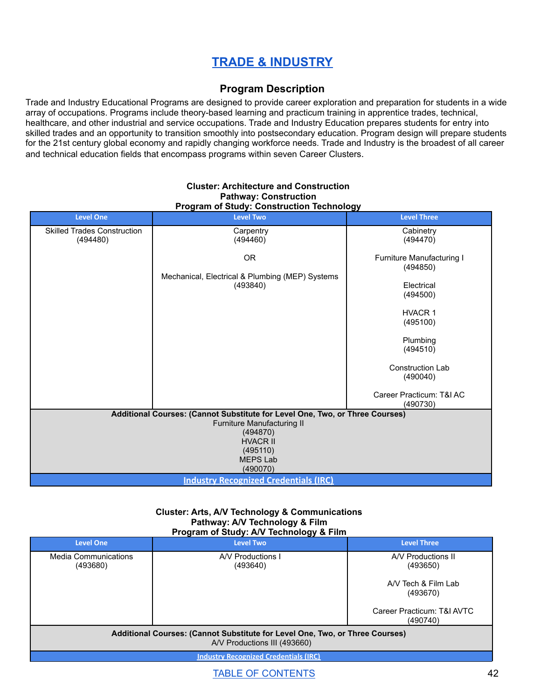# **TRADE & [INDUSTRY](#page-42-0)**

## **Program Description**

<span id="page-42-0"></span>Trade and Industry Educational Programs are designed to provide career exploration and preparation for students in a wide array of occupations. Programs include theory-based learning and practicum training in apprentice trades, technical, healthcare, and other industrial and service occupations. Trade and Industry Education prepares students for entry into skilled trades and an opportunity to transition smoothly into postsecondary education. Program design will prepare students for the 21st century global economy and rapidly changing workforce needs. Trade and Industry is the broadest of all career and technical education fields that encompass programs within seven Career Clusters.

| <b>Level One</b>                                                             | <b>Level Two</b>                                            | <b>Level Three</b>                   |
|------------------------------------------------------------------------------|-------------------------------------------------------------|--------------------------------------|
| <b>Skilled Trades Construction</b>                                           | Carpentry                                                   | Cabinetry                            |
| (494480)                                                                     | (494460)                                                    | (494470)                             |
|                                                                              | OR.                                                         | Furniture Manufacturing I            |
|                                                                              |                                                             | (494850)                             |
|                                                                              | Mechanical, Electrical & Plumbing (MEP) Systems<br>(493840) | Electrical                           |
|                                                                              |                                                             | (494500)                             |
|                                                                              |                                                             |                                      |
|                                                                              |                                                             | <b>HVACR 1</b>                       |
|                                                                              |                                                             | (495100)                             |
|                                                                              |                                                             | Plumbing                             |
|                                                                              |                                                             | (494510)                             |
|                                                                              |                                                             | <b>Construction Lab</b>              |
|                                                                              |                                                             | (490040)                             |
|                                                                              |                                                             |                                      |
|                                                                              |                                                             | Career Practicum: T&I AC<br>(490730) |
| Additional Courses: (Cannot Substitute for Level One, Two, or Three Courses) |                                                             |                                      |
|                                                                              | Furniture Manufacturing II                                  |                                      |
| (494870)<br><b>HVACR II</b>                                                  |                                                             |                                      |
| (495110)                                                                     |                                                             |                                      |
| <b>MEPS Lab</b>                                                              |                                                             |                                      |
| (490070)                                                                     |                                                             |                                      |
| <b>Industry Recognized Credentials (IRC)</b>                                 |                                                             |                                      |

#### **Cluster: Architecture and Construction Pathway: Construction Program of Study: Construction Technology**

#### **Cluster: Arts, A/V Technology & Communications Pathway: A/V Technology & Film Program of Study: A/V Technology & Film**

| <b>Level One</b>                                                                                             | <b>Level Two</b>              | <b>Level Three</b>                     |
|--------------------------------------------------------------------------------------------------------------|-------------------------------|----------------------------------------|
| Media Communications<br>(493680)                                                                             | A/V Productions I<br>(493640) | A/V Productions II<br>(493650)         |
|                                                                                                              |                               | A/V Tech & Film Lab<br>(493670)        |
|                                                                                                              |                               | Career Practicum: T&I AVTC<br>(490740) |
| Additional Courses: (Cannot Substitute for Level One, Two, or Three Courses)<br>A/V Productions III (493660) |                               |                                        |
| <b>Industry Recognized Credentials (IRC)</b>                                                                 |                               |                                        |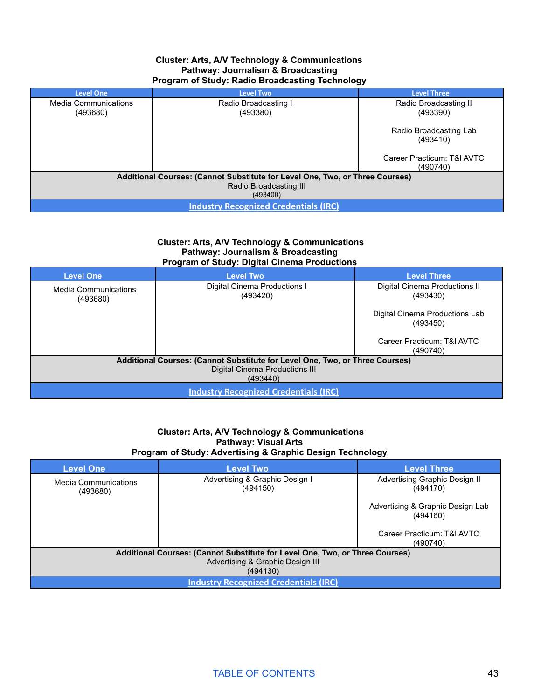#### **Cluster: Arts, A/V Technology & Communications Pathway: Journalism & Broadcasting Program of Study: Radio Broadcasting Technology**

| <b>Level One</b>                                                             | <b>Level Two</b>     | <b>Level Three</b>                     |
|------------------------------------------------------------------------------|----------------------|----------------------------------------|
| Media Communications                                                         | Radio Broadcasting I | Radio Broadcasting II                  |
| (493680)                                                                     | (493380)             | (493390)                               |
|                                                                              |                      | Radio Broadcasting Lab<br>(493410)     |
|                                                                              |                      | Career Practicum: T&I AVTC<br>(490740) |
| Additional Courses: (Cannot Substitute for Level One, Two, or Three Courses) |                      |                                        |
| Radio Broadcasting III                                                       |                      |                                        |
| (493400)                                                                     |                      |                                        |
| <b>Industry Recognized Credentials (IRC)</b>                                 |                      |                                        |

#### **Cluster: Arts, A/V Technology & Communications Pathway: Journalism & Broadcasting Program of Study: Digital Cinema Productions**

| <b>Level One</b>                                                             | <b>Level Two</b>                             | <b>Level Three</b>                         |
|------------------------------------------------------------------------------|----------------------------------------------|--------------------------------------------|
| <b>Media Communications</b><br>(493680)                                      | Digital Cinema Productions I<br>(493420)     | Digital Cinema Productions II<br>(493430)  |
|                                                                              |                                              | Digital Cinema Productions Lab<br>(493450) |
|                                                                              |                                              | Career Practicum: T&I AVTC<br>(490740)     |
| Additional Courses: (Cannot Substitute for Level One, Two, or Three Courses) |                                              |                                            |
|                                                                              | Digital Cinema Productions III<br>(493440)   |                                            |
|                                                                              | <b>Industry Recognized Credentials (IRC)</b> |                                            |

#### **Cluster: Arts, A/V Technology & Communications Pathway: Visual Arts Program of Study: Advertising & Graphic Design Technology**

| <b>Level One</b>                                                             | <b>Level Two</b>                           | <b>Level Three</b>                           |
|------------------------------------------------------------------------------|--------------------------------------------|----------------------------------------------|
| Media Communications<br>(493680)                                             | Advertising & Graphic Design I<br>(494150) | Advertising Graphic Design II<br>(494170)    |
|                                                                              |                                            | Advertising & Graphic Design Lab<br>(494160) |
|                                                                              |                                            | Career Practicum: T&I AVTC<br>(490740)       |
| Additional Courses: (Cannot Substitute for Level One, Two, or Three Courses) |                                            |                                              |
| Advertising & Graphic Design III                                             |                                            |                                              |
| (494130)                                                                     |                                            |                                              |
| <b>Industry Recognized Credentials (IRC)</b>                                 |                                            |                                              |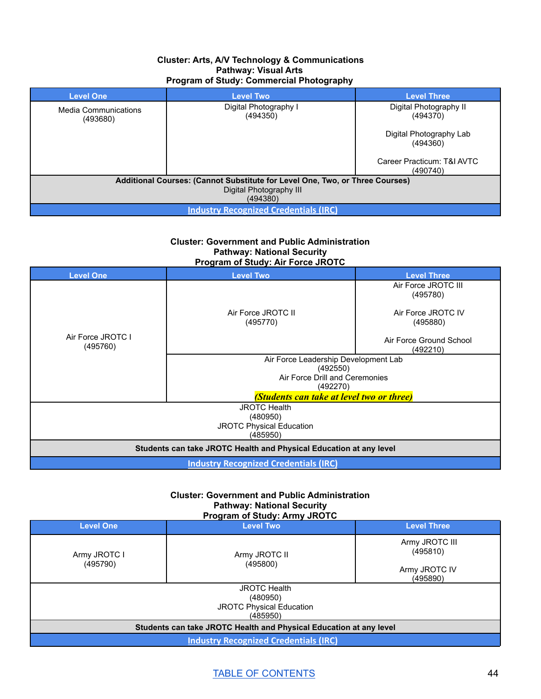#### **Cluster: Arts, A/V Technology & Communications Pathway: Visual Arts Program of Study: Commercial Photography**

| <b>Level One</b>                                                             | <b>Level Two</b>                  | <b>Level Three</b>                     |
|------------------------------------------------------------------------------|-----------------------------------|----------------------------------------|
| <b>Media Communications</b><br>(493680)                                      | Digital Photography I<br>(494350) | Digital Photography II<br>(494370)     |
|                                                                              |                                   | Digital Photography Lab<br>(494360)    |
|                                                                              |                                   | Career Practicum: T&I AVTC<br>(490740) |
| Additional Courses: (Cannot Substitute for Level One, Two, or Three Courses) |                                   |                                        |
| Digital Photography III<br>(494380)                                          |                                   |                                        |
| <b>Industry Recognized Credentials (IRC)</b>                                 |                                   |                                        |

**Cluster: Government and Public Administration Pathway: National Security Program of Study: Air Force JROTC**

| .<br>.                                                             |                                           |                                     |  |
|--------------------------------------------------------------------|-------------------------------------------|-------------------------------------|--|
| <b>Level One</b>                                                   | <b>Level Two</b>                          | <b>Level Three</b>                  |  |
|                                                                    |                                           | Air Force JROTC III                 |  |
|                                                                    |                                           | (495780)                            |  |
|                                                                    |                                           |                                     |  |
|                                                                    | Air Force JROTC II                        | Air Force JROTC IV                  |  |
|                                                                    | (495770)                                  | (495880)                            |  |
| Air Force JROTC I                                                  |                                           |                                     |  |
| (495760)                                                           |                                           | Air Force Ground School<br>(492210) |  |
|                                                                    |                                           |                                     |  |
|                                                                    | Air Force Leadership Development Lab      |                                     |  |
|                                                                    | (492550)                                  |                                     |  |
|                                                                    | Air Force Drill and Ceremonies            |                                     |  |
|                                                                    | (492270)                                  |                                     |  |
|                                                                    | (Students can take at level two or three) |                                     |  |
| <b>JROTC Health</b>                                                |                                           |                                     |  |
| (480950)                                                           |                                           |                                     |  |
| <b>JROTC Physical Education</b>                                    |                                           |                                     |  |
| (485950)                                                           |                                           |                                     |  |
| Students can take JROTC Health and Physical Education at any level |                                           |                                     |  |
| <b>Industry Recognized Credentials (IRC)</b>                       |                                           |                                     |  |

#### **Cluster: Government and Public Administration Pathway: National Security Program of Study: Army JROTC**

| <b>Level One</b>                                                   | <b>Level Two</b>          | <b>Level Three</b>                                      |
|--------------------------------------------------------------------|---------------------------|---------------------------------------------------------|
| Army JROTC I<br>(495790)                                           | Army JROTC II<br>(495800) | Army JROTC III<br>(495810)<br>Army JROTC IV<br>(495890) |
| <b>JROTC Health</b>                                                |                           |                                                         |
| (480950)                                                           |                           |                                                         |
| <b>JROTC Physical Education</b>                                    |                           |                                                         |
| (485950)                                                           |                           |                                                         |
| Students can take JROTC Health and Physical Education at any level |                           |                                                         |
| <b>Industry Recognized Credentials (IRC)</b>                       |                           |                                                         |

TABLE OF [CONTENTS](#page-1-0) 44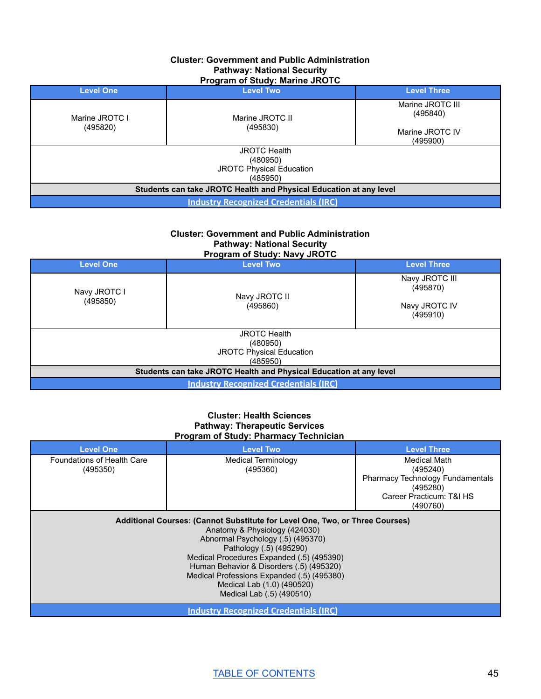#### **Cluster: Government and Public Administration Pathway: National Security Program of Study: Marine JROTC**

| <b>Level One</b>                                                   | <b>Level Two</b>    | <b>Level Three</b>           |  |
|--------------------------------------------------------------------|---------------------|------------------------------|--|
| Marine JROTC I                                                     | Marine JROTC II     | Marine JROTC III<br>(495840) |  |
| (495820)                                                           | (495830)            | Marine JROTC IV<br>(495900)  |  |
|                                                                    | <b>JROTC Health</b> |                              |  |
| (480950)                                                           |                     |                              |  |
| <b>JROTC Physical Education</b>                                    |                     |                              |  |
|                                                                    | (485950)            |                              |  |
| Students can take JROTC Health and Physical Education at any level |                     |                              |  |
| <b>Industry Recognized Credentials (IRC)</b>                       |                     |                              |  |

#### **Cluster: Government and Public Administration Pathway: National Security Program of Study: Navy JROTC**

| <b>Level One</b>                                                   | <b>Level Two</b>    | <b>Level Three</b>         |
|--------------------------------------------------------------------|---------------------|----------------------------|
| Navy JROTC I                                                       | Navy JROTC II       | Navy JROTC III<br>(495870) |
| (495850)                                                           | (495860)            | Navy JROTC IV<br>(495910)  |
|                                                                    | <b>JROTC Health</b> |                            |
|                                                                    | (480950)            |                            |
| JROTC Physical Education                                           |                     |                            |
|                                                                    | (485950)            |                            |
| Students can take JROTC Health and Physical Education at any level |                     |                            |
| <b>Industry Recognized Credentials (IRC)</b>                       |                     |                            |

#### **Cluster: Health Sciences Pathway: Therapeutic Services Program of Study: Pharmacy Technician**

| <b>Level One</b>                                                                                                                                                                                                                                                                                                                                                                | <b>Level Two</b>                             | <b>Level Three</b>               |
|---------------------------------------------------------------------------------------------------------------------------------------------------------------------------------------------------------------------------------------------------------------------------------------------------------------------------------------------------------------------------------|----------------------------------------------|----------------------------------|
| Foundations of Health Care<br>(495350)                                                                                                                                                                                                                                                                                                                                          | Medical Terminology<br>(495360)              | Medical Math<br>(495240)         |
|                                                                                                                                                                                                                                                                                                                                                                                 |                                              | Pharmacy Technology Fundamentals |
|                                                                                                                                                                                                                                                                                                                                                                                 |                                              | (495280)                         |
|                                                                                                                                                                                                                                                                                                                                                                                 |                                              | Career Practicum: T&I HS         |
|                                                                                                                                                                                                                                                                                                                                                                                 |                                              | (490760)                         |
| Additional Courses: (Cannot Substitute for Level One, Two, or Three Courses)<br>Anatomy & Physiology (424030)<br>Abnormal Psychology (.5) (495370)<br>Pathology (.5) (495290)<br>Medical Procedures Expanded (.5) (495390)<br>Human Behavior & Disorders (.5) (495320)<br>Medical Professions Expanded (.5) (495380)<br>Medical Lab (1.0) (490520)<br>Medical Lab (.5) (490510) |                                              |                                  |
|                                                                                                                                                                                                                                                                                                                                                                                 | <b>Industry Recognized Credentials (IRC)</b> |                                  |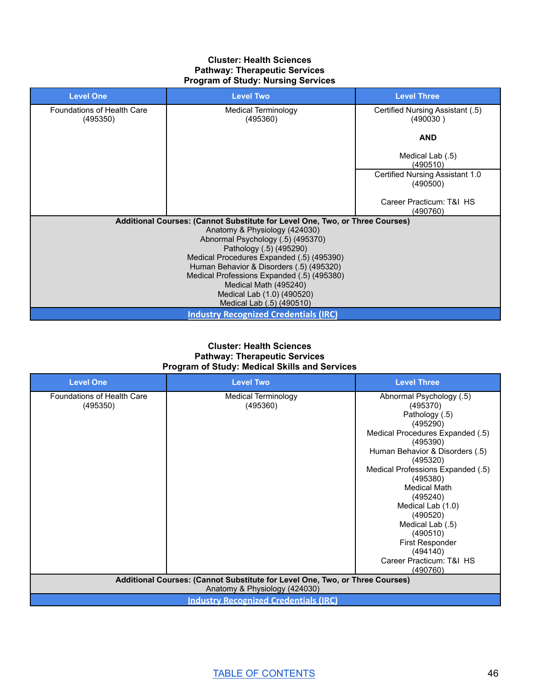#### **Cluster: Health Sciences Pathway: Therapeutic Services Program of Study: Nursing Services**

| <b>Level One</b>                       | <b>Level Two</b>                                                                       | <b>Level Three</b>                           |
|----------------------------------------|----------------------------------------------------------------------------------------|----------------------------------------------|
| Foundations of Health Care<br>(495350) | Medical Terminology<br>(495360)                                                        | Certified Nursing Assistant (.5)<br>(490030) |
|                                        |                                                                                        | <b>AND</b>                                   |
|                                        |                                                                                        | Medical Lab (.5)<br>(490510)                 |
|                                        |                                                                                        | Certified Nursing Assistant 1.0<br>(490500)  |
|                                        |                                                                                        | Career Practicum: T&I HS<br>(490760)         |
|                                        | Additional Courses: (Cannot Substitute for Level One, Two, or Three Courses)           |                                              |
|                                        | Anatomy & Physiology (424030)                                                          |                                              |
|                                        | Abnormal Psychology (.5) (495370)                                                      |                                              |
|                                        | Pathology (.5) (495290)                                                                |                                              |
|                                        | Medical Procedures Expanded (.5) (495390)                                              |                                              |
|                                        | Human Behavior & Disorders (.5) (495320)<br>Medical Professions Expanded (.5) (495380) |                                              |
|                                        | Medical Math (495240)                                                                  |                                              |
|                                        | Medical Lab (1.0) (490520)                                                             |                                              |
|                                        | Medical Lab (.5) (490510)                                                              |                                              |
|                                        | <b>Industry Recognized Credentials (IRC)</b>                                           |                                              |

#### **Cluster: Health Sciences Pathway: Therapeutic Services Program of Study: Medical Skills and Services**

| <b>Level One</b>                                                                                              | <b>Level Two</b>    | <b>Level Three</b>                           |
|---------------------------------------------------------------------------------------------------------------|---------------------|----------------------------------------------|
| Foundations of Health Care                                                                                    | Medical Terminology | Abnormal Psychology (.5)                     |
| (495350)                                                                                                      | (495360)            | (495370)                                     |
|                                                                                                               |                     | Pathology (.5)                               |
|                                                                                                               |                     | (495290)<br>Medical Procedures Expanded (.5) |
|                                                                                                               |                     | (495390)                                     |
|                                                                                                               |                     | Human Behavior & Disorders (.5)              |
|                                                                                                               |                     | (495320)                                     |
|                                                                                                               |                     | Medical Professions Expanded (.5)            |
|                                                                                                               |                     | (495380)                                     |
|                                                                                                               |                     | Medical Math                                 |
|                                                                                                               |                     | (495240)                                     |
|                                                                                                               |                     | Medical Lab (1.0)<br>(490520)                |
|                                                                                                               |                     | Medical Lab (.5)                             |
|                                                                                                               |                     | (490510)                                     |
|                                                                                                               |                     | <b>First Responder</b>                       |
|                                                                                                               |                     | (494140)                                     |
|                                                                                                               |                     | Career Practicum: T&I HS                     |
|                                                                                                               |                     | (490760)                                     |
| Additional Courses: (Cannot Substitute for Level One, Two, or Three Courses)<br>Anatomy & Physiology (424030) |                     |                                              |
| <b>Industry Recognized Credentials (IRC)</b>                                                                  |                     |                                              |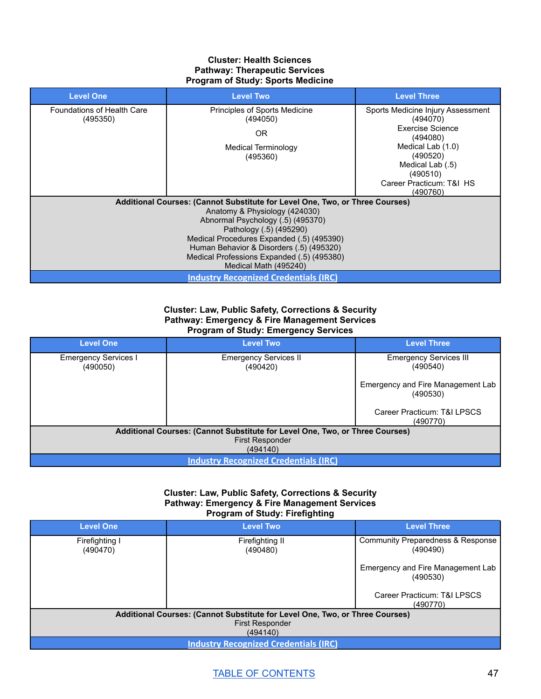#### **Cluster: Health Sciences Pathway: Therapeutic Services Program of Study: Sports Medicine**

| <b>Level One</b>                              | <b>Level Two</b>                                                                                                                                                                                                                                                                                                                              | <b>Level Three</b>                                                                                                                                                                     |
|-----------------------------------------------|-----------------------------------------------------------------------------------------------------------------------------------------------------------------------------------------------------------------------------------------------------------------------------------------------------------------------------------------------|----------------------------------------------------------------------------------------------------------------------------------------------------------------------------------------|
| <b>Foundations of Health Care</b><br>(495350) | <b>Principles of Sports Medicine</b><br>(494050)<br>OR.<br>Medical Terminology<br>(495360)                                                                                                                                                                                                                                                    | Sports Medicine Injury Assessment<br>(494070)<br>Exercise Science<br>(494080)<br>Medical Lab (1.0)<br>(490520)<br>Medical Lab (.5)<br>(490510)<br>Career Practicum: T&I HS<br>(490760) |
|                                               | Additional Courses: (Cannot Substitute for Level One, Two, or Three Courses)<br>Anatomy & Physiology (424030)<br>Abnormal Psychology (.5) (495370)<br>Pathology (.5) (495290)<br>Medical Procedures Expanded (.5) (495390)<br>Human Behavior & Disorders (.5) (495320)<br>Medical Professions Expanded (.5) (495380)<br>Medical Math (495240) |                                                                                                                                                                                        |
|                                               | <b>Industry Recognized Credentials (IRC)</b>                                                                                                                                                                                                                                                                                                  |                                                                                                                                                                                        |

#### **Cluster: Law, Public Safety, Corrections & Security Pathway: Emergency & Fire Management Services Program of Study: Emergency Services**

| <b>Level One</b>                                                             | <b>Level Two</b>                             | <b>Level Three</b>                            |
|------------------------------------------------------------------------------|----------------------------------------------|-----------------------------------------------|
| <b>Emergency Services I</b><br>(490050)                                      | <b>Emergency Services II</b><br>(490420)     | <b>Emergency Services III</b><br>(490540)     |
|                                                                              |                                              | Emergency and Fire Management Lab<br>(490530) |
|                                                                              |                                              | Career Practicum: T&I LPSCS<br>(490770)       |
| Additional Courses: (Cannot Substitute for Level One, Two, or Three Courses) |                                              |                                               |
|                                                                              | <b>First Responder</b><br>(494140)           |                                               |
|                                                                              | <b>Industry Recognized Credentials (IRC)</b> |                                               |

#### **Cluster: Law, Public Safety, Corrections & Security Pathway: Emergency & Fire Management Services Program of Study: Firefighting**

| <b>Level One</b>                                                             | <b>Level Two</b>                             | <b>Level Three</b>                            |  |
|------------------------------------------------------------------------------|----------------------------------------------|-----------------------------------------------|--|
| Firefighting I<br>(490470)                                                   | Firefighting II<br>(490480)                  | Community Preparedness & Response<br>(490490) |  |
|                                                                              |                                              | Emergency and Fire Management Lab<br>(490530) |  |
|                                                                              |                                              | Career Practicum: T&I LPSCS<br>(490770)       |  |
| Additional Courses: (Cannot Substitute for Level One, Two, or Three Courses) |                                              |                                               |  |
|                                                                              | <b>First Responder</b>                       |                                               |  |
|                                                                              | (494140)                                     |                                               |  |
|                                                                              | <b>Industry Recognized Credentials (IRC)</b> |                                               |  |

## TABLE OF [CONTENTS](#page-1-0) 47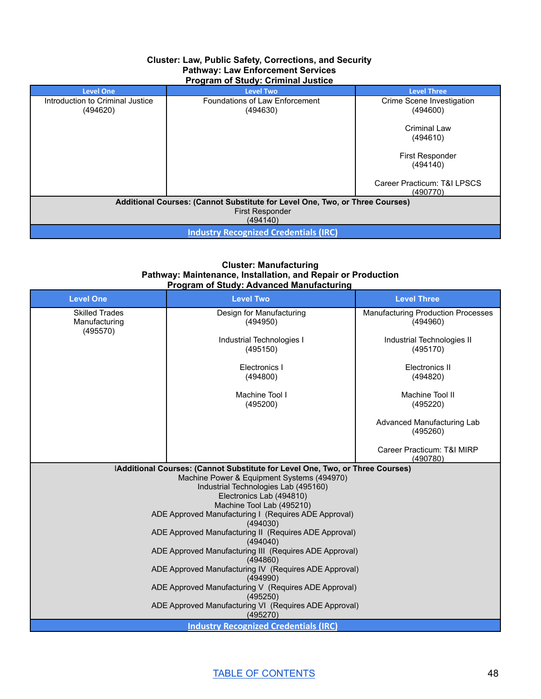#### **Cluster: Law, Public Safety, Corrections, and Security Pathway: Law Enforcement Services Program of Study: Criminal Justice**

| <b>Level One</b>                                                             | <b>Level Two</b>                           | <b>Level Three</b>                      |
|------------------------------------------------------------------------------|--------------------------------------------|-----------------------------------------|
| Introduction to Criminal Justice<br>(494620)                                 | Foundations of Law Enforcement<br>(494630) | Crime Scene Investigation<br>(494600)   |
|                                                                              |                                            | Criminal Law<br>(494610)                |
|                                                                              |                                            | <b>First Responder</b><br>(494140)      |
|                                                                              |                                            | Career Practicum: T&I LPSCS<br>(490770) |
| Additional Courses: (Cannot Substitute for Level One, Two, or Three Courses) |                                            |                                         |
| <b>First Responder</b><br>(494140)                                           |                                            |                                         |
| <b>Industry Recognized Credentials (IRC)</b>                                 |                                            |                                         |

#### **Cluster: Manufacturing Pathway: Maintenance, Installation, and Repair or Production Program of Study: Advanced Manufacturing**

| <b>Level One</b>                                   | <b>Level Two</b>                                                                                                                                                                                                                                                                                                                                                                                                                                                                                     | <b>Level Three</b>                                    |
|----------------------------------------------------|------------------------------------------------------------------------------------------------------------------------------------------------------------------------------------------------------------------------------------------------------------------------------------------------------------------------------------------------------------------------------------------------------------------------------------------------------------------------------------------------------|-------------------------------------------------------|
| <b>Skilled Trades</b><br>Manufacturing<br>(495570) | Design for Manufacturing<br>(494950)                                                                                                                                                                                                                                                                                                                                                                                                                                                                 | <b>Manufacturing Production Processes</b><br>(494960) |
|                                                    | Industrial Technologies I<br>(495150)                                                                                                                                                                                                                                                                                                                                                                                                                                                                | Industrial Technologies II<br>(495170)                |
|                                                    | Electronics I<br>(494800)                                                                                                                                                                                                                                                                                                                                                                                                                                                                            | Electronics II<br>(494820)                            |
|                                                    | Machine Tool I<br>(495200)                                                                                                                                                                                                                                                                                                                                                                                                                                                                           | Machine Tool II<br>(495220)                           |
|                                                    |                                                                                                                                                                                                                                                                                                                                                                                                                                                                                                      | Advanced Manufacturing Lab<br>(495260)                |
|                                                    |                                                                                                                                                                                                                                                                                                                                                                                                                                                                                                      | Career Practicum: T&I MIRP<br>(490780)                |
|                                                    | IAdditional Courses: (Cannot Substitute for Level One, Two, or Three Courses)<br>Machine Power & Equipment Systems (494970)<br>Industrial Technologies Lab (495160)<br>Electronics Lab (494810)<br>Machine Tool Lab (495210)<br>ADE Approved Manufacturing I (Requires ADE Approval)<br>(494030)<br>ADE Approved Manufacturing II (Requires ADE Approval)<br>(494040)<br>ADE Approved Manufacturing III (Requires ADE Approval)<br>(494860)<br>ADE Approved Manufacturing IV (Requires ADE Approval) |                                                       |
|                                                    | (494990)                                                                                                                                                                                                                                                                                                                                                                                                                                                                                             |                                                       |
|                                                    | ADE Approved Manufacturing V (Requires ADE Approval)<br>(495250)<br>ADE Approved Manufacturing VI (Requires ADE Approval)<br>(495270)                                                                                                                                                                                                                                                                                                                                                                |                                                       |
|                                                    | <b>Industry Recognized Credentials (IRC)</b>                                                                                                                                                                                                                                                                                                                                                                                                                                                         |                                                       |

TABLE OF [CONTENTS](#page-1-0) 48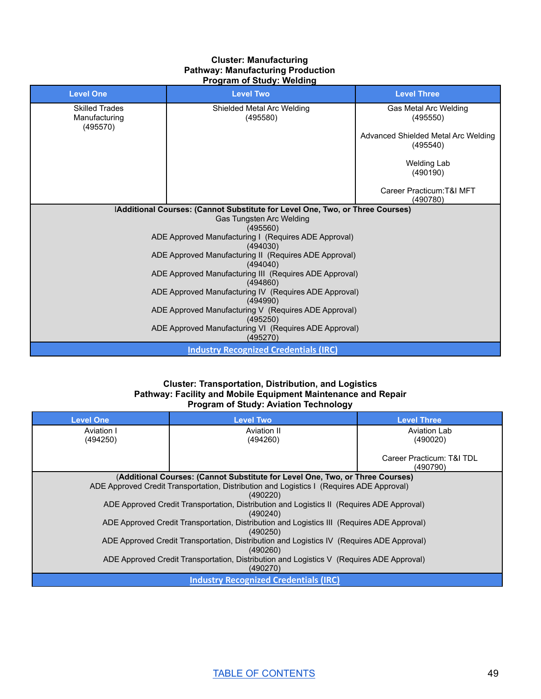#### **Cluster: Manufacturing Pathway: Manufacturing Production Program of Study: Welding**

| <b>Level One</b>                                   | <b>Level Two</b>                                                              | <b>Level Three</b>                              |
|----------------------------------------------------|-------------------------------------------------------------------------------|-------------------------------------------------|
| <b>Skilled Trades</b><br>Manufacturing<br>(495570) | Shielded Metal Arc Welding<br>(495580)                                        | Gas Metal Arc Welding<br>(495550)               |
|                                                    |                                                                               | Advanced Shielded Metal Arc Welding<br>(495540) |
|                                                    |                                                                               | Welding Lab<br>(490190)                         |
|                                                    |                                                                               | Career Practicum: T&I MFT<br>(490780)           |
|                                                    | IAdditional Courses: (Cannot Substitute for Level One, Two, or Three Courses) |                                                 |
|                                                    | Gas Tungsten Arc Welding                                                      |                                                 |
|                                                    | (495560)                                                                      |                                                 |
|                                                    | ADE Approved Manufacturing I (Requires ADE Approval)<br>(494030)              |                                                 |
|                                                    | ADE Approved Manufacturing II (Requires ADE Approval)<br>(494040)             |                                                 |
|                                                    | ADE Approved Manufacturing III (Requires ADE Approval)<br>(494860)            |                                                 |
|                                                    | ADE Approved Manufacturing IV (Requires ADE Approval)<br>(494990)             |                                                 |
|                                                    | ADE Approved Manufacturing V (Requires ADE Approval)<br>(495250)              |                                                 |
|                                                    | ADE Approved Manufacturing VI (Requires ADE Approval)<br>(495270)             |                                                 |
|                                                    | <b>Industry Recognized Credentials (IRC)</b>                                  |                                                 |

#### **Cluster: Transportation, Distribution, and Logistics Pathway: Facility and Mobile Equipment Maintenance and Repair Program of Study: Aviation Technology**

| <b>Level One</b>                                                                                       | <b>Level Two</b>                                                                         | <b>Level Three</b>        |
|--------------------------------------------------------------------------------------------------------|------------------------------------------------------------------------------------------|---------------------------|
| Aviation I                                                                                             | Aviation II                                                                              | Aviation Lab              |
| (494250)                                                                                               | (494260)                                                                                 | (490020)                  |
|                                                                                                        |                                                                                          | Career Practicum: T&I TDL |
|                                                                                                        |                                                                                          | (490790)                  |
|                                                                                                        | (Additional Courses: (Cannot Substitute for Level One, Two, or Three Courses)            |                           |
|                                                                                                        | ADE Approved Credit Transportation, Distribution and Logistics I (Requires ADE Approval) |                           |
|                                                                                                        | (490220)                                                                                 |                           |
| ADE Approved Credit Transportation, Distribution and Logistics II (Requires ADE Approval)<br>(490240)  |                                                                                          |                           |
| ADE Approved Credit Transportation, Distribution and Logistics III (Requires ADE Approval)<br>(490250) |                                                                                          |                           |
| ADE Approved Credit Transportation, Distribution and Logistics IV (Requires ADE Approval)<br>(490260)  |                                                                                          |                           |
| ADE Approved Credit Transportation, Distribution and Logistics V (Requires ADE Approval)<br>(490270)   |                                                                                          |                           |
| <b>Industry Recognized Credentials (IRC)</b>                                                           |                                                                                          |                           |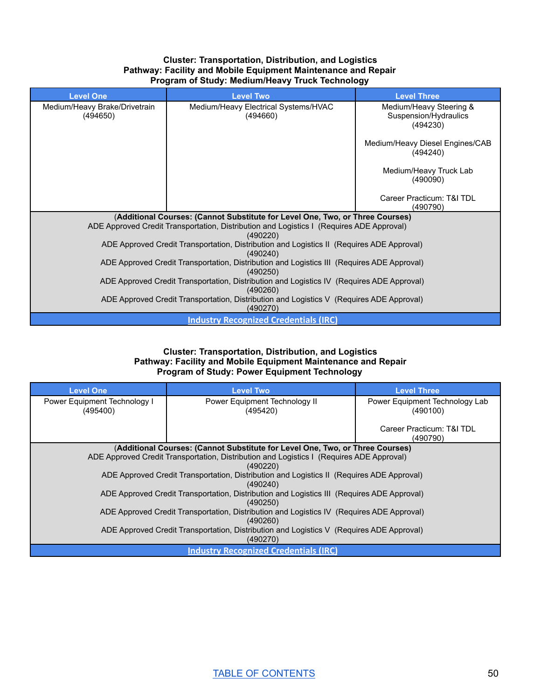#### **Cluster: Transportation, Distribution, and Logistics Pathway: Facility and Mobile Equipment Maintenance and Repair Program of Study: Medium/Heavy Truck Technology**

| <b>Level One</b>                                                                                       | <b>Level Two</b>                                                                          | <b>Level Three</b>                                           |  |
|--------------------------------------------------------------------------------------------------------|-------------------------------------------------------------------------------------------|--------------------------------------------------------------|--|
| Medium/Heavy Brake/Drivetrain<br>(494650)                                                              | Medium/Heavy Electrical Systems/HVAC<br>(494660)                                          | Medium/Heavy Steering &<br>Suspension/Hydraulics<br>(494230) |  |
|                                                                                                        |                                                                                           | Medium/Heavy Diesel Engines/CAB<br>(494240)                  |  |
|                                                                                                        |                                                                                           | Medium/Heavy Truck Lab<br>(490090)                           |  |
|                                                                                                        |                                                                                           | Career Practicum: T&I TDL<br>(490790)                        |  |
| (Additional Courses: (Cannot Substitute for Level One, Two, or Three Courses)                          |                                                                                           |                                                              |  |
| ADE Approved Credit Transportation, Distribution and Logistics I (Requires ADE Approval)               |                                                                                           |                                                              |  |
|                                                                                                        | (490220)                                                                                  |                                                              |  |
|                                                                                                        | ADE Approved Credit Transportation, Distribution and Logistics II (Requires ADE Approval) |                                                              |  |
|                                                                                                        | (490240)                                                                                  |                                                              |  |
| ADE Approved Credit Transportation, Distribution and Logistics III (Requires ADE Approval)<br>(490250) |                                                                                           |                                                              |  |
| ADE Approved Credit Transportation, Distribution and Logistics IV (Requires ADE Approval)<br>(490260)  |                                                                                           |                                                              |  |
| ADE Approved Credit Transportation, Distribution and Logistics V (Requires ADE Approval)<br>(490270)   |                                                                                           |                                                              |  |
| <b>Industry Recognized Credentials (IRC)</b>                                                           |                                                                                           |                                                              |  |

#### **Cluster: Transportation, Distribution, and Logistics Pathway: Facility and Mobile Equipment Maintenance and Repair Program of Study: Power Equipment Technology**

| <b>Level One</b>                                                                                      | <b>Level Two</b>                                                                         | <b>Level Three</b>                         |  |
|-------------------------------------------------------------------------------------------------------|------------------------------------------------------------------------------------------|--------------------------------------------|--|
| Power Equipment Technology I<br>(495400)                                                              | Power Equipment Technology II<br>(495420)                                                | Power Equipment Technology Lab<br>(490100) |  |
|                                                                                                       |                                                                                          | Career Practicum: T&I TDL<br>(490790)      |  |
|                                                                                                       | (Additional Courses: (Cannot Substitute for Level One, Two, or Three Courses)            |                                            |  |
|                                                                                                       | ADE Approved Credit Transportation, Distribution and Logistics I (Requires ADE Approval) |                                            |  |
|                                                                                                       | (490220)                                                                                 |                                            |  |
| ADE Approved Credit Transportation, Distribution and Logistics II (Requires ADE Approval)<br>(490240) |                                                                                          |                                            |  |
| ADE Approved Credit Transportation, Distribution and Logistics III (Requires ADE Approval)            |                                                                                          |                                            |  |
| (490250)                                                                                              |                                                                                          |                                            |  |
| ADE Approved Credit Transportation, Distribution and Logistics IV (Requires ADE Approval)             |                                                                                          |                                            |  |
| (490260)                                                                                              |                                                                                          |                                            |  |
| ADE Approved Credit Transportation, Distribution and Logistics V (Requires ADE Approval)              |                                                                                          |                                            |  |
|                                                                                                       | (490270)                                                                                 |                                            |  |
|                                                                                                       | <b>Industry Recognized Credentials (IRC)</b>                                             |                                            |  |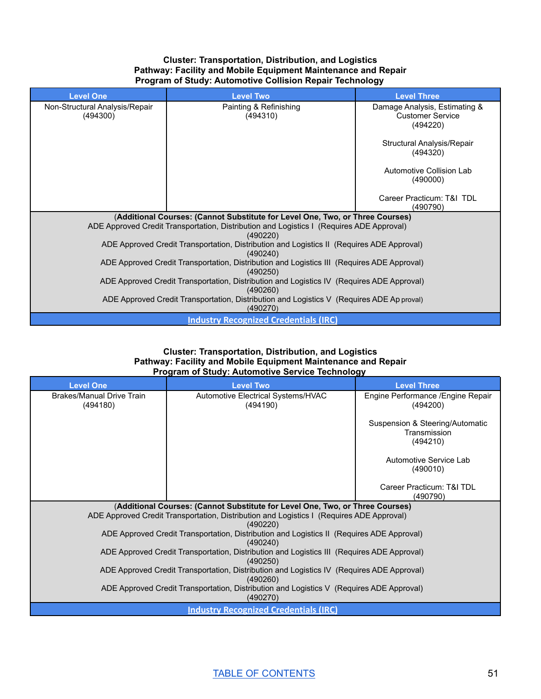#### **Cluster: Transportation, Distribution, and Logistics Pathway: Facility and Mobile Equipment Maintenance and Repair Program of Study: Automotive Collision Repair Technology**

| <b>Level One</b>                                                                                       | <b>Level Two</b>                                                                          | <b>Level Three</b>                                                   |
|--------------------------------------------------------------------------------------------------------|-------------------------------------------------------------------------------------------|----------------------------------------------------------------------|
| Non-Structural Analysis/Repair<br>(494300)                                                             | Painting & Refinishing<br>(494310)                                                        | Damage Analysis, Estimating &<br><b>Customer Service</b><br>(494220) |
|                                                                                                        |                                                                                           | Structural Analysis/Repair<br>(494320)                               |
|                                                                                                        |                                                                                           | Automotive Collision Lab<br>(490000)                                 |
|                                                                                                        |                                                                                           | Career Practicum: T&I TDL<br>(490790)                                |
|                                                                                                        | (Additional Courses: (Cannot Substitute for Level One, Two, or Three Courses)             |                                                                      |
| ADE Approved Credit Transportation, Distribution and Logistics I (Requires ADE Approval)               |                                                                                           |                                                                      |
|                                                                                                        | (490220)                                                                                  |                                                                      |
|                                                                                                        | ADE Approved Credit Transportation, Distribution and Logistics II (Requires ADE Approval) |                                                                      |
|                                                                                                        | (490240)                                                                                  |                                                                      |
| ADE Approved Credit Transportation, Distribution and Logistics III (Requires ADE Approval)<br>(490250) |                                                                                           |                                                                      |
| ADE Approved Credit Transportation, Distribution and Logistics IV (Requires ADE Approval)<br>(490260)  |                                                                                           |                                                                      |
| ADE Approved Credit Transportation, Distribution and Logistics V (Requires ADE Ap proval)<br>(490270)  |                                                                                           |                                                                      |
|                                                                                                        | <b>Industry Recognized Credentials (IRC)</b>                                              |                                                                      |

#### **Cluster: Transportation, Distribution, and Logistics Pathway: Facility and Mobile Equipment Maintenance and Repair Program of Study: Automotive Service Technology**

| <b>Level One</b>                                                                                      | <b>Level Two</b>                                                                                       | <b>Level Three</b>                                          |  |  |  |  |
|-------------------------------------------------------------------------------------------------------|--------------------------------------------------------------------------------------------------------|-------------------------------------------------------------|--|--|--|--|
| Brakes/Manual Drive Train<br>(494180)                                                                 | Automotive Electrical Systems/HVAC<br>(494190)                                                         | Engine Performance / Engine Repair<br>(494200)              |  |  |  |  |
|                                                                                                       |                                                                                                        | Suspension & Steering/Automatic<br>Transmission<br>(494210) |  |  |  |  |
|                                                                                                       |                                                                                                        | Automotive Service Lab<br>(490010)                          |  |  |  |  |
|                                                                                                       |                                                                                                        | Career Practicum: T&I TDL<br>(490790)                       |  |  |  |  |
|                                                                                                       | (Additional Courses: (Cannot Substitute for Level One, Two, or Three Courses)                          |                                                             |  |  |  |  |
|                                                                                                       | ADE Approved Credit Transportation, Distribution and Logistics I (Requires ADE Approval)               |                                                             |  |  |  |  |
|                                                                                                       | (490220)                                                                                               |                                                             |  |  |  |  |
|                                                                                                       | ADE Approved Credit Transportation, Distribution and Logistics II (Requires ADE Approval)              |                                                             |  |  |  |  |
|                                                                                                       | (490240)                                                                                               |                                                             |  |  |  |  |
|                                                                                                       | ADE Approved Credit Transportation, Distribution and Logistics III (Requires ADE Approval)<br>(490250) |                                                             |  |  |  |  |
| ADE Approved Credit Transportation, Distribution and Logistics IV (Requires ADE Approval)<br>(490260) |                                                                                                        |                                                             |  |  |  |  |
|                                                                                                       | ADE Approved Credit Transportation, Distribution and Logistics V (Requires ADE Approval)<br>(490270)   |                                                             |  |  |  |  |
| <b>Industry Recognized Credentials (IRC)</b>                                                          |                                                                                                        |                                                             |  |  |  |  |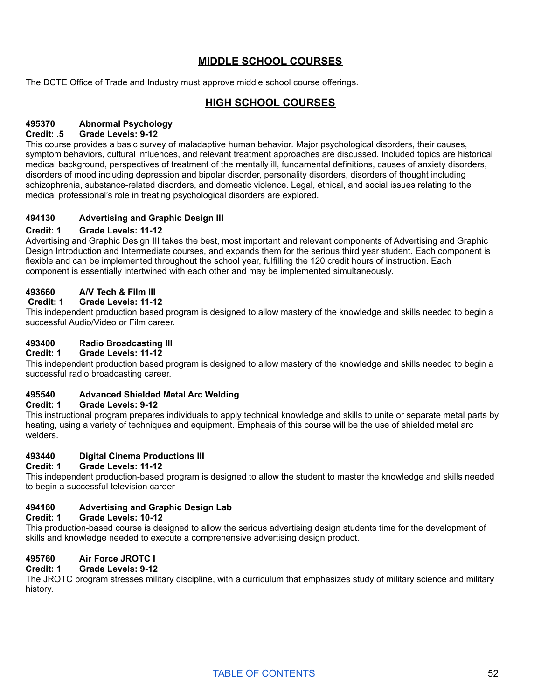## **MIDDLE SCHOOL COURSES**

The DCTE Office of Trade and Industry must approve middle school course offerings.

## **HIGH SCHOOL COURSES**

## **495370 Abnormal Psychology**

#### **Credit: .5 Grade Levels: 9-12**

This course provides a basic survey of maladaptive human behavior. Major psychological disorders, their causes, symptom behaviors, cultural influences, and relevant treatment approaches are discussed. Included topics are historical medical background, perspectives of treatment of the mentally ill, fundamental definitions, causes of anxiety disorders, disorders of mood including depression and bipolar disorder, personality disorders, disorders of thought including schizophrenia, substance-related disorders, and domestic violence. Legal, ethical, and social issues relating to the medical professional's role in treating psychological disorders are explored.

## **494130 Advertising and Graphic Design III**

#### **Credit: 1 Grade Levels: 11-12**

Advertising and Graphic Design III takes the best, most important and relevant components of Advertising and Graphic Design Introduction and Intermediate courses, and expands them for the serious third year student. Each component is flexible and can be implemented throughout the school year, fulfilling the 120 credit hours of instruction. Each component is essentially intertwined with each other and may be implemented simultaneously.

#### **493660 A/V Tech & Film III**

#### **Credit: 1 Grade Levels: 11-12**

This independent production based program is designed to allow mastery of the knowledge and skills needed to begin a successful Audio/Video or Film career.

#### **493400 Radio Broadcasting III**

#### **Credit: 1 Grade Levels: 11-12**

This independent production based program is designed to allow mastery of the knowledge and skills needed to begin a successful radio broadcasting career.

#### **495540 Advanced Shielded Metal Arc Welding**

#### **Credit: 1 Grade Levels: 9-12**

This instructional program prepares individuals to apply technical knowledge and skills to unite or separate metal parts by heating, using a variety of techniques and equipment. Emphasis of this course will be the use of shielded metal arc welders.

#### **493440 Digital Cinema Productions III**

**Credit: 1 Grade Levels: 11-12**

This independent production-based program is designed to allow the student to master the knowledge and skills needed to begin a successful television career

## **494160 Advertising and Graphic Design Lab**

#### **Credit: 1 Grade Levels: 10-12**

This production-based course is designed to allow the serious advertising design students time for the development of skills and knowledge needed to execute a comprehensive advertising design product.

## **495760 Air Force JROTC I**

#### **Credit: 1 Grade Levels: 9-12**

The JROTC program stresses military discipline, with a curriculum that emphasizes study of military science and military history.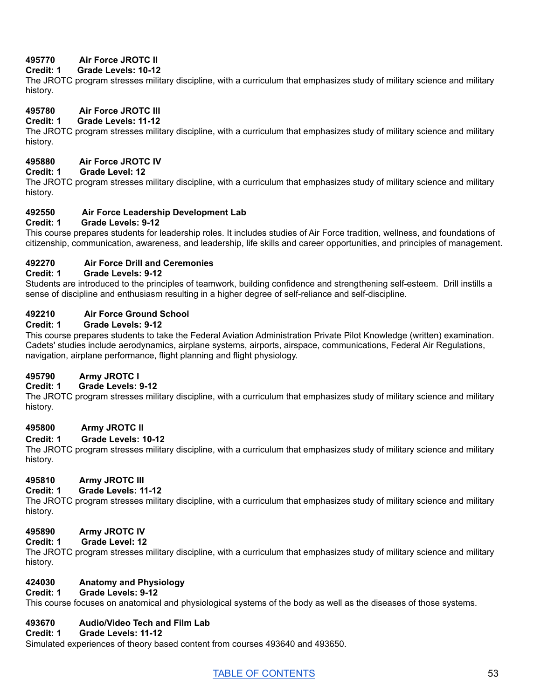## **495770 Air Force JROTC II**

## **Credit: 1 Grade Levels: 10-12**

The JROTC program stresses military discipline, with a curriculum that emphasizes study of military science and military history.

## **495780 Air Force JROTC III**

## **Credit: 1 Grade Levels: 11-12**

The JROTC program stresses military discipline, with a curriculum that emphasizes study of military science and military history.

## **495880 Air Force JROTC IV**

## **Credit: 1 Grade Level: 12**

The JROTC program stresses military discipline, with a curriculum that emphasizes study of military science and military history.

## **492550 Air Force Leadership Development Lab**

## **Credit: 1 Grade Levels: 9-12**

This course prepares students for leadership roles. It includes studies of Air Force tradition, wellness, and foundations of citizenship, communication, awareness, and leadership, life skills and career opportunities, and principles of management.

## **492270 Air Force Drill and Ceremonies**

#### **Credit: 1 Grade Levels: 9-12**

Students are introduced to the principles of teamwork, building confidence and strengthening self-esteem. Drill instills a sense of discipline and enthusiasm resulting in a higher degree of self-reliance and self-discipline.

## **492210 Air Force Ground School**

## **Credit: 1 Grade Levels: 9-12**

This course prepares students to take the Federal Aviation Administration Private Pilot Knowledge (written) examination. Cadets' studies include aerodynamics, airplane systems, airports, airspace, communications, Federal Air Regulations, navigation, airplane performance, flight planning and flight physiology.

## **495790 Army JROTC I**

## **Credit: 1 Grade Levels: 9-12**

The JROTC program stresses military discipline, with a curriculum that emphasizes study of military science and military history.

## **495800 Army JROTC II**

#### **Credit: 1 Grade Levels: 10-12**

The JROTC program stresses military discipline, with a curriculum that emphasizes study of military science and military history.

## **495810 Army JROTC III**

## **Credit: 1 Grade Levels: 11-12**

The JROTC program stresses military discipline, with a curriculum that emphasizes study of military science and military history.

## **495890 Army JROTC IV**

#### **Credit: 1 Grade Level: 12**

The JROTC program stresses military discipline, with a curriculum that emphasizes study of military science and military history.

## **424030 Anatomy and Physiology**

#### **Credit: 1 Grade Levels: 9-12**

This course focuses on anatomical and physiological systems of the body as well as the diseases of those systems.

## **493670 Audio/Video Tech and Film Lab**

#### **Credit: 1 Grade Levels: 11-12**

Simulated experiences of theory based content from courses 493640 and 493650.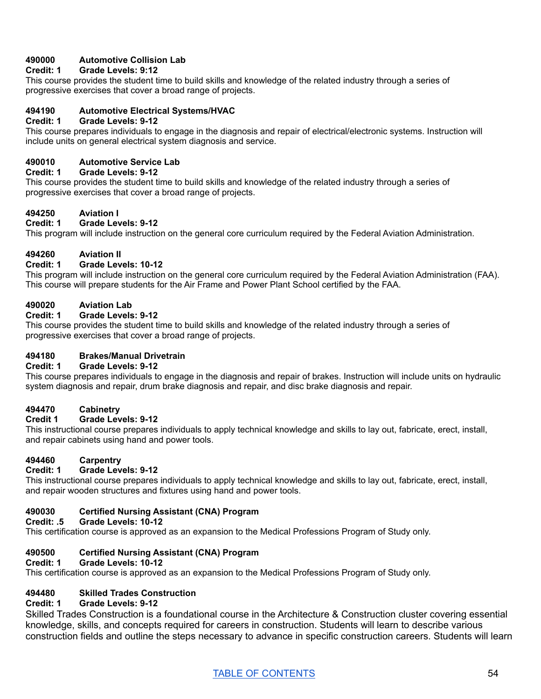## **490000 Automotive Collision Lab**

## **Credit: 1 Grade Levels: 9:12**

This course provides the student time to build skills and knowledge of the related industry through a series of progressive exercises that cover a broad range of projects.

#### **494190 Automotive Electrical Systems/HVAC**

#### **Credit: 1 Grade Levels: 9-12**

This course prepares individuals to engage in the diagnosis and repair of electrical/electronic systems. Instruction will include units on general electrical system diagnosis and service.

#### **490010 Automotive Service Lab**

#### **Credit: 1 Grade Levels: 9-12**

This course provides the student time to build skills and knowledge of the related industry through a series of progressive exercises that cover a broad range of projects.

## **494250 Aviation I**

## **Credit: 1 Grade Levels: 9-12**

This program will include instruction on the general core curriculum required by the Federal Aviation Administration.

#### **494260 Aviation II**

#### **Credit: 1 Grade Levels: 10-12**

This program will include instruction on the general core curriculum required by the Federal Aviation Administration (FAA). This course will prepare students for the Air Frame and Power Plant School certified by the FAA.

#### **490020 Aviation Lab**

#### **Credit: 1 Grade Levels: 9-12**

This course provides the student time to build skills and knowledge of the related industry through a series of progressive exercises that cover a broad range of projects.

#### **494180 Brakes/Manual Drivetrain**

#### **Credit: 1 Grade Levels: 9-12**

This course prepares individuals to engage in the diagnosis and repair of brakes. Instruction will include units on hydraulic system diagnosis and repair, drum brake diagnosis and repair, and disc brake diagnosis and repair.

#### **494470 Cabinetry**

#### **Credit 1 Grade Levels: 9-12**

This instructional course prepares individuals to apply technical knowledge and skills to lay out, fabricate, erect, install, and repair cabinets using hand and power tools.

## **494460 Carpentry**

#### **Credit: 1 Grade Levels: 9-12**

This instructional course prepares individuals to apply technical knowledge and skills to lay out, fabricate, erect, install, and repair wooden structures and fixtures using hand and power tools.

#### **490030 Certified Nursing Assistant (CNA) Program**

#### **Credit: .5 Grade Levels: 10-12**

This certification course is approved as an expansion to the Medical Professions Program of Study only.

## **490500 Certified Nursing Assistant (CNA) Program**

#### **Credit: 1 Grade Levels: 10-12**

This certification course is approved as an expansion to the Medical Professions Program of Study only.

## **494480 Skilled Trades Construction**

#### **Credit: 1 Grade Levels: 9-12**

Skilled Trades Construction is a foundational course in the Architecture & Construction cluster covering essential knowledge, skills, and concepts required for careers in construction. Students will learn to describe various construction fields and outline the steps necessary to advance in specific construction careers. Students will learn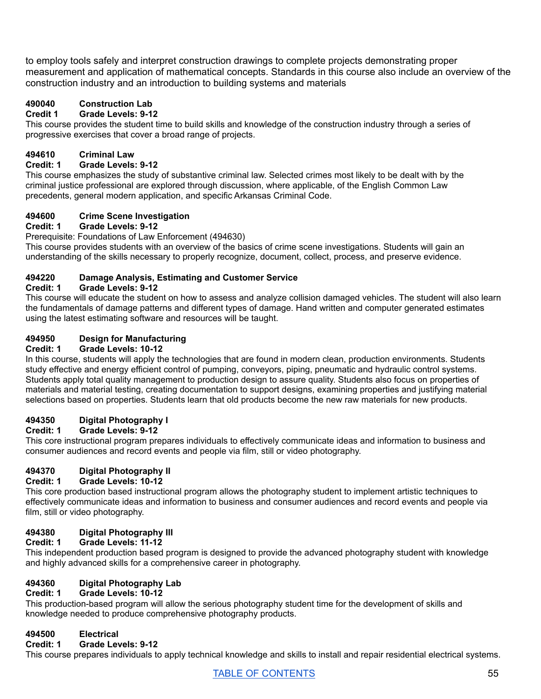to employ tools safely and interpret construction drawings to complete projects demonstrating proper measurement and application of mathematical concepts. Standards in this course also include an overview of the construction industry and an introduction to building systems and materials

## **490040 Construction Lab**

## **Credit 1 Grade Levels: 9-12**

This course provides the student time to build skills and knowledge of the construction industry through a series of progressive exercises that cover a broad range of projects.

# **494610 Criminal Law**

## **Credit: 1 Grade Levels: 9-12**

This course emphasizes the study of substantive criminal law. Selected crimes most likely to be dealt with by the criminal justice professional are explored through discussion, where applicable, of the English Common Law precedents, general modern application, and specific Arkansas Criminal Code.

## **494600 Crime Scene Investigation**

#### **Credit: 1 Grade Levels: 9-12**

Prerequisite: Foundations of Law Enforcement (494630)

This course provides students with an overview of the basics of crime scene investigations. Students will gain an understanding of the skills necessary to properly recognize, document, collect, process, and preserve evidence.

## **494220 Damage Analysis, Estimating and Customer Service**

## **Credit: 1 Grade Levels: 9-12**

This course will educate the student on how to assess and analyze collision damaged vehicles. The student will also learn the fundamentals of damage patterns and different types of damage. Hand written and computer generated estimates using the latest estimating software and resources will be taught.

# **494950 Design for Manufacturing**

#### **Credit: 1 Grade Levels: 10-12**

In this course, students will apply the technologies that are found in modern clean, production environments. Students study effective and energy efficient control of pumping, conveyors, piping, pneumatic and hydraulic control systems. Students apply total quality management to production design to assure quality. Students also focus on properties of materials and material testing, creating documentation to support designs, examining properties and justifying material selections based on properties. Students learn that old products become the new raw materials for new products.

## **494350 Digital Photography I**

## **Credit: 1 Grade Levels: 9-12**

This core instructional program prepares individuals to effectively communicate ideas and information to business and consumer audiences and record events and people via film, still or video photography.

## **494370 Digital Photography II**

## **Credit: 1 Grade Levels: 10-12**

This core production based instructional program allows the photography student to implement artistic techniques to effectively communicate ideas and information to business and consumer audiences and record events and people via film, still or video photography.

## **494380 Digital Photography III**

## **Credit: 1 Grade Levels: 11-12**

This independent production based program is designed to provide the advanced photography student with knowledge and highly advanced skills for a comprehensive career in photography.

# **494360 Digital Photography Lab**

## **Credit: 1 Grade Levels: 10-12**

This production-based program will allow the serious photography student time for the development of skills and knowledge needed to produce comprehensive photography products.

## **494500 Electrical**

#### **Credit: 1 Grade Levels: 9-12**

This course prepares individuals to apply technical knowledge and skills to install and repair residential electrical systems.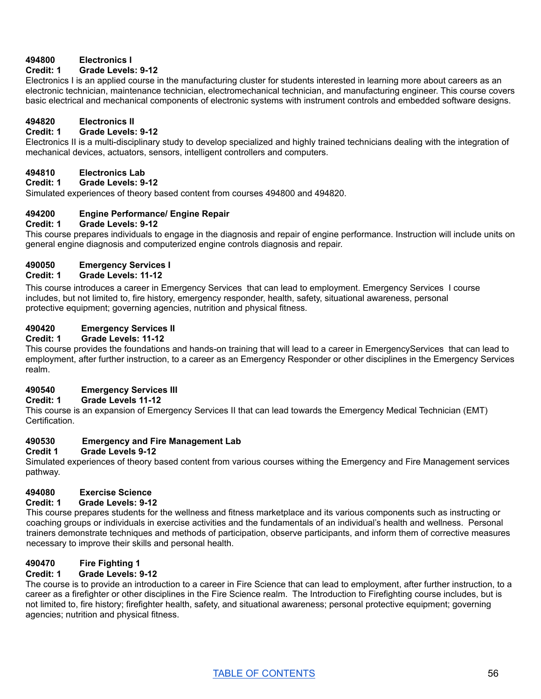## **494800 Electronics I**

#### **Credit: 1 Grade Levels: 9-12**

Electronics I is an applied course in the manufacturing cluster for students interested in learning more about careers as an electronic technician, maintenance technician, electromechanical technician, and manufacturing engineer. This course covers basic electrical and mechanical components of electronic systems with instrument controls and embedded software designs.

#### **494820 Electronics II**

#### **Credit: 1 Grade Levels: 9-12**

Electronics II is a multi-disciplinary study to develop specialized and highly trained technicians dealing with the integration of mechanical devices, actuators, sensors, intelligent controllers and computers.

#### **494810 Electronics Lab**

**Credit: 1 Grade Levels: 9-12**

Simulated experiences of theory based content from courses 494800 and 494820.

## **494200 Engine Performance/ Engine Repair**

#### **Credit: 1 Grade Levels: 9-12**

This course prepares individuals to engage in the diagnosis and repair of engine performance. Instruction will include units on general engine diagnosis and computerized engine controls diagnosis and repair.

## **490050 Emergency Services I**

#### **Credit: 1 Grade Levels: 11-12**

This course introduces a career in Emergency Services that can lead to employment. Emergency Services I course includes, but not limited to, fire history, emergency responder, health, safety, situational awareness, personal protective equipment; governing agencies, nutrition and physical fitness.

#### **490420 Emergency Services II**

#### **Credit: 1 Grade Levels: 11-12**

This course provides the foundations and hands-on training that will lead to a career in EmergencyServices that can lead to employment, after further instruction, to a career as an Emergency Responder or other disciplines in the Emergency Services realm.

#### **490540 Emergency Services III**

#### **Credit: 1 Grade Levels 11-12**

This course is an expansion of Emergency Services II that can lead towards the Emergency Medical Technician (EMT) Certification.

## **490530 Emergency and Fire Management Lab**

#### **Credit 1 Grade Levels 9-12**

Simulated experiences of theory based content from various courses withing the Emergency and Fire Management services pathway.

## **494080 Exercise Science**

#### **Credit: 1 Grade Levels: 9-12**

This course prepares students for the wellness and fitness marketplace and its various components such as instructing or coaching groups or individuals in exercise activities and the fundamentals of an individual's health and wellness. Personal trainers demonstrate techniques and methods of participation, observe participants, and inform them of corrective measures necessary to improve their skills and personal health.

## **490470 Fire Fighting 1**

#### **Credit: 1 Grade Levels: 9-12**

The course is to provide an introduction to a career in Fire Science that can lead to employment, after further instruction, to a career as a firefighter or other disciplines in the Fire Science realm. The Introduction to Firefighting course includes, but is not limited to, fire history; firefighter health, safety, and situational awareness; personal protective equipment; governing agencies; nutrition and physical fitness.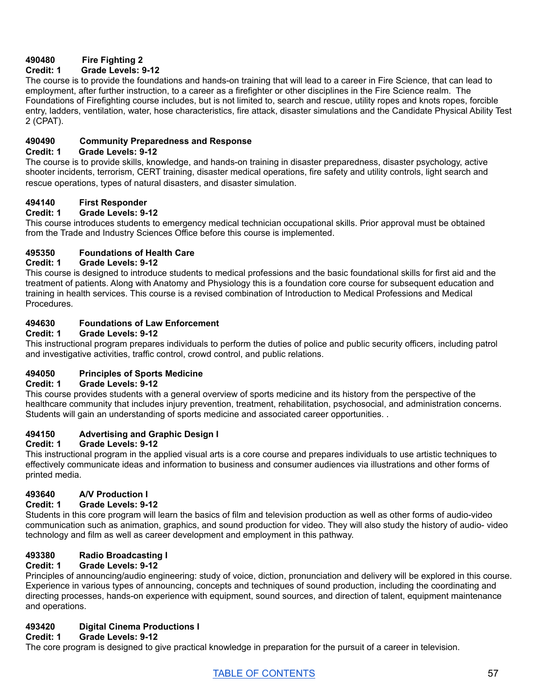## **490480 Fire Fighting 2**

## **Credit: 1 Grade Levels: 9-12**

The course is to provide the foundations and hands-on training that will lead to a career in Fire Science, that can lead to employment, after further instruction, to a career as a firefighter or other disciplines in the Fire Science realm. The Foundations of Firefighting course includes, but is not limited to, search and rescue, utility ropes and knots ropes, forcible entry, ladders, ventilation, water, hose characteristics, fire attack, disaster simulations and the Candidate Physical Ability Test 2 (CPAT).

## **490490 Community Preparedness and Response**

#### **Credit: 1 Grade Levels: 9-12**

The course is to provide skills, knowledge, and hands-on training in disaster preparedness, disaster psychology, active shooter incidents, terrorism, CERT training, disaster medical operations, fire safety and utility controls, light search and rescue operations, types of natural disasters, and disaster simulation.

## **494140 First Responder**

## **Credit: 1 Grade Levels: 9-12**

This course introduces students to emergency medical technician occupational skills. Prior approval must be obtained from the Trade and Industry Sciences Office before this course is implemented.

## **495350 Foundations of Health Care**

## **Credit: 1 Grade Levels: 9-12**

This course is designed to introduce students to medical professions and the basic foundational skills for first aid and the treatment of patients. Along with Anatomy and Physiology this is a foundation core course for subsequent education and training in health services. This course is a revised combination of Introduction to Medical Professions and Medical **Procedures** 

## **494630 Foundations of Law Enforcement**

## **Credit: 1 Grade Levels: 9-12**

This instructional program prepares individuals to perform the duties of police and public security officers, including patrol and investigative activities, traffic control, crowd control, and public relations.

# **494050 Principles of Sports Medicine**

## **Credit: 1 Grade Levels: 9-12**

This course provides students with a general overview of sports medicine and its history from the perspective of the healthcare community that includes injury prevention, treatment, rehabilitation, psychosocial, and administration concerns. Students will gain an understanding of sports medicine and associated career opportunities. .

## **494150 Advertising and Graphic Design I**

## **Credit: 1 Grade Levels: 9-12**

This instructional program in the applied visual arts is a core course and prepares individuals to use artistic techniques to effectively communicate ideas and information to business and consumer audiences via illustrations and other forms of printed media.

# **493640 A/V Production I**

## **Credit: 1 Grade Levels: 9-12**

Students in this core program will learn the basics of film and television production as well as other forms of audio-video communication such as animation, graphics, and sound production for video. They will also study the history of audio- video technology and film as well as career development and employment in this pathway.

## **493380 Radio Broadcasting I**

## **Credit: 1 Grade Levels: 9-12**

Principles of announcing/audio engineering: study of voice, diction, pronunciation and delivery will be explored in this course. Experience in various types of announcing, concepts and techniques of sound production, including the coordinating and directing processes, hands-on experience with equipment, sound sources, and direction of talent, equipment maintenance and operations.

## **493420 Digital Cinema Productions I**

## **Credit: 1 Grade Levels: 9-12**

The core program is designed to give practical knowledge in preparation for the pursuit of a career in television.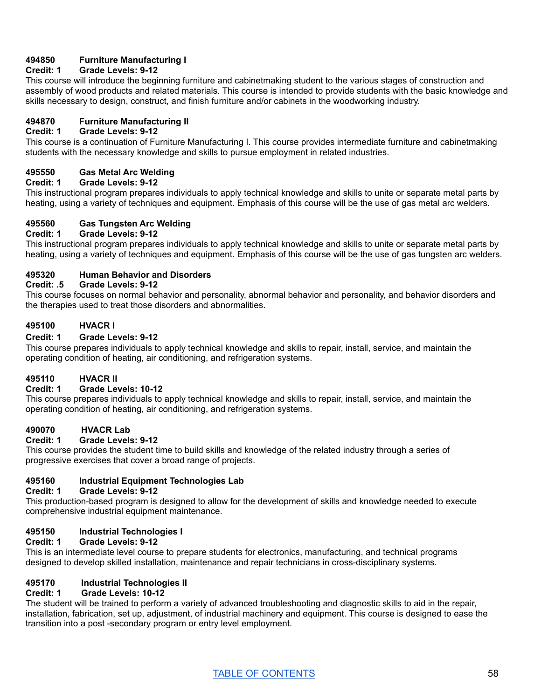## **494850 Furniture Manufacturing I**

## **Credit: 1 Grade Levels: 9-12**

This course will introduce the beginning furniture and cabinetmaking student to the various stages of construction and assembly of wood products and related materials. This course is intended to provide students with the basic knowledge and skills necessary to design, construct, and finish furniture and/or cabinets in the woodworking industry.

# **494870 Furniture Manufacturing II**

#### **Credit: 1 Grade Levels: 9-12**

This course is a continuation of Furniture Manufacturing I. This course provides intermediate furniture and cabinetmaking students with the necessary knowledge and skills to pursue employment in related industries.

#### **495550 Gas Metal Arc Welding**

#### **Credit: 1 Grade Levels: 9-12**

This instructional program prepares individuals to apply technical knowledge and skills to unite or separate metal parts by heating, using a variety of techniques and equipment. Emphasis of this course will be the use of gas metal arc welders.

#### **495560 Gas Tungsten Arc Welding**

## **Credit: 1 Grade Levels: 9-12**

This instructional program prepares individuals to apply technical knowledge and skills to unite or separate metal parts by heating, using a variety of techniques and equipment. Emphasis of this course will be the use of gas tungsten arc welders.

#### **495320 Human Behavior and Disorders**

#### **Credit: .5 Grade Levels: 9-12**

This course focuses on normal behavior and personality, abnormal behavior and personality, and behavior disorders and the therapies used to treat those disorders and abnormalities.

#### **495100 HVACR I**

#### **Credit: 1 Grade Levels: 9-12**

This course prepares individuals to apply technical knowledge and skills to repair, install, service, and maintain the operating condition of heating, air conditioning, and refrigeration systems.

#### **495110 HVACR II**

#### **Credit: 1 Grade Levels: 10-12**

This course prepares individuals to apply technical knowledge and skills to repair, install, service, and maintain the operating condition of heating, air conditioning, and refrigeration systems.

#### **490070 HVACR Lab**

#### **Credit: 1 Grade Levels: 9-12**

This course provides the student time to build skills and knowledge of the related industry through a series of progressive exercises that cover a broad range of projects.

# **495160 Industrial Equipment Technologies Lab**

#### **Credit: 1 Grade Levels: 9-12**

This production-based program is designed to allow for the development of skills and knowledge needed to execute comprehensive industrial equipment maintenance.

#### **495150 Industrial Technologies I**

#### **Credit: 1 Grade Levels: 9-12**

This is an intermediate level course to prepare students for electronics, manufacturing, and technical programs designed to develop skilled installation, maintenance and repair technicians in cross-disciplinary systems.

#### **495170 Industrial Technologies II**

## **Credit: 1 Grade Levels: 10-12**

The student will be trained to perform a variety of advanced troubleshooting and diagnostic skills to aid in the repair, installation, fabrication, set up, adjustment, of industrial machinery and equipment. This course is designed to ease the transition into a post -secondary program or entry level employment.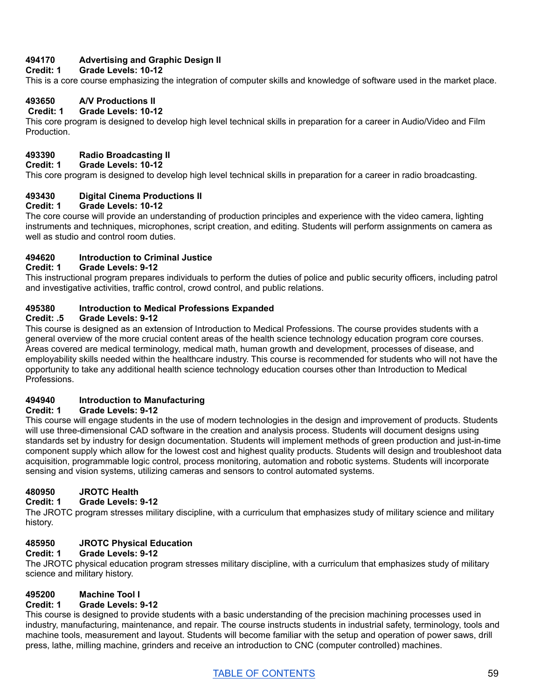## **494170 Advertising and Graphic Design II**

#### **Credit: 1 Grade Levels: 10-12**

This is a core course emphasizing the integration of computer skills and knowledge of software used in the market place.

## **493650 A/V Productions II**

#### **Credit: 1 Grade Levels: 10-12**

This core program is designed to develop high level technical skills in preparation for a career in Audio/Video and Film Production.

## **493390 Radio Broadcasting II**

#### **Credit: 1 Grade Levels: 10-12**

This core program is designed to develop high level technical skills in preparation for a career in radio broadcasting.

## **493430 Digital Cinema Productions II**

#### **Credit: 1 Grade Levels: 10-12**

The core course will provide an understanding of production principles and experience with the video camera, lighting instruments and techniques, microphones, script creation, and editing. Students will perform assignments on camera as well as studio and control room duties.

## **494620 Introduction to Criminal Justice**

#### **Credit: 1 Grade Levels: 9-12**

This instructional program prepares individuals to perform the duties of police and public security officers, including patrol and investigative activities, traffic control, crowd control, and public relations.

#### **495380 Introduction to Medical Professions Expanded**

#### **Credit: .5 Grade Levels: 9-12**

This course is designed as an extension of Introduction to Medical Professions. The course provides students with a general overview of the more crucial content areas of the health science technology education program core courses. Areas covered are medical terminology, medical math, human growth and development, processes of disease, and employability skills needed within the healthcare industry. This course is recommended for students who will not have the opportunity to take any additional health science technology education courses other than Introduction to Medical Professions.

## **494940 Introduction to Manufacturing**

#### **Credit: 1 Grade Levels: 9-12**

This course will engage students in the use of modern technologies in the design and improvement of products. Students will use three-dimensional CAD software in the creation and analysis process. Students will document designs using standards set by industry for design documentation. Students will implement methods of green production and just-in-time component supply which allow for the lowest cost and highest quality products. Students will design and troubleshoot data acquisition, programmable logic control, process monitoring, automation and robotic systems. Students will incorporate sensing and vision systems, utilizing cameras and sensors to control automated systems.

# **480950 JROTC Health**

## **Credit: 1 Grade Levels: 9-12**

The JROTC program stresses military discipline, with a curriculum that emphasizes study of military science and military history.

## **485950 JROTC Physical Education**

#### **Credit: 1 Grade Levels: 9-12**

The JROTC physical education program stresses military discipline, with a curriculum that emphasizes study of military science and military history.

## **495200 Machine Tool I**

#### **Credit: 1 Grade Levels: 9-12**

This course is designed to provide students with a basic understanding of the precision machining processes used in industry, manufacturing, maintenance, and repair. The course instructs students in industrial safety, terminology, tools and machine tools, measurement and layout. Students will become familiar with the setup and operation of power saws, drill press, lathe, milling machine, grinders and receive an introduction to CNC (computer controlled) machines.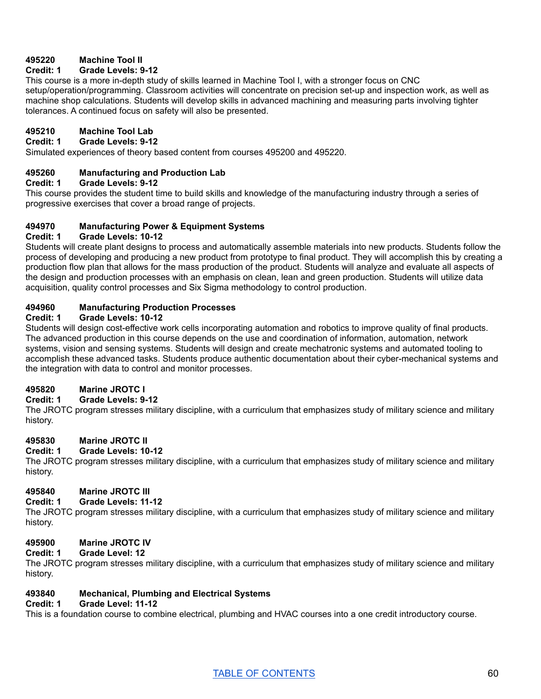## **495220 Machine Tool II**

#### **Credit: 1 Grade Levels: 9-12**

This course is a more in-depth study of skills learned in Machine Tool I, with a stronger focus on CNC setup/operation/programming. Classroom activities will concentrate on precision set-up and inspection work, as well as machine shop calculations. Students will develop skills in advanced machining and measuring parts involving tighter tolerances. A continued focus on safety will also be presented.

## **495210 Machine Tool Lab**

#### **Credit: 1 Grade Levels: 9-12**

Simulated experiences of theory based content from courses 495200 and 495220.

#### **495260 Manufacturing and Production Lab**

#### **Credit: 1 Grade Levels: 9-12**

This course provides the student time to build skills and knowledge of the manufacturing industry through a series of progressive exercises that cover a broad range of projects.

#### **494970 Manufacturing Power & Equipment Systems**

#### **Credit: 1 Grade Levels: 10-12**

Students will create plant designs to process and automatically assemble materials into new products. Students follow the process of developing and producing a new product from prototype to final product. They will accomplish this by creating a production flow plan that allows for the mass production of the product. Students will analyze and evaluate all aspects of the design and production processes with an emphasis on clean, lean and green production. Students will utilize data acquisition, quality control processes and Six Sigma methodology to control production.

## **494960 Manufacturing Production Processes**

#### **Credit: 1 Grade Levels: 10-12**

Students will design cost-effective work cells incorporating automation and robotics to improve quality of final products. The advanced production in this course depends on the use and coordination of information, automation, network systems, vision and sensing systems. Students will design and create mechatronic systems and automated tooling to accomplish these advanced tasks. Students produce authentic documentation about their cyber-mechanical systems and the integration with data to control and monitor processes.

#### **495820 Marine JROTC I**

## **Credit: 1 Grade Levels: 9-12**

The JROTC program stresses military discipline, with a curriculum that emphasizes study of military science and military history.

# **495830 Marine JROTC II**

#### **Credit: 1 Grade Levels: 10-12**

The JROTC program stresses military discipline, with a curriculum that emphasizes study of military science and military history.

## **495840 Marine JROTC III**

#### **Credit: 1 Grade Levels: 11-12**

The JROTC program stresses military discipline, with a curriculum that emphasizes study of military science and military history.

#### **495900 Marine JROTC IV**

#### **Credit: 1 Grade Level: 12**

The JROTC program stresses military discipline, with a curriculum that emphasizes study of military science and military history.

#### **493840 Mechanical, Plumbing and Electrical Systems**

## **Credit: 1 Grade Level: 11-12**

This is a foundation course to combine electrical, plumbing and HVAC courses into a one credit introductory course.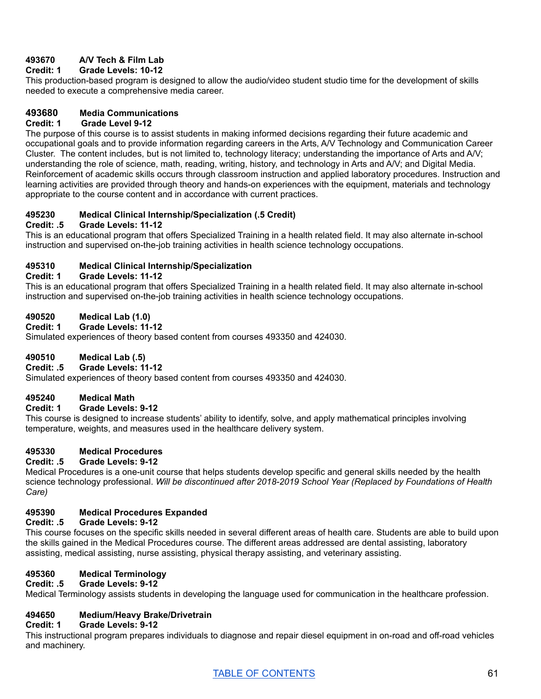## **493670 A/V Tech & Film Lab**

## **Credit: 1 Grade Levels: 10-12**

This production-based program is designed to allow the audio/video student studio time for the development of skills needed to execute a comprehensive media career.

## **493680 Media Communications**

#### **Credit: 1 Grade Level 9-12**

The purpose of this course is to assist students in making informed decisions regarding their future academic and occupational goals and to provide information regarding careers in the Arts, A/V Technology and Communication Career Cluster. The content includes, but is not limited to, technology literacy; understanding the importance of Arts and A/V; understanding the role of science, math, reading, writing, history, and technology in Arts and A/V; and Digital Media. Reinforcement of academic skills occurs through classroom instruction and applied laboratory procedures. Instruction and learning activities are provided through theory and hands-on experiences with the equipment, materials and technology appropriate to the course content and in accordance with current practices.

## **495230 Medical Clinical Internship/Specialization (.5 Credit)**

## **Credit: .5 Grade Levels: 11-12**

This is an educational program that offers Specialized Training in a health related field. It may also alternate in-school instruction and supervised on-the-job training activities in health science technology occupations.

# **495310 Medical Clinical Internship/Specialization**

#### **Credit: 1 Grade Levels: 11-12**

This is an educational program that offers Specialized Training in a health related field. It may also alternate in-school instruction and supervised on-the-job training activities in health science technology occupations.

## **490520 Medical Lab (1.0)**

**Credit: 1 Grade Levels: 11-12**

Simulated experiences of theory based content from courses 493350 and 424030.

## **490510 Medical Lab (.5)**

## **Credit: .5 Grade Levels: 11-12**

Simulated experiences of theory based content from courses 493350 and 424030.

## **495240 Medical Math**

## **Credit: 1 Grade Levels: 9-12**

This course is designed to increase students' ability to identify, solve, and apply mathematical principles involving temperature, weights, and measures used in the healthcare delivery system.

## **495330 Medical Procedures**

#### **Credit: .5 Grade Levels: 9-12**

Medical Procedures is a one-unit course that helps students develop specific and general skills needed by the health science technology professional. *Will be discontinued after 2018-2019 School Year (Replaced by Foundations of Health Care)*

## **495390 Medical Procedures Expanded**

## **Credit: .5 Grade Levels: 9-12**

This course focuses on the specific skills needed in several different areas of health care. Students are able to build upon the skills gained in the Medical Procedures course. The different areas addressed are dental assisting, laboratory assisting, medical assisting, nurse assisting, physical therapy assisting, and veterinary assisting.

# **495360 Medical Terminology**

## **Credit: .5 Grade Levels: 9-12**

Medical Terminology assists students in developing the language used for communication in the healthcare profession.

## **494650 Medium/Heavy Brake/Drivetrain**

#### **Credit: 1 Grade Levels: 9-12**

This instructional program prepares individuals to diagnose and repair diesel equipment in on-road and off-road vehicles and machinery.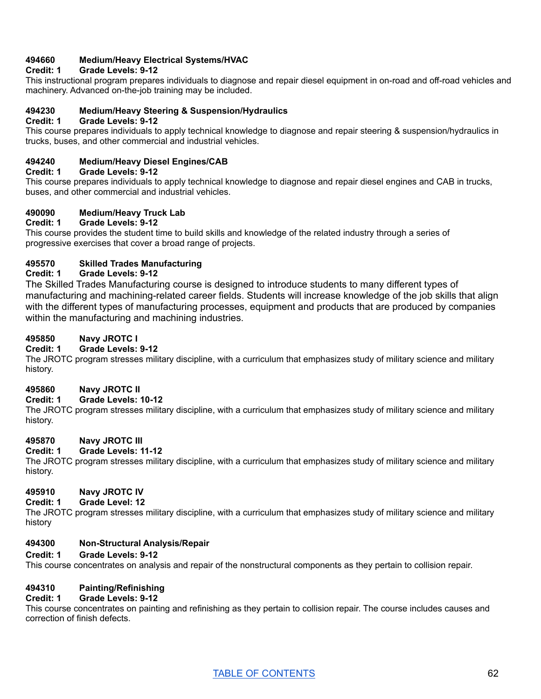## **494660 Medium/Heavy Electrical Systems/HVAC**

## **Credit: 1 Grade Levels: 9-12**

This instructional program prepares individuals to diagnose and repair diesel equipment in on-road and off-road vehicles and machinery. Advanced on-the-job training may be included.

#### **494230 Medium/Heavy Steering & Suspension/Hydraulics**

#### **Credit: 1 Grade Levels: 9-12**

This course prepares individuals to apply technical knowledge to diagnose and repair steering & suspension/hydraulics in trucks, buses, and other commercial and industrial vehicles.

## **494240 Medium/Heavy Diesel Engines/CAB**

#### **Credit: 1 Grade Levels: 9-12**

This course prepares individuals to apply technical knowledge to diagnose and repair diesel engines and CAB in trucks, buses, and other commercial and industrial vehicles.

## **490090 Medium/Heavy Truck Lab**

#### **Credit: 1 Grade Levels: 9-12**

This course provides the student time to build skills and knowledge of the related industry through a series of progressive exercises that cover a broad range of projects.

## **495570 Skilled Trades Manufacturing**

#### **Credit: 1 Grade Levels: 9-12**

The Skilled Trades Manufacturing course is designed to introduce students to many different types of manufacturing and machining-related career fields. Students will increase knowledge of the job skills that align with the different types of manufacturing processes, equipment and products that are produced by companies within the manufacturing and machining industries.

#### **495850 Navy JROTC I**

#### **Credit: 1 Grade Levels: 9-12**

The JROTC program stresses military discipline, with a curriculum that emphasizes study of military science and military history.

#### **495860 Navy JROTC II**

## **Credit: 1 Grade Levels: 10-12**

The JROTC program stresses military discipline, with a curriculum that emphasizes study of military science and military history.

#### **495870 Navy JROTC III**

#### **Credit: 1 Grade Levels: 11-12**

The JROTC program stresses military discipline, with a curriculum that emphasizes study of military science and military history.

## **495910 Navy JROTC IV**

#### **Credit: 1 Grade Level: 12**

The JROTC program stresses military discipline, with a curriculum that emphasizes study of military science and military history

#### **494300 Non-Structural Analysis/Repair**

#### **Credit: 1 Grade Levels: 9-12**

This course concentrates on analysis and repair of the nonstructural components as they pertain to collision repair.

## **494310 Painting/Refinishing**

#### **Credit: 1 Grade Levels: 9-12**

This course concentrates on painting and refinishing as they pertain to collision repair. The course includes causes and correction of finish defects.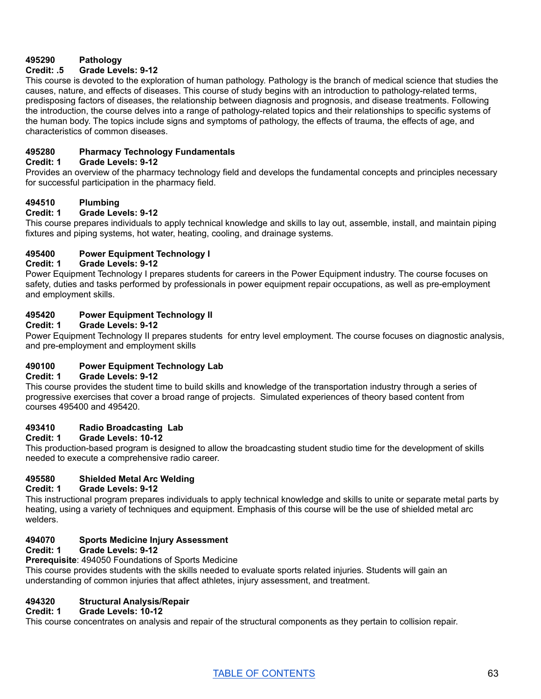## **495290 Pathology**

## **Credit: .5 Grade Levels: 9-12**

This course is devoted to the exploration of human pathology. Pathology is the branch of medical science that studies the causes, nature, and effects of diseases. This course of study begins with an introduction to pathology-related terms, predisposing factors of diseases, the relationship between diagnosis and prognosis, and disease treatments. Following the introduction, the course delves into a range of pathology-related topics and their relationships to specific systems of the human body. The topics include signs and symptoms of pathology, the effects of trauma, the effects of age, and characteristics of common diseases.

## **495280 Pharmacy Technology Fundamentals**

#### **Credit: 1 Grade Levels: 9-12**

Provides an overview of the pharmacy technology field and develops the fundamental concepts and principles necessary for successful participation in the pharmacy field.

## **494510 Plumbing**

## **Credit: 1 Grade Levels: 9-12**

This course prepares individuals to apply technical knowledge and skills to lay out, assemble, install, and maintain piping fixtures and piping systems, hot water, heating, cooling, and drainage systems.

## **495400 Power Equipment Technology I**

## **Credit: 1 Grade Levels: 9-12**

Power Equipment Technology I prepares students for careers in the Power Equipment industry. The course focuses on safety, duties and tasks performed by professionals in power equipment repair occupations, as well as pre-employment and employment skills.

## **495420 Power Equipment Technology II**

## **Credit: 1 Grade Levels: 9-12**

Power Equipment Technology II prepares students for entry level employment. The course focuses on diagnostic analysis, and pre-employment and employment skills

## **490100 Power Equipment Technology Lab**

## **Credit: 1 Grade Levels: 9-12**

This course provides the student time to build skills and knowledge of the transportation industry through a series of progressive exercises that cover a broad range of projects. Simulated experiences of theory based content from courses 495400 and 495420.

## **493410 Radio Broadcasting Lab**

## **Credit: 1 Grade Levels: 10-12**

This production-based program is designed to allow the broadcasting student studio time for the development of skills needed to execute a comprehensive radio career.

## **495580 Shielded Metal Arc Welding**

## **Credit: 1 Grade Levels: 9-12**

This instructional program prepares individuals to apply technical knowledge and skills to unite or separate metal parts by heating, using a variety of techniques and equipment. Emphasis of this course will be the use of shielded metal arc welders.

## **494070 Sports Medicine Injury Assessment**

## **Credit: 1 Grade Levels: 9-12**

## **Prerequisite**: 494050 Foundations of Sports Medicine

This course provides students with the skills needed to evaluate sports related injuries. Students will gain an understanding of common injuries that affect athletes, injury assessment, and treatment.

## **494320 Structural Analysis/Repair**

## **Credit: 1 Grade Levels: 10-12**

This course concentrates on analysis and repair of the structural components as they pertain to collision repair.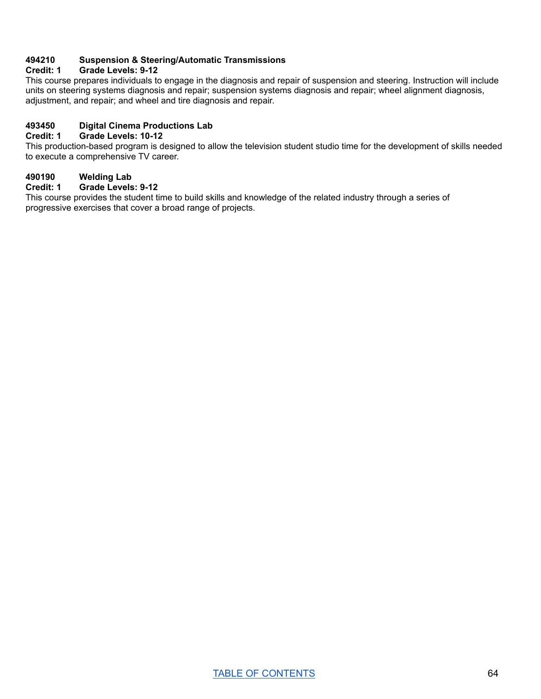## **494210 Suspension & Steering/Automatic Transmissions**

## **Credit: 1 Grade Levels: 9-12**

This course prepares individuals to engage in the diagnosis and repair of suspension and steering. Instruction will include units on steering systems diagnosis and repair; suspension systems diagnosis and repair; wheel alignment diagnosis, adjustment, and repair; and wheel and tire diagnosis and repair.

# **493450 Digital Cinema Productions Lab**

## **Credit: 1 Grade Levels: 10-12**

This production-based program is designed to allow the television student studio time for the development of skills needed to execute a comprehensive TV career.

## **490190 Welding Lab**

#### **Credit: 1 Grade Levels: 9-12**

This course provides the student time to build skills and knowledge of the related industry through a series of progressive exercises that cover a broad range of projects.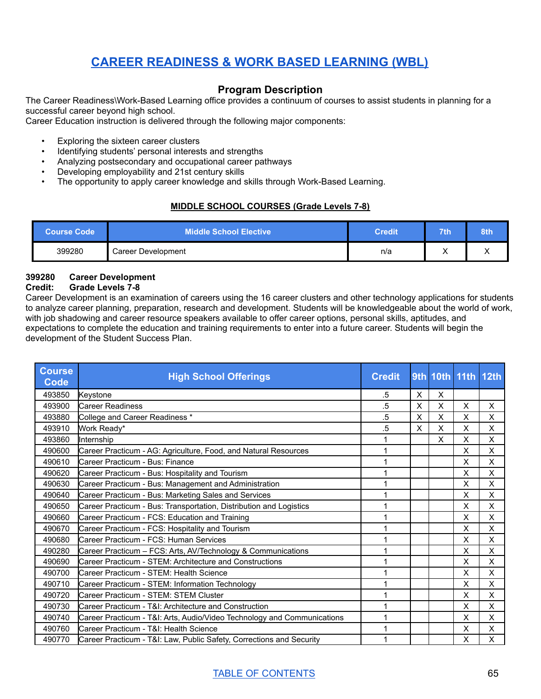# **CAREER [READINESS](#page-65-0) & WORK BASED LEARNING (WBL)**

## **Program Description**

<span id="page-65-0"></span>The Career Readiness\Work-Based Learning office provides a continuum of courses to assist students in planning for a successful career beyond high school.

Career Education instruction is delivered through the following major components:

- Exploring the sixteen career clusters
- Identifying students' personal interests and strengths
- Analyzing postsecondary and occupational career pathways
- Developing employability and 21st century skills
- The opportunity to apply career knowledge and skills through Work-Based Learning.

## **MIDDLE SCHOOL COURSES (Grade Levels 7-8)**

|        | <b>Middle School Elective</b> | <b>Credit</b> | 71 h | 8th |
|--------|-------------------------------|---------------|------|-----|
| 399280 | Career Development            | n/a           | ,,   |     |

## **399280 Career Development**

#### **Credit: Grade Levels 7-8**

Career Development is an examination of careers using the 16 career clusters and other technology applications for students to analyze career planning, preparation, research and development. Students will be knowledgeable about the world of work, with job shadowing and career resource speakers available to offer career options, personal skills, aptitudes, and expectations to complete the education and training requirements to enter into a future career. Students will begin the development of the Student Success Plan.

| <b>Course</b><br><b>Code</b> | <b>High School Offerings</b>                                            | <b>Credit</b> |          |   | 9th 10th 11th 12th |   |
|------------------------------|-------------------------------------------------------------------------|---------------|----------|---|--------------------|---|
| 493850                       | Keystone                                                                | .5            | $\times$ | X |                    |   |
| 493900                       | <b>Career Readiness</b>                                                 | .5            | X        | X | X                  | X |
| 493880                       | College and Career Readiness *                                          | .5            | X        | X | X                  | X |
| 493910                       | Work Ready*                                                             | .5            | X        | X | X                  | X |
| 493860                       | <b>Internship</b>                                                       |               |          | X | X                  | X |
| 490600                       | Career Practicum - AG: Agriculture, Food, and Natural Resources         | 1             |          |   | X                  | X |
| 490610                       | lCareer Practicum - Bus: Finance                                        | 1             |          |   | X                  | X |
| 490620                       | Career Practicum - Bus: Hospitality and Tourism                         | 1             |          |   | X                  | X |
| 490630                       | Career Practicum - Bus: Management and Administration                   | 1             |          |   | Χ                  | X |
| 490640                       | Career Practicum - Bus: Marketing Sales and Services                    | 1             |          |   | X                  | X |
| 490650                       | Career Practicum - Bus: Transportation, Distribution and Logistics      | 1             |          |   | X                  | X |
| 490660                       | Career Practicum - FCS: Education and Training                          | 1             |          |   | X                  | X |
| 490670                       | Career Practicum - FCS: Hospitality and Tourism                         | 1             |          |   | X                  | X |
| 490680                       | lCareer Practicum - FCS: Human Services                                 | 1             |          |   | X                  | X |
| 490280                       | Career Practicum - FCS: Arts, AV/Technology & Communications            |               |          |   | X                  | X |
| 490690                       | Career Practicum - STEM: Architecture and Constructions                 | 1             |          |   | X                  | X |
| 490700                       | Career Practicum - STEM: Health Science                                 | 1             |          |   | X                  | X |
| 490710                       | Career Practicum - STEM: Information Technology                         | 1             |          |   | X                  | X |
| 490720                       | <b>ICareer Practicum - STEM: STEM Cluster</b>                           | 1             |          |   | X                  | X |
| 490730                       | ICareer Practicum - T&I: Architecture and Construction                  |               |          |   | X                  | X |
| 490740                       | Career Practicum - T&I: Arts, Audio/Video Technology and Communications | 1             |          |   | Χ                  | X |
| 490760                       | Career Practicum - T&I: Health Science                                  | 1             |          |   | Χ                  | X |
| 490770                       | Career Practicum - T&I: Law, Public Safety, Corrections and Security    | 1             |          |   | X                  | X |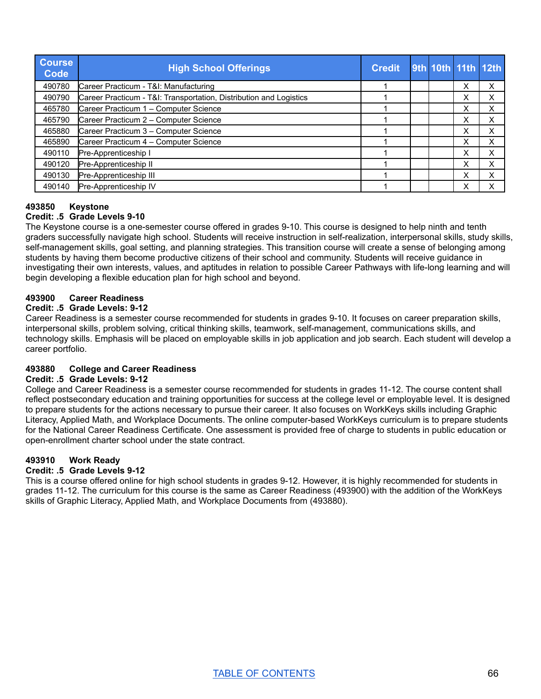| <b>Course</b><br><b>Code</b> | <b>High School Offerings</b>                                       | <b>Credit</b> |  |   | 9th 10th 11th 12th |
|------------------------------|--------------------------------------------------------------------|---------------|--|---|--------------------|
| 490780                       | Career Practicum - T&I: Manufacturing                              |               |  | Х | Х                  |
| 490790                       | Career Practicum - T&I: Transportation, Distribution and Logistics |               |  | Х | х                  |
| 465780                       | Career Practicum 1 - Computer Science                              |               |  | Χ | х                  |
| 465790                       | Career Practicum 2 - Computer Science                              |               |  | Х | х                  |
| 465880                       | Career Practicum 3 - Computer Science                              |               |  | Х | х                  |
| 465890                       | Career Practicum 4 - Computer Science                              |               |  | x | х                  |
| 490110                       | Pre-Apprenticeship I                                               |               |  | х | х                  |
| 490120                       | Pre-Apprenticeship II                                              |               |  | x | Х                  |
| 490130                       | Pre-Apprenticeship III                                             |               |  | x | x                  |
| 490140                       | Pre-Apprenticeship IV                                              |               |  | Х | Х                  |

#### **493850 Keystone Credit: .5 Grade Levels 9-10**

The Keystone course is a one-semester course offered in grades 9-10. This course is designed to help ninth and tenth graders successfully navigate high school. Students will receive instruction in self-realization, interpersonal skills, study skills, self-management skills, goal setting, and planning strategies. This transition course will create a sense of belonging among students by having them become productive citizens of their school and community. Students will receive guidance in investigating their own interests, values, and aptitudes in relation to possible Career Pathways with life-long learning and will begin developing a flexible education plan for high school and beyond.

## **493900 Career Readiness**

## **Credit: .5 Grade Levels: 9-12**

Career Readiness is a semester course recommended for students in grades 9-10. It focuses on career preparation skills, interpersonal skills, problem solving, critical thinking skills, teamwork, self-management, communications skills, and technology skills. Emphasis will be placed on employable skills in job application and job search. Each student will develop a career portfolio.

## **493880 College and Career Readiness**

## **Credit: .5 Grade Levels: 9-12**

College and Career Readiness is a semester course recommended for students in grades 11-12. The course content shall reflect postsecondary education and training opportunities for success at the college level or employable level. It is designed to prepare students for the actions necessary to pursue their career. It also focuses on WorkKeys skills including Graphic Literacy, Applied Math, and Workplace Documents. The online computer-based WorkKeys curriculum is to prepare students for the National Career Readiness Certificate. One assessment is provided free of charge to students in public education or open-enrollment charter school under the state contract.

## **493910 Work Ready**

## **Credit: .5 Grade Levels 9-12**

This is a course offered online for high school students in grades 9-12. However, it is highly recommended for students in grades 11-12. The curriculum for this course is the same as Career Readiness (493900) with the addition of the WorkKeys skills of Graphic Literacy, Applied Math, and Workplace Documents from (493880).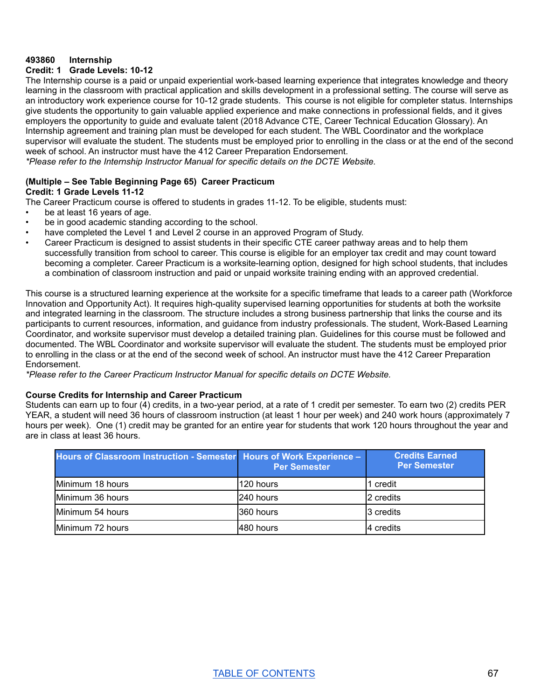## **493860 Internship**

## **Credit: 1 Grade Levels: 10-12**

The Internship course is a paid or unpaid experiential work-based learning experience that integrates knowledge and theory learning in the classroom with practical application and skills development in a professional setting. The course will serve as an introductory work experience course for 10-12 grade students. This course is not eligible for completer status. Internships give students the opportunity to gain valuable applied experience and make connections in professional fields, and it gives employers the opportunity to guide and evaluate talent (2018 Advance CTE, Career Technical Education Glossary). An Internship agreement and training plan must be developed for each student. The WBL Coordinator and the workplace supervisor will evaluate the student. The students must be employed prior to enrolling in the class or at the end of the second week of school. An instructor must have the 412 Career Preparation Endorsement.

*\*Please refer to the Internship Instructor Manual for specific details on the DCTE Website.*

## **(Multiple – See Table Beginning Page 65) Career Practicum Credit: 1 Grade Levels 11-12**

The Career Practicum course is offered to students in grades 11-12. To be eligible, students must:

- be at least 16 years of age.
- be in good academic standing according to the school.
- have completed the Level 1 and Level 2 course in an approved Program of Study.
- Career Practicum is designed to assist students in their specific CTE career pathway areas and to help them successfully transition from school to career. This course is eligible for an employer tax credit and may count toward becoming a completer. Career Practicum is a worksite-learning option, designed for high school students, that includes a combination of classroom instruction and paid or unpaid worksite training ending with an approved credential.

This course is a structured learning experience at the worksite for a specific timeframe that leads to a career path (Workforce Innovation and Opportunity Act). It requires high-quality supervised learning opportunities for students at both the worksite and integrated learning in the classroom. The structure includes a strong business partnership that links the course and its participants to current resources, information, and guidance from industry professionals. The student, Work-Based Learning Coordinator, and worksite supervisor must develop a detailed training plan. Guidelines for this course must be followed and documented. The WBL Coordinator and worksite supervisor will evaluate the student. The students must be employed prior to enrolling in the class or at the end of the second week of school. An instructor must have the 412 Career Preparation Endorsement.

*\*Please refer to the Career Practicum Instructor Manual for specific details on DCTE Website.*

#### **Course Credits for Internship and Career Practicum**

Students can earn up to four (4) credits, in a two-year period, at a rate of 1 credit per semester. To earn two (2) credits PER YEAR, a student will need 36 hours of classroom instruction (at least 1 hour per week) and 240 work hours (approximately 7 hours per week). One (1) credit may be granted for an entire year for students that work 120 hours throughout the year and are in class at least 36 hours.

| Hours of Classroom Instruction - Semester   Hours of Work Experience - | <b>Per Semester</b> | <b>Credits Earned</b><br><b>Per Semester</b> |  |  |
|------------------------------------------------------------------------|---------------------|----------------------------------------------|--|--|
| Minimum 18 hours                                                       | l120 hours          | 1 credit                                     |  |  |
| Minimum 36 hours                                                       | 240 hours           | 2 credits                                    |  |  |
| Minimum 54 hours                                                       | 1360 hours          | 3 credits                                    |  |  |
| Minimum 72 hours                                                       | l480 hours          | I4 credits                                   |  |  |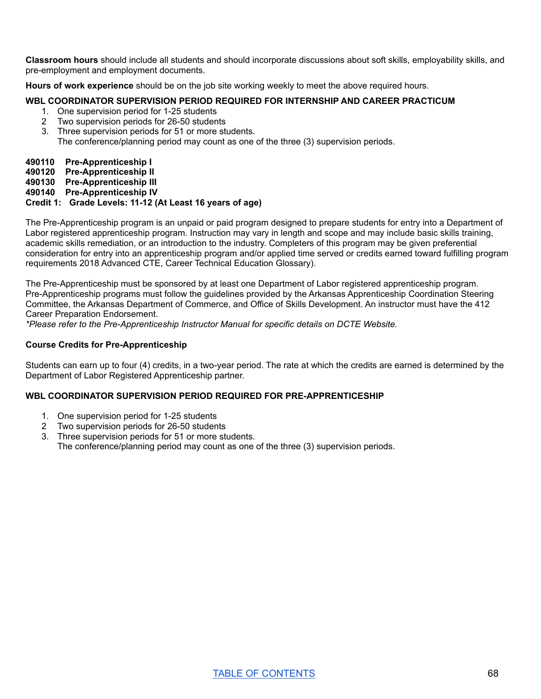**Classroom hours** should include all students and should incorporate discussions about soft skills, employability skills, and pre-employment and employment documents.

**Hours of work experience** should be on the job site working weekly to meet the above required hours.

#### **WBL COORDINATOR SUPERVISION PERIOD REQUIRED FOR INTERNSHIP AND CAREER PRACTICUM**

- 1. One supervision period for 1-25 students
- 2 Two supervision periods for 26-50 students
- 3. Three supervision periods for 51 or more students.
	- The conference/planning period may count as one of the three (3) supervision periods.

#### **490110 Pre-Apprenticeship I**

- **490120 Pre-Apprenticeship II**
- **490130 Pre-Apprenticeship III**
- **490140 Pre-Apprenticeship IV**

## **Credit 1: Grade Levels: 11-12 (At Least 16 years of age)**

The Pre-Apprenticeship program is an unpaid or paid program designed to prepare students for entry into a Department of Labor registered apprenticeship program. Instruction may vary in length and scope and may include basic skills training, academic skills remediation, or an introduction to the industry. Completers of this program may be given preferential consideration for entry into an apprenticeship program and/or applied time served or credits earned toward fulfilling program requirements 2018 Advanced CTE, Career Technical Education Glossary).

The Pre-Apprenticeship must be sponsored by at least one Department of Labor registered apprenticeship program. Pre-Apprenticeship programs must follow the guidelines provided by the Arkansas Apprenticeship Coordination Steering Committee, the Arkansas Department of Commerce, and Office of Skills Development. An instructor must have the 412 Career Preparation Endorsement.

*\*Please refer to the Pre-Apprenticeship Instructor Manual for specific details on DCTE Website.*

#### **Course Credits for Pre-Apprenticeship**

Students can earn up to four (4) credits, in a two-year period. The rate at which the credits are earned is determined by the Department of Labor Registered Apprenticeship partner.

#### **WBL COORDINATOR SUPERVISION PERIOD REQUIRED FOR PRE-APPRENTICESHIP**

- 1. One supervision period for 1-25 students
- 2 Two supervision periods for 26-50 students
- 3. Three supervision periods for 51 or more students.
- The conference/planning period may count as one of the three (3) supervision periods.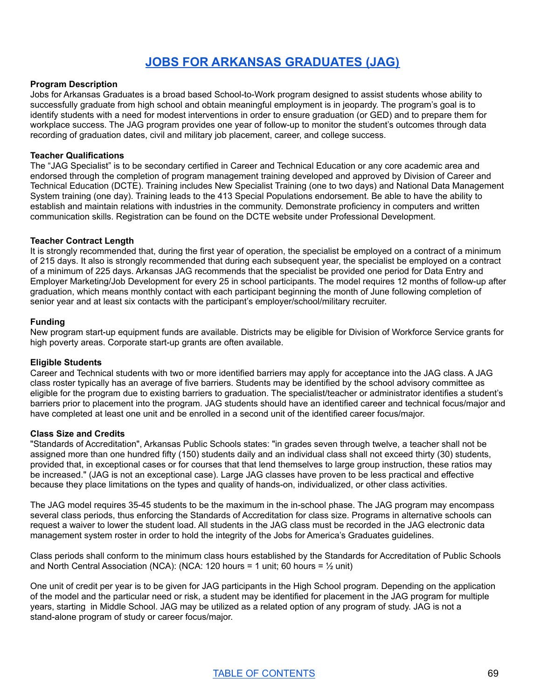# **JOBS FOR ARKANSAS [GRADUATES](#page-69-0) (JAG)**

#### <span id="page-69-0"></span>**Program Description**

Jobs for Arkansas Graduates is a broad based School-to-Work program designed to assist students whose ability to successfully graduate from high school and obtain meaningful employment is in jeopardy. The program's goal is to identify students with a need for modest interventions in order to ensure graduation (or GED) and to prepare them for workplace success. The JAG program provides one year of follow-up to monitor the student's outcomes through data recording of graduation dates, civil and military job placement, career, and college success.

#### **Teacher Qualifications**

The "JAG Specialist" is to be secondary certified in Career and Technical Education or any core academic area and endorsed through the completion of program management training developed and approved by Division of Career and Technical Education (DCTE). Training includes New Specialist Training (one to two days) and National Data Management System training (one day). Training leads to the 413 Special Populations endorsement. Be able to have the ability to establish and maintain relations with industries in the community. Demonstrate proficiency in computers and written communication skills. Registration can be found on the DCTE website under Professional Development.

#### **Teacher Contract Length**

It is strongly recommended that, during the first year of operation, the specialist be employed on a contract of a minimum of 215 days. It also is strongly recommended that during each subsequent year, the specialist be employed on a contract of a minimum of 225 days. Arkansas JAG recommends that the specialist be provided one period for Data Entry and Employer Marketing/Job Development for every 25 in school participants. The model requires 12 months of follow-up after graduation, which means monthly contact with each participant beginning the month of June following completion of senior year and at least six contacts with the participant's employer/school/military recruiter.

#### **Funding**

New program start-up equipment funds are available. Districts may be eligible for Division of Workforce Service grants for high poverty areas. Corporate start-up grants are often available.

#### **Eligible Students**

Career and Technical students with two or more identified barriers may apply for acceptance into the JAG class. A JAG class roster typically has an average of five barriers. Students may be identified by the school advisory committee as eligible for the program due to existing barriers to graduation. The specialist/teacher or administrator identifies a student's barriers prior to placement into the program. JAG students should have an identified career and technical focus/major and have completed at least one unit and be enrolled in a second unit of the identified career focus/major.

#### **Class Size and Credits**

"Standards of Accreditation", Arkansas Public Schools states: "in grades seven through twelve, a teacher shall not be assigned more than one hundred fifty (150) students daily and an individual class shall not exceed thirty (30) students, provided that, in exceptional cases or for courses that that lend themselves to large group instruction, these ratios may be increased." (JAG is not an exceptional case). Large JAG classes have proven to be less practical and effective because they place limitations on the types and quality of hands-on, individualized, or other class activities.

The JAG model requires 35-45 students to be the maximum in the in-school phase. The JAG program may encompass several class periods, thus enforcing the Standards of Accreditation for class size. Programs in alternative schools can request a waiver to lower the student load. All students in the JAG class must be recorded in the JAG electronic data management system roster in order to hold the integrity of the Jobs for America's Graduates guidelines.

Class periods shall conform to the minimum class hours established by the Standards for Accreditation of Public Schools and North Central Association (NCA): (NCA: 120 hours = 1 unit; 60 hours =  $\frac{1}{2}$  unit)

One unit of credit per year is to be given for JAG participants in the High School program. Depending on the application of the model and the particular need or risk, a student may be identified for placement in the JAG program for multiple years, starting in Middle School. JAG may be utilized as a related option of any program of study. JAG is not a stand-alone program of study or career focus/major.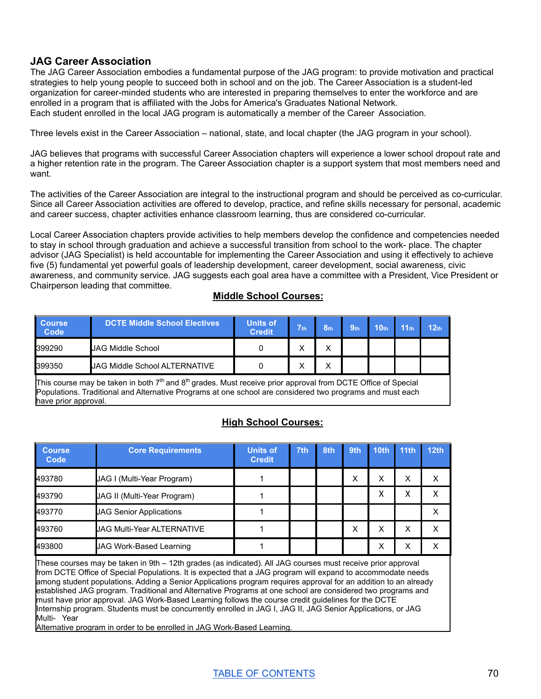## **JAG Career Association**

The JAG Career Association embodies a fundamental purpose of the JAG program: to provide motivation and practical strategies to help young people to succeed both in school and on the job. The Career Association is a student-led organization for career-minded students who are interested in preparing themselves to enter the workforce and are enrolled in a program that is affiliated with the Jobs for America's Graduates National Network. Each student enrolled in the local JAG program is automatically a member of the Career Association.

Three levels exist in the Career Association – national, state, and local chapter (the JAG program in your school).

JAG believes that programs with successful Career Association chapters will experience a lower school dropout rate and a higher retention rate in the program. The Career Association chapter is a support system that most members need and want.

The activities of the Career Association are integral to the instructional program and should be perceived as co-curricular. Since all Career Association activities are offered to develop, practice, and refine skills necessary for personal, academic and career success, chapter activities enhance classroom learning, thus are considered co-curricular.

Local Career Association chapters provide activities to help members develop the confidence and competencies needed to stay in school through graduation and achieve a successful transition from school to the work- place. The chapter advisor (JAG Specialist) is held accountable for implementing the Career Association and using it effectively to achieve five (5) fundamental yet powerful goals of leadership development, career development, social awareness, civic awareness, and community service. JAG suggests each goal area have a committee with a President, Vice President or Chairperson leading that committee.

## **Middle School Courses:**

| <b>Course</b><br>Code | <b>DCTE Middle School Electives</b>  | <b>Units of</b><br><b>Credit</b> | $\nabla$ th | 8 <sub>th</sub> | 9 <sub>th</sub> | 10 <sub>th</sub> | 11 <sub>th</sub> | 12 <sub>th</sub> |
|-----------------------|--------------------------------------|----------------------------------|-------------|-----------------|-----------------|------------------|------------------|------------------|
| 399290                | <b>JAG Middle School</b>             |                                  | $\check{ }$ |                 |                 |                  |                  |                  |
| 399350                | <b>JAG Middle School ALTERNATIVE</b> |                                  | v<br>⌒      | v               |                 |                  |                  |                  |

This course may be taken in both 7<sup>th</sup> and 8<sup>th</sup> grades. Must receive prior approval from DCTE Office of Special Populations. Traditional and Alternative Programs at one school are considered two programs and must each have prior approval.

## **High School Courses:**

| <b>Course</b><br>Code | <b>Core Requirements</b>       | <b>Units of</b><br><b>Credit</b> | 7th | 8th | 9th | 10 <sub>th</sub> | 11th | 12 <sub>th</sub> |
|-----------------------|--------------------------------|----------------------------------|-----|-----|-----|------------------|------|------------------|
| 493780                | JAG I (Multi-Year Program)     |                                  |     |     | х   | X                | х    |                  |
| 493790                | JAG II (Multi-Year Program)    |                                  |     |     |     | χ                | ⋏    |                  |
| 493770                | <b>JAG Senior Applications</b> |                                  |     |     |     |                  |      |                  |
| 493760                | UAG Multi-Year ALTERNATIVE     |                                  |     |     | х   | x                | х    | x                |
| 493800                | <b>JAG Work-Based Learning</b> |                                  |     |     |     | X                | х    |                  |

These courses may be taken in 9th – 12th grades (as indicated). All JAG courses must receive prior approval from DCTE Office of Special Populations. It is expected that a JAG program will expand to accommodate needs among student populations. Adding a Senior Applications program requires approval for an addition to an already established JAG program. Traditional and Alternative Programs at one school are considered two programs and must have prior approval. JAG Work-Based Learning follows the course credit guidelines for the DCTE Internship program. Students must be concurrently enrolled in JAG I, JAG II, JAG Senior Applications, or JAG Multi- Year

Alternative program in order to be enrolled in JAG Work-Based Learning.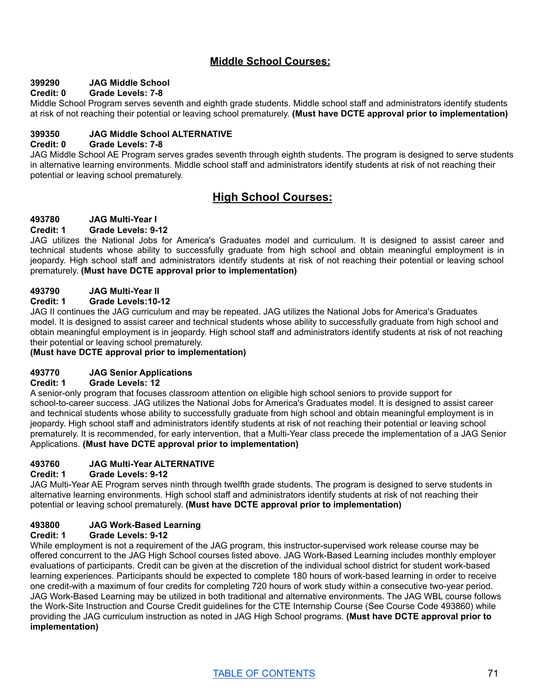## **Middle School Courses:**

## **399290 JAG Middle School**

## **Credit: 0 Grade Levels: 7-8**

Middle School Program serves seventh and eighth grade students. Middle school staff and administrators identify students at risk of not reaching their potential or leaving school prematurely. **(Must have DCTE approval prior to implementation)**

## **399350 JAG Middle School ALTERNATIVE**

#### **Credit: 0 Grade Levels: 7-8**

JAG Middle School AE Program serves grades seventh through eighth students. The program is designed to serve students in alternative learning environments. Middle school staff and administrators identify students at risk of not reaching their potential or leaving school prematurely.

## **High School Courses:**

## **493780 JAG Multi-Year I**

#### **Credit: 1 Grade Levels: 9-12**

JAG utilizes the National Jobs for America's Graduates model and curriculum. It is designed to assist career and technical students whose ability to successfully graduate from high school and obtain meaningful employment is in jeopardy. High school staff and administrators identify students at risk of not reaching their potential or leaving school prematurely. **(Must have DCTE approval prior to implementation)**

## **493790 JAG Multi-Year II**

#### **Credit: 1 Grade Levels:10-12**

JAG II continues the JAG curriculum and may be repeated. JAG utilizes the National Jobs for America's Graduates model. It is designed to assist career and technical students whose ability to successfully graduate from high school and obtain meaningful employment is in jeopardy. High school staff and administrators identify students at risk of not reaching their potential or leaving school prematurely.

## **(Must have DCTE approval prior to implementation)**

## **493770 JAG Senior Applications**

## **Credit: 1 Grade Levels: 12**

A senior-only program that focuses classroom attention on eligible high school seniors to provide support for school-to-career success. JAG utilizes the National Jobs for America's Graduates model. It is designed to assist career and technical students whose ability to successfully graduate from high school and obtain meaningful employment is in jeopardy. High school staff and administrators identify students at risk of not reaching their potential or leaving school prematurely. It is recommended, for early intervention, that a Multi-Year class precede the implementation of a JAG Senior Applications. **(Must have DCTE approval prior to implementation)**

## **493760 JAG Multi-Year ALTERNATIVE**

#### **Credit: 1 Grade Levels: 9-12**

JAG Multi-Year AE Program serves ninth through twelfth grade students. The program is designed to serve students in alternative learning environments. High school staff and administrators identify students at risk of not reaching their potential or leaving school prematurely. **(Must have DCTE approval prior to implementation)**

## **493800 JAG Work-Based Learning**

## **Credit: 1 Grade Levels: 9-12**

While employment is not a requirement of the JAG program, this instructor-supervised work release course may be offered concurrent to the JAG High School courses listed above. JAG Work-Based Learning includes monthly employer evaluations of participants. Credit can be given at the discretion of the individual school district for student work-based learning experiences. Participants should be expected to complete 180 hours of work-based learning in order to receive one credit-with a maximum of four credits for completing 720 hours of work study within a consecutive two-year period. JAG Work-Based Learning may be utilized in both traditional and alternative environments. The JAG WBL course follows the Work-Site Instruction and Course Credit guidelines for the CTE Internship Course (See Course Code 493860) while providing the JAG curriculum instruction as noted in JAG High School programs. **(Must have DCTE approval prior to implementation)**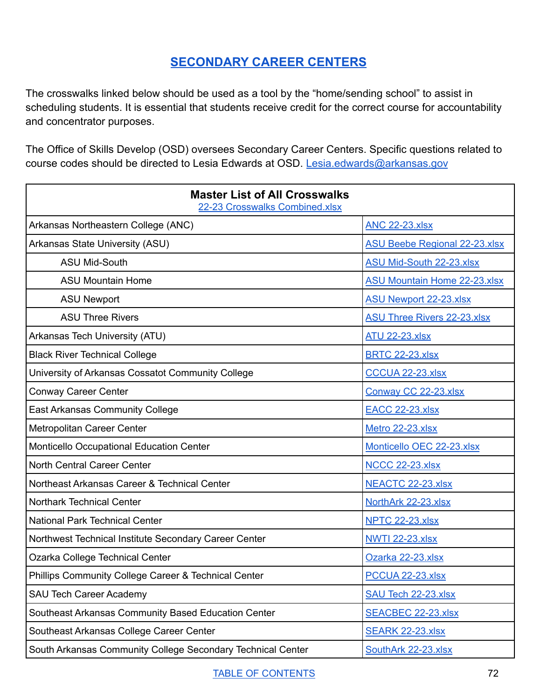## **[SECONDARY](#page-72-0) CAREER CENTERS**

<span id="page-72-0"></span>The crosswalks linked below should be used as a tool by the "home/sending school" to assist in scheduling students. It is essential that students receive credit for the correct course for accountability and concentrator purposes.

The Office of Skills Develop (OSD) oversees Secondary Career Centers. Specific questions related to course codes should be directed to Lesia Edwards at OSD. [Lesia.edwards@arkansas.gov](mailto:Lesia.edwards@arkansas.gov)

| <b>Master List of All Crosswalks</b><br>22-23 Crosswalks Combined.xlsx |                                      |
|------------------------------------------------------------------------|--------------------------------------|
| Arkansas Northeastern College (ANC)                                    | <b>ANC 22-23.xlsx</b>                |
| Arkansas State University (ASU)                                        | <b>ASU Beebe Regional 22-23.xlsx</b> |
| <b>ASU Mid-South</b>                                                   | <b>ASU Mid-South 22-23.xlsx</b>      |
| <b>ASU Mountain Home</b>                                               | <b>ASU Mountain Home 22-23.xlsx</b>  |
| <b>ASU Newport</b>                                                     | <b>ASU Newport 22-23.xlsx</b>        |
| <b>ASU Three Rivers</b>                                                | <b>ASU Three Rivers 22-23.xlsx</b>   |
| Arkansas Tech University (ATU)                                         | <b>ATU 22-23.xlsx</b>                |
| <b>Black River Technical College</b>                                   | <b>BRTC 22-23.xlsx</b>               |
| University of Arkansas Cossatot Community College                      | CCCUA 22-23.xlsx                     |
| <b>Conway Career Center</b>                                            | Conway CC 22-23.xlsx                 |
| <b>East Arkansas Community College</b>                                 | <b>EACC 22-23.xlsx</b>               |
| Metropolitan Career Center                                             | Metro 22-23.xlsx                     |
| Monticello Occupational Education Center                               | Monticello OEC 22-23.xlsx            |
| North Central Career Center                                            | <b>NCCC 22-23.xlsx</b>               |
| Northeast Arkansas Career & Technical Center                           | NEACTC 22-23.xlsx                    |
| <b>Northark Technical Center</b>                                       | NorthArk 22-23.xlsx                  |
| <b>National Park Technical Center</b>                                  | <b>NPTC 22-23.xlsx</b>               |
| Northwest Technical Institute Secondary Career Center                  | <b>NWTI 22-23.xlsx</b>               |
| Ozarka College Technical Center                                        | Ozarka 22-23.xlsx                    |
| Phillips Community College Career & Technical Center                   | PCCUA 22-23.xlsx                     |
| <b>SAU Tech Career Academy</b>                                         | <b>SAU Tech 22-23.xlsx</b>           |
| Southeast Arkansas Community Based Education Center                    | <b>SEACBEC 22-23.xlsx</b>            |
| Southeast Arkansas College Career Center                               | <b>SEARK 22-23.xlsx</b>              |
| South Arkansas Community College Secondary Technical Center            | SouthArk 22-23.xlsx                  |